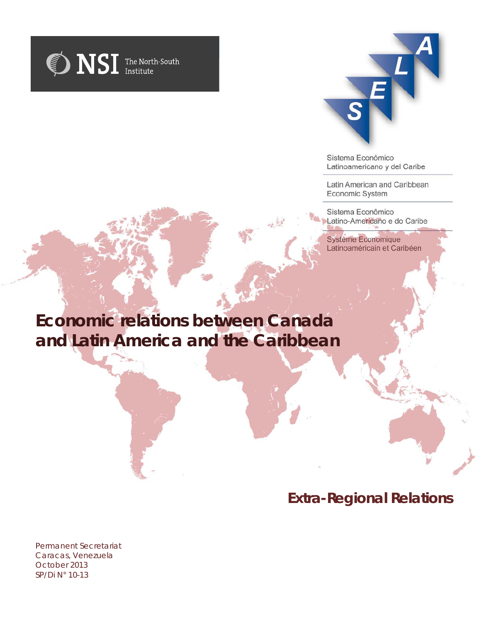



Sistema Económico Latinoamericano y del Caribe

Latin American and Caribbean Economic System

Sistema Econômico Latino-Americano e do Caribe

Système Economique Latinoaméricain et Caribéen

# **Economic relations between Canada and Latin America and the Caribbean**

# **Extra-Regional Relations**

*Permanent Secretariat Caracas, Venezuela October 2013 SP/Di N° 10-13*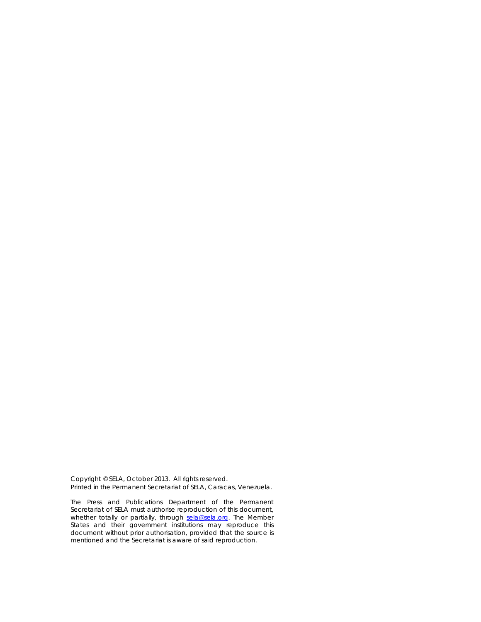Copyright © SELA, October 2013. All rights reserved. Printed in the Permanent Secretariat of SELA, Caracas, Venezuela.

The Press and Publications Department of the Permanent Secretariat of SELA must authorise reproduction of this document, whether totally or partially, through [sela@sela.org.](mailto:sela@sela.org) The Member States and their government institutions may reproduce this document without prior authorisation, provided that the source is mentioned and the Secretariat is aware of said reproduction.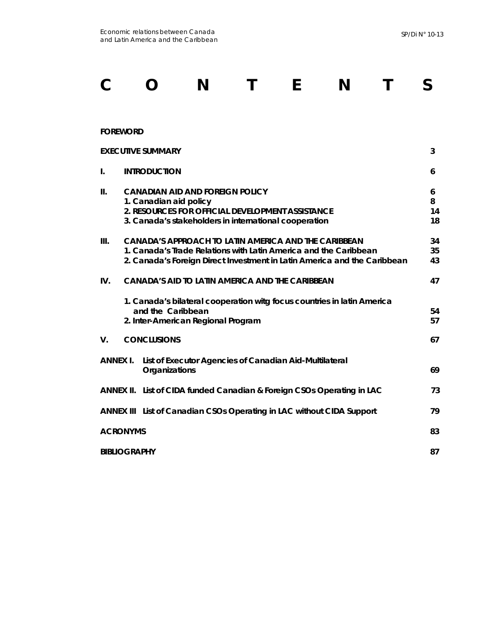# **C O N T E N T S**

#### **FOREWORD**

|                 | <b>EXECUTIVE SUMMARY</b>                                                                                                                                                                                    | 3                  |
|-----------------|-------------------------------------------------------------------------------------------------------------------------------------------------------------------------------------------------------------|--------------------|
| I.              | <b>INTRODUCTION</b>                                                                                                                                                                                         | 6                  |
| Ш.              | <b>CANADIAN AID AND FOREIGN POLICY</b><br>1. Canadian aid policy<br>2. RESOURCES FOR OFFICIAL DEVELOPMENT ASSISTANCE<br>3. Canada's stakeholders in international cooperation                               | 6<br>8<br>14<br>18 |
| III.            | <b>CANADA'S APPROACH TO LATIN AMERICA AND THE CARIBBEAN</b><br>1. Canada's Trade Relations with Latin America and the Caribbean<br>2. Canada's Foreign Direct Investment in Latin America and the Caribbean | 34<br>35<br>43     |
| IV.             | CANADA'S AID TO LATIN AMERICA AND THE CARIBBEAN                                                                                                                                                             | 47                 |
|                 | 1. Canada's bilateral cooperation witg focus countries in latin America<br>and the Caribbean<br>2. Inter-American Regional Program                                                                          | 54<br>57           |
| V.              | <b>CONCLUSIONS</b>                                                                                                                                                                                          | 67                 |
| <b>ANNEX I.</b> | List of Executor Agencies of Canadian Aid-Multilateral<br>Organizations                                                                                                                                     | 69                 |
|                 | ANNEX II. List of CIDA funded Canadian & Foreign CSOs Operating in LAC                                                                                                                                      | 73                 |
|                 | ANNEX III List of Canadian CSOs Operating in LAC without CIDA Support                                                                                                                                       | 79                 |
|                 | <b>ACRONYMS</b>                                                                                                                                                                                             | 83                 |
|                 | <b>BIBLIOGRAPHY</b>                                                                                                                                                                                         | 87                 |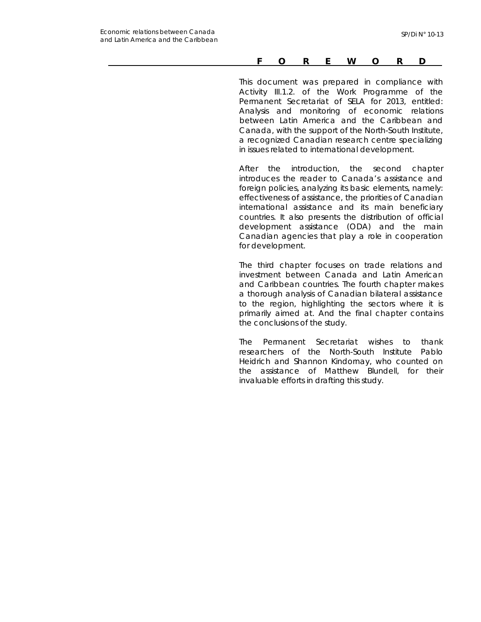#### *FOREWORD*

*This document was prepared in compliance with Activity III.1.2. of the Work Programme of the Permanent Secretariat of SELA for 2013, entitled: Analysis and monitoring of economic relations between Latin America and the Caribbean and Canada, with the support of the North-South Institute, a recognized Canadian research centre specializing in issues related to international development.* 

*After the introduction, the second chapter introduces the reader to Canada's assistance and foreign policies, analyzing its basic elements, namely: effectiveness of assistance, the priorities of Canadian international assistance and its main beneficiary countries. It also presents the distribution of official development assistance (ODA) and the main Canadian agencies that play a role in cooperation for development.* 

*The third chapter focuses on trade relations and investment between Canada and Latin American and Caribbean countries. The fourth chapter makes a thorough analysis of Canadian bilateral assistance to the region, highlighting the sectors where it is primarily aimed at. And the final chapter contains the conclusions of the study.* 

*The Permanent Secretariat wishes to thank researchers of the North-South Institute Pablo Heidrich and Shannon Kindornay, who counted on the assistance of Matthew Blundell, for their invaluable efforts in drafting this study.*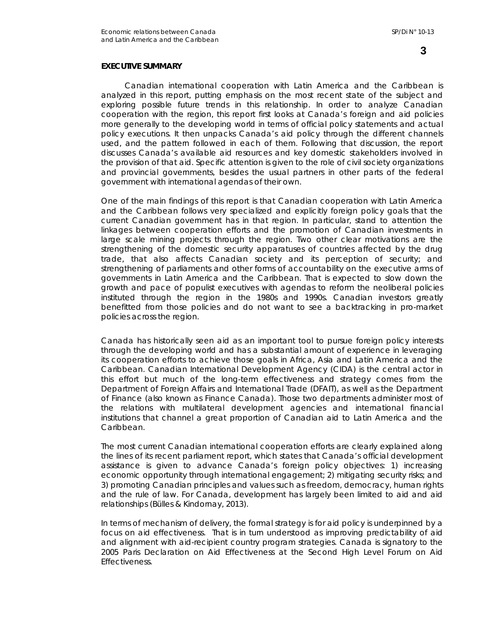#### **EXECUTIVE SUMMARY**

Canadian international cooperation with Latin America and the Caribbean is analyzed in this report, putting emphasis on the most recent state of the subject and exploring possible future trends in this relationship. In order to analyze Canadian cooperation with the region, this report first looks at Canada's foreign and aid policies more generally to the developing world in terms of official policy statements and actual policy executions. It then unpacks Canada's aid policy through the different channels used, and the pattern followed in each of them. Following that discussion, the report discusses Canada's available aid resources and key domestic stakeholders involved in the provision of that aid. Specific attention is given to the role of civil society organizations and provincial governments, besides the usual partners in other parts of the federal government with international agendas of their own.

One of the main findings of this report is that Canadian cooperation with Latin America and the Caribbean follows very specialized and explicitly foreign policy goals that the current Canadian government has in that region. In particular, stand to attention the linkages between cooperation efforts and the promotion of Canadian investments in large scale mining projects through the region. Two other clear motivations are the strengthening of the domestic security apparatuses of countries affected by the drug trade, that also affects Canadian society and its perception of security; and strengthening of parliaments and other forms of accountability on the executive arms of governments in Latin America and the Caribbean. That is expected to slow down the growth and pace of populist executives with agendas to reform the neoliberal policies instituted through the region in the 1980s and 1990s. Canadian investors greatly benefitted from those policies and do not want to see a backtracking in pro-market policies across the region.

Canada has historically seen aid as an important tool to pursue foreign policy interests through the developing world and has a substantial amount of experience in leveraging its cooperation efforts to achieve those goals in Africa, Asia and Latin America and the Caribbean. Canadian International Development Agency (CIDA) is the central actor in this effort but much of the long-term effectiveness and strategy comes from the Department of Foreign Affairs and International Trade (DFAIT), as well as the Department of Finance (also known as Finance Canada). Those two departments administer most of the relations with multilateral development agencies and international financial institutions that channel a great proportion of Canadian aid to Latin America and the Caribbean.

The most current Canadian international cooperation efforts are clearly explained along the lines of its recent parliament report, which states that Canada's official development assistance is given to advance Canada's foreign policy objectives: 1) increasing economic opportunity through international engagement; 2) mitigating security risks; and 3) promoting Canadian principles and values such as freedom, democracy, human rights and the rule of law. For Canada, development has largely been limited to aid and aid relationships (Bülles & Kindornay, 2013).

In terms of mechanism of delivery, the formal strategy is for aid policy is underpinned by a focus on aid effectiveness. That is in turn understood as improving predictability of aid and alignment with aid-recipient country program strategies. Canada is signatory to the 2005 Paris Declaration on Aid Effectiveness at the Second High Level Forum on Aid Effectiveness.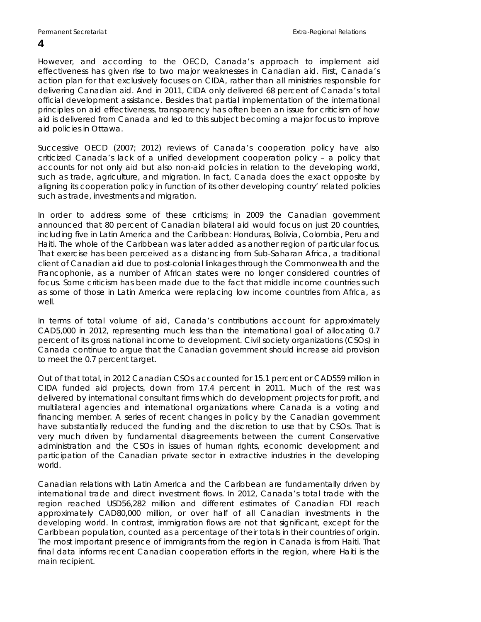However, and according to the OECD, Canada's approach to implement aid effectiveness has given rise to two major weaknesses in Canadian aid. First, Canada's action plan for that exclusively focuses on CIDA, rather than all ministries responsible for delivering Canadian aid. And in 2011, CIDA only delivered 68 percent of Canada's total official development assistance. Besides that partial implementation of the international principles on aid effectiveness, transparency has often been an issue for criticism of how aid is delivered from Canada and led to this subject becoming a major focus to improve aid policies in Ottawa.

Successive OECD (2007; 2012) reviews of Canada's cooperation policy have also criticized Canada's lack of a unified development cooperation policy – a policy that accounts for not only aid but also non-aid policies in relation to the developing world, such as trade, agriculture, and migration. In fact, Canada does the exact opposite by aligning its cooperation policy *in function of* its other developing country' related policies such as trade, investments and migration.

In order to address some of these criticisms; in 2009 the Canadian government announced that 80 percent of Canadian bilateral aid would focus on just 20 countries, including five in Latin America and the Caribbean: Honduras, Bolivia, Colombia, Peru and Haiti. The whole of the Caribbean was later added as another region of particular focus. That exercise has been perceived as a distancing from Sub-Saharan Africa, a traditional client of Canadian aid due to post-colonial linkages through the Commonwealth and the Francophonie, as a number of African states were no longer considered countries of focus. Some criticism has been made due to the fact that middle income countries such as some of those in Latin America were replacing low income countries from Africa, as well.

In terms of total volume of aid, Canada's contributions account for approximately CAD5,000 in 2012, representing much less than the international goal of allocating 0.7 percent of its gross national income to development. Civil society organizations (CSOs) in Canada continue to argue that the Canadian government should increase aid provision to meet the 0.7 percent target.

Out of that total, in 2012 Canadian CSOs accounted for 15.1 percent or CAD559 million in CIDA funded aid projects, down from 17.4 percent in 2011. Much of the rest was delivered by international consultant firms which do development projects for profit, and multilateral agencies and international organizations where Canada is a voting and financing member. A series of recent changes in policy by the Canadian government have substantially reduced the funding and the discretion to use that by CSOs. That is very much driven by fundamental disagreements between the current Conservative administration and the CSOs in issues of human rights, economic development and participation of the Canadian private sector in extractive industries in the developing world.

Canadian relations with Latin America and the Caribbean are fundamentally driven by international trade and direct investment flows. In 2012, Canada's total trade with the region reached USD56,282 million and different estimates of Canadian FDI reach approximately CAD80,000 million, or over half of all Canadian investments in the developing world. In contrast, immigration flows are not that significant, except for the Caribbean population, counted as a percentage of their totals in their countries of origin. The most important presence of immigrants from the region in Canada is from Haiti. That final data informs recent Canadian cooperation efforts in the region, where Haiti is the main recipient.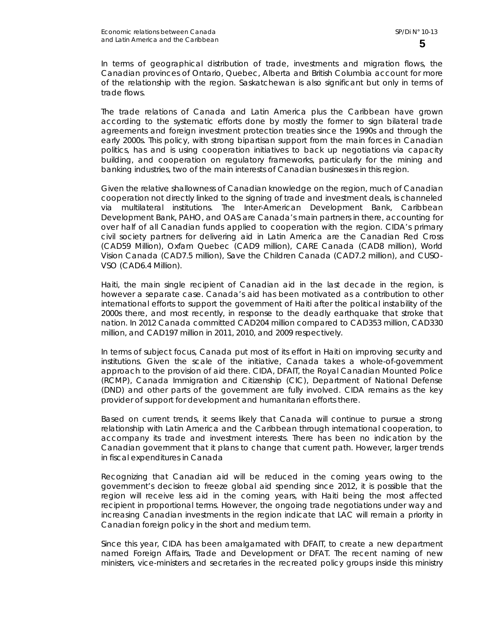In terms of geographical distribution of trade, investments and migration flows, the Canadian provinces of Ontario, Quebec, Alberta and British Columbia account for more of the relationship with the region. Saskatchewan is also significant but only in terms of trade flows.

The trade relations of Canada and Latin America plus the Caribbean have grown according to the systematic efforts done by mostly the former to sign bilateral trade agreements and foreign investment protection treaties since the 1990s and through the early 2000s. This policy, with strong bipartisan support from the main forces in Canadian politics, has and is using cooperation initiatives to back up negotiations via capacity building, and cooperation on regulatory frameworks, particularly for the mining and banking industries, two of the main interests of Canadian businesses in this region.

Given the relative shallowness of Canadian knowledge on the region, much of Canadian cooperation not directly linked to the signing of trade and investment deals, is channeled via multilateral institutions. The Inter-American Development Bank, Caribbean Development Bank, PAHO, and OAS are Canada's main partners in there, accounting for over half of all Canadian funds applied to cooperation with the region. CIDA's primary civil society partners for delivering aid in Latin America are the Canadian Red Cross (CAD59 Million), Oxfam Quebec (CAD9 million), CARE Canada (CAD8 million), World Vision Canada (CAD7.5 million), Save the Children Canada (CAD7.2 million), and CUSO-VSO (CAD6.4 Million).

Haiti, the main single recipient of Canadian aid in the last decade in the region, is however a separate case. Canada's aid has been motivated as a contribution to other international efforts to support the government of Haiti after the political instability of the 2000s there, and most recently, in response to the deadly earthquake that stroke that nation. In 2012 Canada committed CAD204 million compared to CAD353 million, CAD330 million, and CAD197 million in 2011, 2010, and 2009 respectively.

In terms of subject focus, Canada put most of its effort in Haiti on improving security and institutions. Given the scale of the initiative, Canada takes a whole-of-government approach to the provision of aid there. CIDA, DFAIT, the Royal Canadian Mounted Police (RCMP), Canada Immigration and Citizenship (CIC), Department of National Defense (DND) and other parts of the government are fully involved. CIDA remains as the key provider of support for development and humanitarian efforts there.

Based on current trends, it seems likely that Canada will continue to pursue a strong relationship with Latin America and the Caribbean through international cooperation, to accompany its trade and investment interests. There has been no indication by the Canadian government that it plans to change that current path. However, larger trends in fiscal expenditures in Canada

Recognizing that Canadian aid will be reduced in the coming years owing to the government's decision to freeze global aid spending since 2012, it is possible that the region will receive less aid in the coming years, with Haiti being the most affected recipient in proportional terms. However, the ongoing trade negotiations under way and increasing Canadian investments in the region indicate that LAC will remain a priority in Canadian foreign policy in the short and medium term.

Since this year, CIDA has been amalgamated with DFAIT, to create a new department named Foreign Affairs, Trade and Development or DFAT. The recent naming of new ministers, vice-ministers and secretaries in the recreated policy groups inside this ministry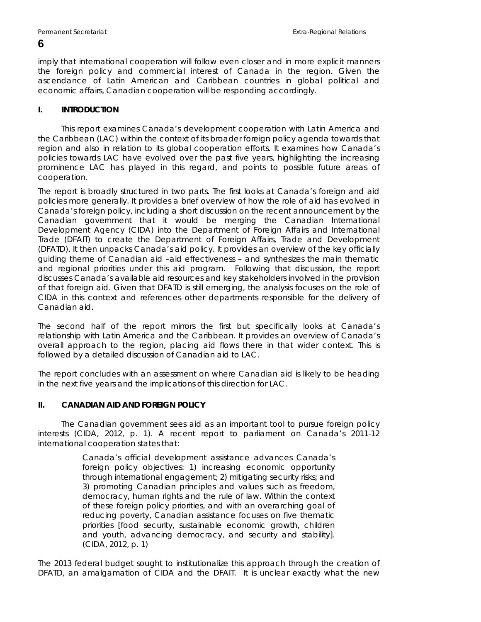imply that international cooperation will follow even closer and in more explicit manners the foreign policy and commercial interest of Canada in the region. Given the ascendance of Latin American and Caribbean countries in global political and economic affairs, Canadian cooperation will be responding accordingly.

#### **I. INTRODUCTION**

This report examines Canada's development cooperation with Latin America and the Caribbean (LAC) within the context of its broader foreign policy agenda towards that region and also in relation to its global cooperation efforts. It examines how Canada's policies towards LAC have evolved over the past five years, highlighting the increasing prominence LAC has played in this regard, and points to possible future areas of cooperation.

The report is broadly structured in two parts. The first looks at Canada's foreign and aid policies more generally. It provides a brief overview of how the role of aid has evolved in Canada's foreign policy, including a short discussion on the recent announcement by the Canadian government that it would be merging the Canadian International Development Agency (CIDA) into the Department of Foreign Affairs and International Trade (DFAIT) to create the Department of Foreign Affairs, Trade and Development (DFATD). It then unpacks Canada's aid policy. It provides an overview of the key officially guiding theme of Canadian aid –aid effectiveness – and synthesizes the main thematic and regional priorities under this aid program. Following that discussion, the report discusses Canada's available aid resources and key stakeholders involved in the provision of that foreign aid. Given that DFATD is still emerging, the analysis focuses on the role of CIDA in this context and references other departments responsible for the delivery of Canadian aid.

The second half of the report mirrors the first but specifically looks at Canada's relationship with Latin America and the Caribbean. It provides an overview of Canada's overall approach to the region, placing aid flows there in that wider context. This is followed by a detailed discussion of Canadian aid to LAC.

The report concludes with an assessment on where Canadian aid is likely to be heading in the next five years and the implications of this direction for LAC.

#### **II. CANADIAN AID AND FOREIGN POLICY**

The Canadian government sees aid as an important tool to pursue foreign policy interests (CIDA, 2012, p. 1). A recent report to parliament on Canada's 2011-12 international cooperation states that:

> Canada's official development assistance advances Canada's foreign policy objectives: 1) increasing economic opportunity through international engagement; 2) mitigating security risks; and 3) promoting Canadian principles and values such as freedom, democracy, human rights and the rule of law. Within the context of these foreign policy priorities, and with an overarching goal of reducing poverty, Canadian assistance focuses on five thematic priorities [food security, sustainable economic growth, children and youth, advancing democracy, and security and stability]. (CIDA, 2012, p. 1)

The 2013 federal budget sought to institutionalize this approach through the creation of DFATD, an amalgamation of CIDA and the DFAIT. It is unclear exactly what the new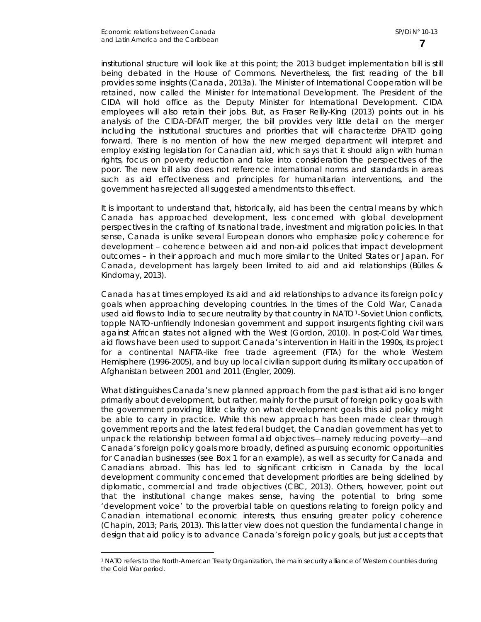$\overline{a}$ 

institutional structure will look like at this point; the 2013 budget implementation bill is still being debated in the House of Commons. Nevertheless, the first reading of the bill provides some insights (Canada, 2013a). The Minister of International Cooperation will be retained, now called the Minister for International Development. The President of the CIDA will hold office as the Deputy Minister for International Development. CIDA employees will also retain their jobs. But, as Fraser Reilly-King (2013) points out in his analysis of the CIDA-DFAIT merger, the bill provides very little detail on the merger including the institutional structures and priorities that will characterize DFATD going forward. There is no mention of how the new merged department will interpret and employ existing legislation for Canadian aid, which says that it should align with human rights, focus on poverty reduction and take into consideration the perspectives of the poor. The new bill also does not reference international norms and standards in areas such as aid effectiveness and principles for humanitarian interventions, and the government has rejected all suggested amendments to this effect.

It is important to understand that, historically, aid has been the central means by which Canada has approached development, less concerned with global development perspectives in the crafting of its national trade, investment and migration policies. In that sense, Canada is unlike several European donors who emphasize policy coherence for development – coherence between aid and non-aid polices that impact development outcomes – in their approach and much more similar to the United States or Japan. For Canada, development has largely been limited to aid and aid relationships (Bülles & Kindornay, 2013).

Canada has at times employed its aid and aid relationships to advance its foreign policy goals when approaching developing countries. In the times of the Cold War, Canada used aid flows to India to secure neutrality by that country in NATO<sup>[1](#page-10-0)</sup>-Soviet Union conflicts, topple NATO-unfriendly Indonesian government and support insurgents fighting civil wars against African states not aligned with the West (Gordon, 2010). In post-Cold War times, aid flows have been used to support Canada's intervention in Haiti in the 1990s, its project for a continental NAFTA-like free trade agreement (FTA) for the whole Western Hemisphere (1996-2005), and buy up local civilian support during its military occupation of Afghanistan between 2001 and 2011 (Engler, 2009).

What distinguishes Canada's new planned approach from the past is that aid is no longer primarily about development, but rather, mainly for the pursuit of foreign policy goals with the government providing little clarity on what development goals this aid policy might be able to carry in practice. While this new approach has been made clear through government reports and the latest federal budget, the Canadian government has yet to unpack the relationship between formal aid objectives—namely reducing poverty—and Canada's foreign policy goals more broadly, defined as pursuing economic opportunities for Canadian businesses (see Box 1 for an example), as well as security for Canada and Canadians abroad. This has led to significant criticism in Canada by the local development community concerned that development priorities are being sidelined by diplomatic, commercial and trade objectives (CBC, 2013). Others, however, point out that the institutional change makes sense, having the potential to bring some 'development voice' to the proverbial table on questions relating to foreign policy and Canadian international economic interests, thus ensuring greater policy coherence (Chapin, 2013; Paris, 2013). This latter view does not question the fundamental change in design that aid policy is to advance Canada's foreign policy goals, but just accepts that

<span id="page-10-0"></span><sup>1</sup> NATO refers to the North-American Treaty Organization, the main security alliance of Western countries during the Cold War period.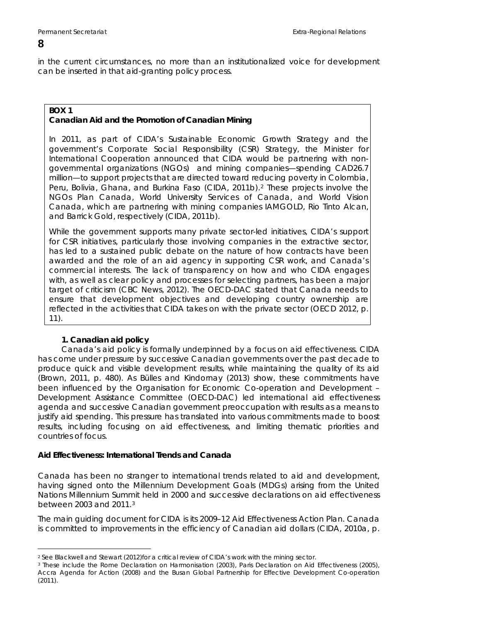in the current circumstances, no more than an institutionalized voice for development can be inserted in that aid-granting policy process.

#### **BOX 1 Canadian Aid and the Promotion of Canadian Mining**

In 2011, as part of CIDA's Sustainable Economic Growth Strategy and the government's Corporate Social Responsibility (CSR) Strategy, the Minister for International Cooperation announced that CIDA would be partnering with nongovernmental organizations (NGOs) and mining companies—spending CAD26.7 million—to support projects that are directed toward reducing poverty in Colombia, Peru, Bolivia, Ghana, and Burkina Faso (CIDA, 2011b).[2](#page-11-0) These projects involve the NGOs Plan Canada, World University Services of Canada, and World Vision Canada, which are partnering with mining companies IAMGOLD, Rio Tinto Alcan, and Barrick Gold, respectively (CIDA, 2011b).

While the government supports many private sector-led initiatives, CIDA's support for CSR initiatives, particularly those involving companies in the extractive sector, has led to a sustained public debate on the nature of how contracts have been awarded and the role of an aid agency in supporting CSR work, and Canada's commercial interests. The lack of transparency on how and who CIDA engages with, as well as clear policy and processes for selecting partners, has been a major target of criticism (CBC News, 2012). The OECD-DAC stated that Canada needs to ensure that development objectives and developing country ownership are reflected in the activities that CIDA takes on with the private sector (OECD 2012, p. 11).

#### **1. Canadian aid policy**

Canada's aid policy is formally underpinned by a focus on aid effectiveness. CIDA has come under pressure by successive Canadian governments over the past decade to produce quick and visible development results, while maintaining the quality of its aid (Brown, 2011, p. 480). As Bülles and Kindornay (2013) show, these commitments have been influenced by the Organisation for Economic Co-operation and Development – Development Assistance Committee (OECD-DAC) led international aid effectiveness agenda and successive Canadian government preoccupation with results as a means to justify aid spending. This pressure has translated into various commitments made to boost results, including focusing on aid effectiveness, and limiting thematic priorities and countries of focus.

#### **Aid Effectiveness: International Trends and Canada**

Canada has been no stranger to international trends related to aid and development, having signed onto the Millennium Development Goals (MDGs) arising from the United Nations Millennium Summit held in 2000 and successive declarations on aid effectiveness between 2003 and 2011.[3](#page-11-1)

The main guiding document for CIDA is its 2009–12 Aid Effectiveness Action Plan. Canada is committed to improvements in the efficiency of Canadian aid dollars (CIDA, 2010a, p.

<span id="page-11-0"></span> $\overline{a}$ 2 See Blackwell and Stewart (2012)for a critical review of CIDA's work with the mining sector.

<span id="page-11-1"></span><sup>3</sup> These include the Rome Declaration on Harmonisation (2003), Paris Declaration on Aid Effectiveness (2005), Accra Agenda for Action (2008) and the Busan Global Partnership for Effective Development Co-operation (2011).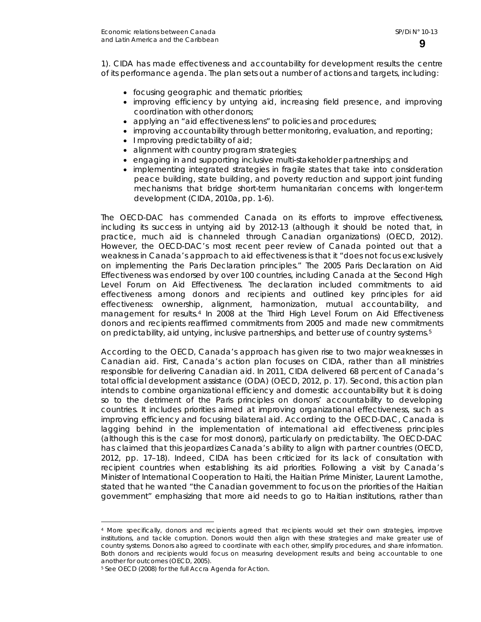1). CIDA has made effectiveness and accountability for development results the centre of its performance agenda. The plan sets out a number of actions and targets, including:

- focusing geographic and thematic priorities;
- improving efficiency by untying aid, increasing field presence, and improving coordination with other donors;
- applying an "aid effectiveness lens" to policies and procedures;
- improving accountability through better monitoring, evaluation, and reporting;
- I mproving predictability of aid;
- alignment with country program strategies;
- engaging in and supporting inclusive multi-stakeholder partnerships; and
- implementing integrated strategies in fragile states that take into consideration peace building, state building, and poverty reduction and support joint funding mechanisms that bridge short-term humanitarian concerns with longer-term development (CIDA, 2010a, pp. 1-6).

The OECD-DAC has commended Canada on its efforts to improve effectiveness, including its success in untying aid by 2012-13 (although it should be noted that, in practice, much aid is channeled through Canadian organizations) (OECD, 2012). However, the OECD-DAC's most recent peer review of Canada pointed out that a weakness in Canada's approach to aid effectiveness is that it "does not focus exclusively on implementing the Paris Declaration principles." The 2005 Paris Declaration on Aid Effectiveness was endorsed by over 100 countries, including Canada at the Second High Level Forum on Aid Effectiveness. The declaration included commitments to aid effectiveness among donors and recipients and outlined key principles for aid effectiveness: ownership, alignment, harmonization, mutual accountability, and management for results.[4](#page-12-0) In 2008 at the Third High Level Forum on Aid Effectiveness donors and recipients reaffirmed commitments from 2005 and made new commitments on predictability, aid untying, inclusive partnerships, and better use of country systems.5

According to the OECD, Canada's approach has given rise to two major weaknesses in Canadian aid. First, Canada's action plan focuses on CIDA, rather than all ministries responsible for delivering Canadian aid. In 2011, CIDA delivered 68 percent of Canada's total official development assistance (ODA) (OECD, 2012, p. 17). Second, this action plan intends to combine organizational efficiency and domestic accountability but it is doing so to the detriment of the Paris principles on donors' accountability to developing countries. It includes priorities aimed at improving organizational effectiveness, such as improving efficiency and focusing bilateral aid. According to the OECD-DAC, Canada is lagging behind in the implementation of international aid effectiveness principles (although this is the case for most donors), particularly on predictability. The OECD-DAC has claimed that this jeopardizes Canada's ability to align with partner countries (OECD, 2012, pp. 17–18). Indeed, CIDA has been criticized for its lack of consultation with recipient countries when establishing its aid priorities. Following a visit by Canada's Minister of International Cooperation to Haiti, the Haitian Prime Minister, Laurent Lamothe, stated that he wanted "the Canadian government to focus on the priorities of the Haitian government" emphasizing that more aid needs to go to Haitian institutions, rather than

<span id="page-12-0"></span> $\overline{a}$ 4 More specifically, donors and recipients agreed that recipients would set their own strategies, improve institutions, and tackle corruption. Donors would then align with these strategies and make greater use of country systems. Donors also agreed to coordinate with each other, simplify procedures, and share information. Both donors and recipients would focus on measuring development results and being accountable to one another for outcomes (OECD, 2005).

<sup>5</sup> See OECD (2008) for the full Accra Agenda for Action.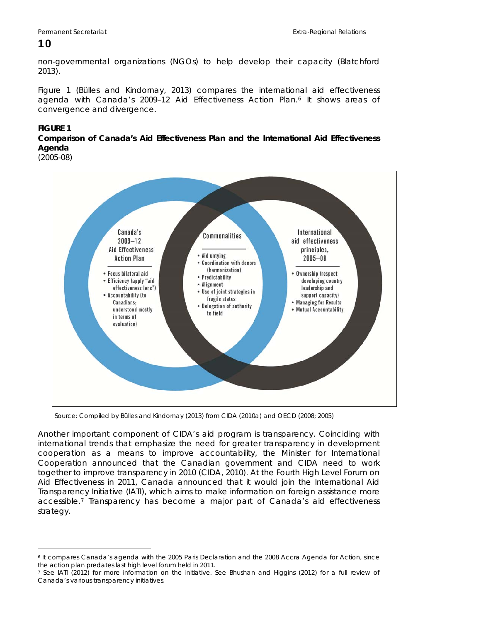non-governmental organizations (NGOs) to help develop their capacity (Blatchford 2013).

Figure 1 (Bülles and Kindornay, 2013) compares the international aid effectiveness agenda with Canada's 2009-12 Aid Effectiveness Action Plan.<sup>[6](#page-13-0)</sup> It shows areas of convergence and divergence.

#### **FIGURE 1**

#### **Comparison of Canada's Aid Effectiveness Plan and the International Aid Effectiveness Agenda**

(2005-08)



Source: Compiled by Bülles and Kindornay (2013) from CIDA (2010a) and OECD (2008; 2005)

Another important component of CIDA's aid program is transparency. Coinciding with international trends that emphasize the need for greater transparency in development cooperation as a means to improve accountability, the Minister for International Cooperation announced that the Canadian government and CIDA need to work together to improve transparency in 2010 (CIDA, 2010). At the Fourth High Level Forum on Aid Effectiveness in 2011, Canada announced that it would join the International Aid Transparency Initiative (IATI), which aims to make information on foreign assistance more accessible.[7](#page-13-1) Transparency has become a major part of Canada's aid effectiveness strategy.

<span id="page-13-0"></span> $\overline{a}$ 6 It compares Canada's agenda with the 2005 Paris Declaration and the 2008 Accra Agenda for Action, since the action plan predates last high level forum held in 2011.

<span id="page-13-1"></span><sup>7</sup> See IATI (2012) for more information on the initiative. See Bhushan and Higgins (2012) for a full review of Canada's various transparency initiatives.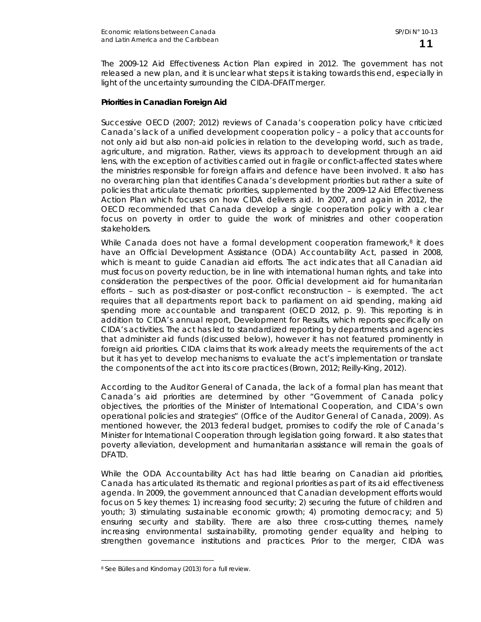The 2009-12 Aid Effectiveness Action Plan expired in 2012. The government has not released a new plan, and it is unclear what steps it is taking towards this end, especially in light of the uncertainty surrounding the CIDA-DFAIT merger.

#### **Priorities in Canadian Foreign Aid**

Successive OECD (2007; 2012) reviews of Canada's cooperation policy have criticized Canada's lack of a unified development cooperation policy – a policy that accounts for not only aid but also non-aid policies in relation to the developing world, such as trade, agriculture, and migration. Rather, views its approach to development through an aid lens, with the exception of activities carried out in fragile or conflict-affected states where the ministries responsible for foreign affairs and defence have been involved. It also has no overarching plan that identifies Canada's development priorities but rather a suite of policies that articulate thematic priorities, supplemented by the 2009-12 Aid Effectiveness Action Plan which focuses on how CIDA delivers aid. In 2007, and again in 2012, the OECD recommended that Canada develop a single cooperation policy with a clear focus on poverty in order to guide the work of ministries and other cooperation stakeholders.

While Canada does not have a formal development cooperation framework, $8$  it does have an Official Development Assistance (ODA) Accountability Act, passed in 2008, which is meant to guide Canadian aid efforts. The act indicates that all Canadian aid must focus on poverty reduction, be in line with international human rights, and take into consideration the perspectives of the poor. Official development aid for humanitarian efforts – such as post-disaster or post-conflict reconstruction – is exempted. The act requires that all departments report back to parliament on aid spending, making aid spending more accountable and transparent (OECD 2012, p. 9). This reporting is in addition to CIDA's annual report, *Development for Results,* which reports specifically on CIDA's activities. The act has led to standardized reporting by departments and agencies that administer aid funds (discussed below), however it has not featured prominently in foreign aid priorities. CIDA claims that its work already meets the requirements of the act but it has yet to develop mechanisms to evaluate the act's implementation or translate the components of the act into its core practices (Brown, 2012; Reilly-King, 2012).

According to the Auditor General of Canada, the lack of a formal plan has meant that Canada's aid priorities are determined by other "Government of Canada policy objectives, the priorities of the Minister of International Cooperation, and CIDA's own operational policies and strategies" (Office of the Auditor General of Canada, 2009). As mentioned however, the 2013 federal budget, promises to codify the role of Canada's Minister for International Cooperation through legislation going forward. It also states that poverty alleviation, development and humanitarian assistance will remain the goals of DFATD.

While the ODA Accountability Act has had little bearing on Canadian aid priorities, Canada has articulated its thematic and regional priorities as part of its aid effectiveness agenda. In 2009, the government announced that Canadian development efforts would focus on 5 key themes: 1) increasing food security; 2) securing the future of children and youth; 3) stimulating sustainable economic growth; 4) promoting democracy; and 5) ensuring security and stability. There are also three cross-cutting themes, namely increasing environmental sustainability, promoting gender equality and helping to strengthen governance institutions and practices. Prior to the merger, CIDA was

 $\overline{a}$ 

<span id="page-14-0"></span><sup>8</sup> See Bülles and Kindornay (2013) for a full review.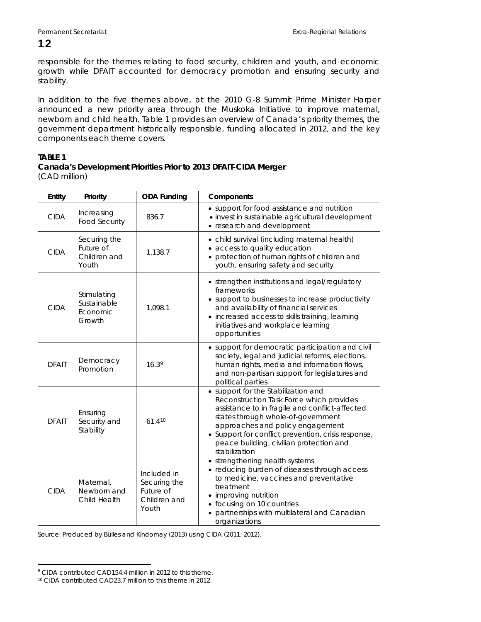responsible for the themes relating to food security, children and youth, and economic growth while DFAIT accounted for democracy promotion and ensuring security and stability.

In addition to the five themes above, at the 2010 G-8 Summit Prime Minister Harper announced a new priority area through the Muskoka Initiative to improve maternal, newborn and child health. Table 1 provides an overview of Canada's priority themes, the government department historically responsible, funding allocated in 2012, and the key components each theme covers.

### **TABLE 1**

#### **Canada's Development Priorities Prior to 2013 DFAIT-CIDA Merger**  (CAD million)

| Entity       | Priority                                           | <b>ODA Funding</b>                                                | Components                                                                                                                                                                                                                                                                                                                     |
|--------------|----------------------------------------------------|-------------------------------------------------------------------|--------------------------------------------------------------------------------------------------------------------------------------------------------------------------------------------------------------------------------------------------------------------------------------------------------------------------------|
| <b>CIDA</b>  | Increasing<br><b>Food Security</b>                 | 836.7                                                             | • support for food assistance and nutrition<br>· invest in sustainable agricultural development<br>• research and development                                                                                                                                                                                                  |
| <b>CIDA</b>  | Securing the<br>Future of<br>Children and<br>Youth | 1,138.7                                                           | • child survival (including maternal health)<br>access to quality education<br>• protection of human rights of children and<br>youth, ensuring safety and security                                                                                                                                                             |
| <b>CIDA</b>  | Stimulating<br>Sustainable<br>Economic<br>Growth   | 1,098.1                                                           | • strengthen institutions and legal/regulatory<br>frameworks<br>• support to businesses to increase productivity<br>and availability of financial services<br>• increased access to skills training, learning<br>initiatives and workplace learning<br>opportunities                                                           |
| <b>DFAIT</b> | Democracy<br>Promotion                             | 16.39                                                             | • support for democratic participation and civil<br>society, legal and judicial reforms, elections,<br>human rights, media and information flows,<br>and non-partisan support for legislatures and<br>political parties                                                                                                        |
| <b>DFAIT</b> | Ensuring<br>Security and<br>Stability              | 61.410                                                            | • support for the Stabilization and<br>Reconstruction Task Force which provides<br>assistance to in fragile and conflict-affected<br>states through whole-of-government<br>approaches and policy engagement<br>• Support for conflict prevention, crisis response,<br>peace building, civilian protection and<br>stabilization |
| <b>CIDA</b>  | Maternal,<br>Newborn and<br>Child Health           | Included in<br>Securing the<br>Future of<br>Children and<br>Youth | • strengthening health systems<br>• reducing burden of diseases through access<br>to medicine, vaccines and preventative<br>treatment<br>• improving nutrition<br>• focusing on 10 countries<br>partnerships with multilateral and Canadian<br>organizations                                                                   |

Source: Produced by Bülles and Kindornay (2013) using CIDA (2011; 2012).

 $\overline{a}$ 

<span id="page-15-0"></span><sup>&</sup>lt;sup>9</sup> CIDA contributed CAD154.4 million in 2012 to this theme.

<span id="page-15-1"></span><sup>10</sup> CIDA contributed CAD23.7 million to this theme in 2012.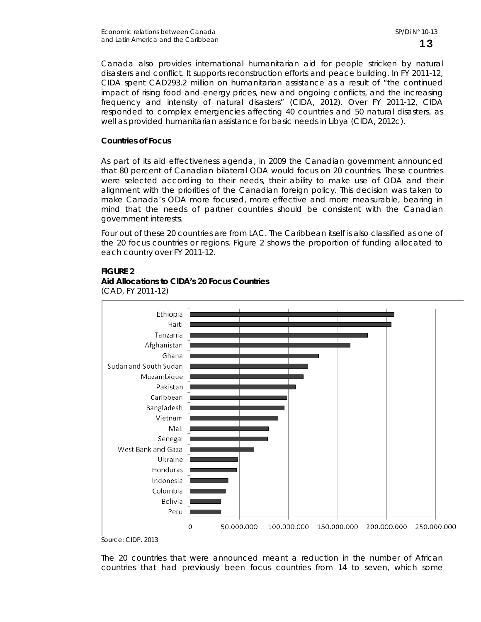Canada also provides international humanitarian aid for people stricken by natural disasters and conflict. It supports reconstruction efforts and peace building. In FY 2011-12, CIDA spent CAD293.2 million on humanitarian assistance as a result of "the continued impact of rising food and energy prices, new and ongoing conflicts, and the increasing frequency and intensity of natural disasters" (CIDA, 2012). Over FY 2011-12, CIDA responded to complex emergencies affecting 40 countries and 50 natural disasters, as well as provided humanitarian assistance for basic needs in Libya (CIDA, 2012c).

#### **Countries of Focus**

As part of its aid effectiveness agenda, in 2009 the Canadian government announced that 80 percent of Canadian bilateral ODA would focus on 20 countries. These countries were selected according to their needs, their ability to make use of ODA and their alignment with the priorities of the Canadian foreign policy. This decision was taken to make Canada's ODA more focused, more effective and more measurable, bearing in mind that the needs of partner countries should be consistent with the Canadian government interests.

Four out of these 20 countries are from LAC. The Caribbean itself is also classified as one of the 20 focus countries or regions. Figure 2 shows the proportion of funding allocated to each country over FY 2011-12.

#### **FIGURE 2**



(CAD, FY 2011-12)

**Aid Allocations to CIDA's 20 Focus Countries** 

Source: CIDP. 2013

The 20 countries that were announced meant a reduction in the number of African countries that had previously been focus countries from 14 to seven, which some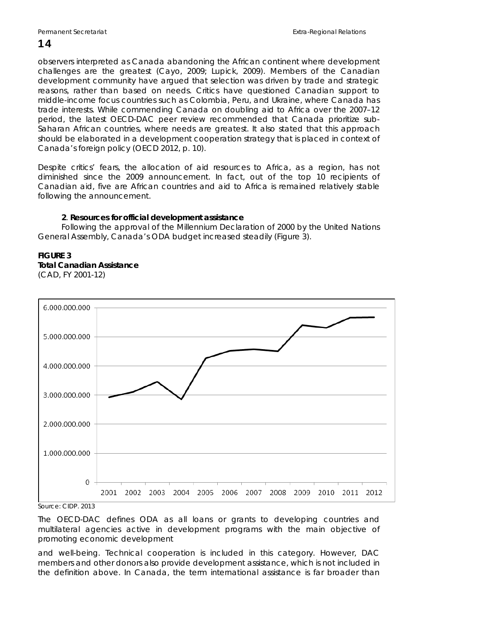observers interpreted as Canada abandoning the African continent where development challenges are the greatest (Cayo, 2009; Lupick, 2009). Members of the Canadian development community have argued that selection was driven by trade and strategic reasons, rather than based on needs. Critics have questioned Canadian support to middle-income focus countries such as Colombia, Peru, and Ukraine, where Canada has trade interests. While commending Canada on doubling aid to Africa over the 2007–12 period, the latest OECD-DAC peer review recommended that Canada prioritize sub-Saharan African countries, where needs are greatest. It also stated that this approach should be elaborated in a development cooperation strategy that is placed in context of Canada's foreign policy (OECD 2012, p. 10).

Despite critics' fears, the allocation of aid resources to Africa, as a region, has not diminished since the 2009 announcement. In fact, out of the top 10 recipients of Canadian aid, five are African countries and aid to Africa is remained relatively stable following the announcement.

#### **2**. **Resources for official development assistance**

Following the approval of the Millennium Declaration of 2000 by the United Nations General Assembly, Canada's ODA budget increased steadily (Figure 3).

#### **FIGURE 3**

**Total Canadian Assistance** 

(CAD, FY 2001-12)



Source: CIDP. 2013

The OECD-DAC defines ODA as all loans or grants to developing countries and multilateral agencies active in development programs with the main objective of promoting economic development

and well-being. Technical cooperation is included in this category. However, DAC members and other donors also provide development assistance, which is not included in the definition above. In Canada, the term international assistance is far broader than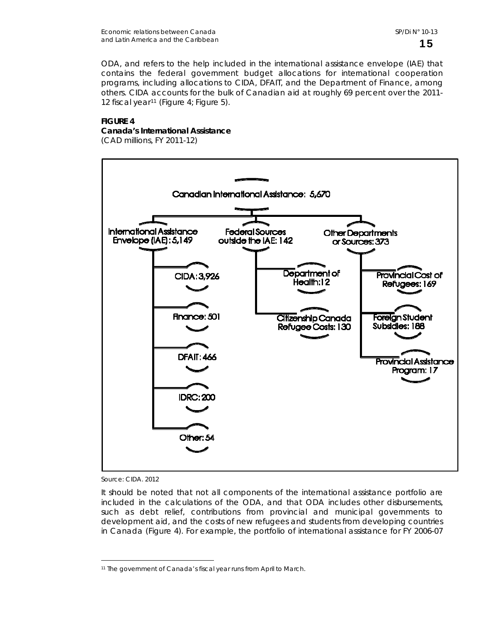ODA, and refers to the help included in the international assistance envelope (IAE) that contains the federal government budget allocations for international cooperation programs, including allocations to CIDA, DFAIT, and the Department of Finance, among others. CIDA accounts for the bulk of Canadian aid at roughly 69 percent over the 2011- 12 fiscal year<sup>[11](#page-18-0)</sup> (Figure 4; Figure 5).

### **FIGURE 4**

**Canada's International Assistance** 

(CAD millions, FY 2011-12)



Source: CIDA. 2012

 $\overline{a}$ 

It should be noted that not all components of the international assistance portfolio are included in the calculations of the ODA, and that ODA includes other disbursements, such as debt relief, contributions from provincial and municipal governments to development aid, and the costs of new refugees and students from developing countries in Canada (Figure 4). For example, the portfolio of international assistance for FY 2006-07

<span id="page-18-0"></span><sup>11</sup> The government of Canada's fiscal year runs from April to March.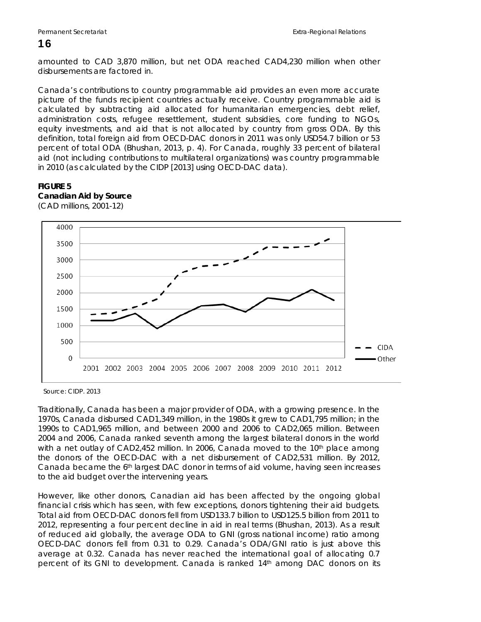amounted to CAD 3,870 million, but net ODA reached CAD4,230 million when other disbursements are factored in.

Canada's contributions to country programmable aid provides an even more accurate picture of the funds recipient countries actually receive. Country programmable aid is calculated by subtracting aid allocated for humanitarian emergencies, debt relief, administration costs, refugee resettlement, student subsidies, core funding to NGOs, equity investments, and aid that is not allocated by country from gross ODA. By this definition, total foreign aid from OECD-DAC donors in 2011 was only USD54.7 billion or 53 percent of total ODA (Bhushan, 2013, p. 4). For Canada, roughly 33 percent of bilateral aid (not including contributions to multilateral organizations) was country programmable in 2010 (as calculated by the CIDP [2013] using OECD-DAC data).

### **FIGURE 5 Canadian Aid by Source**



(CAD millions, 2001-12)

Source: CIDP. 2013

Traditionally, Canada has been a major provider of ODA, with a growing presence. In the 1970s, Canada disbursed CAD1,349 million, in the 1980s it grew to CAD1,795 million; in the 1990s to CAD1,965 million, and between 2000 and 2006 to CAD2,065 million. Between 2004 and 2006, Canada ranked seventh among the largest bilateral donors in the world with a net outlay of CAD2,452 million. In 2006, Canada moved to the 10<sup>th</sup> place among the donors of the OECD-DAC with a net disbursement of CAD2,531 million. By 2012, Canada became the 6th largest DAC donor in terms of aid volume, having seen increases to the aid budget over the intervening years.

However, like other donors, Canadian aid has been affected by the ongoing global financial crisis which has seen, with few exceptions, donors tightening their aid budgets. Total aid from OECD-DAC donors fell from USD133.7 billion to USD125.5 billion from 2011 to 2012, representing a four percent decline in aid in real terms (Bhushan, 2013). As a result of reduced aid globally, the average ODA to GNI (gross national income) ratio among OECD-DAC donors fell from 0.31 to 0.29. Canada's ODA/GNI ratio is just above this average at 0.32. Canada has never reached the international goal of allocating 0.7 percent of its GNI to development. Canada is ranked 14th among DAC donors on its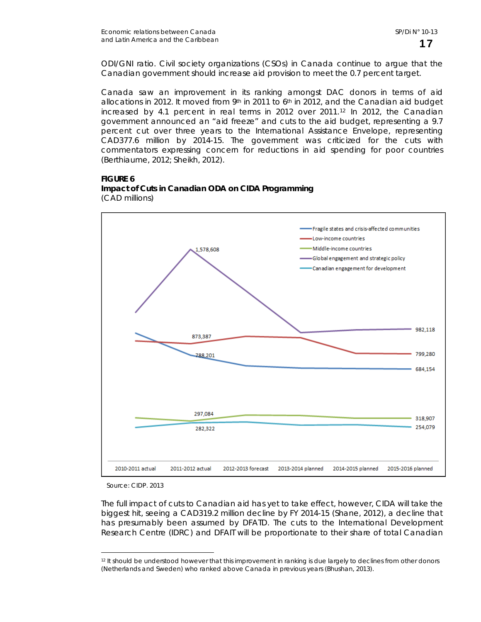ODI/GNI ratio. Civil society organizations (CSOs) in Canada continue to argue that the Canadian government should increase aid provision to meet the 0.7 percent target.

Canada saw an improvement in its ranking amongst DAC donors in terms of aid allocations in 2012. It moved from  $9<sup>th</sup>$  in 2011 to  $6<sup>th</sup>$  in 2012, and the Canadian aid budget increased by 4.1 percent in real terms in 2012 over 2011.[12](#page-20-0) In 2012, the Canadian government announced an "aid freeze" and cuts to the aid budget, representing a 9.7 percent cut over three years to the International Assistance Envelope, representing CAD377.6 million by 2014-15. The government was criticized for the cuts with commentators expressing concern for reductions in aid spending for poor countries (Berthiaume, 2012; Sheikh, 2012).





Source: CIDP. 2013

 $\overline{a}$ 

The full impact of cuts to Canadian aid has yet to take effect, however, CIDA will take the biggest hit, seeing a CAD319.2 million decline by FY 2014-15 (Shane, 2012), a decline that has presumably been assumed by DFATD. The cuts to the International Development Research Centre (IDRC) and DFAIT will be proportionate to their share of total Canadian

<span id="page-20-0"></span><sup>12</sup> It should be understood however that this improvement in ranking is due largely to declines from other donors (Netherlands and Sweden) who ranked above Canada in previous years (Bhushan, 2013).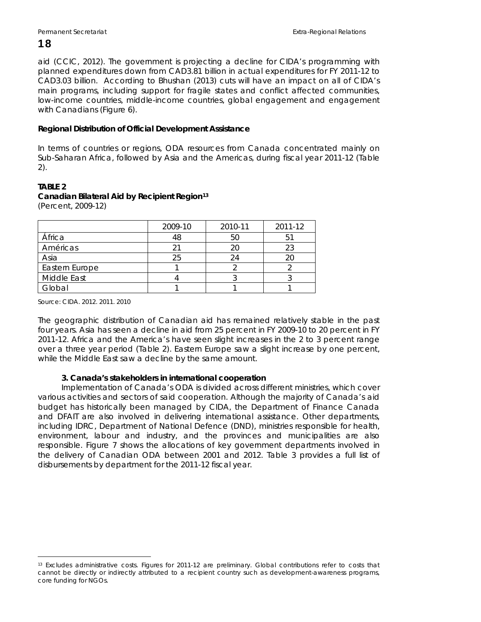aid (CCIC, 2012). The government is projecting a decline for CIDA's programming with planned expenditures down from CAD3.81 billion in actual expenditures for FY 2011-12 to CAD3.03 billion. According to Bhushan (2013) cuts will have an impact on all of CIDA's main programs, including support for fragile states and conflict affected communities, low-income countries, middle-income countries, global engagement and engagement with Canadians (Figure 6).

#### **Regional Distribution of Official Development Assistance**

In terms of countries or regions, ODA resources from Canada concentrated mainly on Sub-Saharan Africa, followed by Asia and the Americas, during fiscal year 2011-12 (Table 2).

#### **TABLE 2 Canadian Bilateral Aid by Recipient Region[13](#page-21-0)**

(Percent, 2009-12)

|                    | 2009-10 | 2010-11 | 2011-12 |
|--------------------|---------|---------|---------|
| África             | 48      |         |         |
| Américas           |         |         | 23      |
| Asia               | 25      |         | 20      |
| Eastern Europe     |         |         |         |
| <b>Middle East</b> |         |         |         |
| Global             |         |         |         |

Source: CIDA. 2012. 2011. 2010

 $\overline{a}$ 

The geographic distribution of Canadian aid has remained relatively stable in the past four years. Asia has seen a decline in aid from 25 percent in FY 2009-10 to 20 percent in FY 2011-12. Africa and the America's have seen slight increases in the 2 to 3 percent range over a three year period (Table 2). Eastern Europe saw a slight increase by one percent, while the Middle East saw a decline by the same amount.

#### **3. Canada's stakeholders in international cooperation**

Implementation of Canada's ODA is divided across different ministries, which cover various activities and sectors of said cooperation. Although the majority of Canada's aid budget has historically been managed by CIDA, the Department of Finance Canada and DFAIT are also involved in delivering international assistance. Other departments, including IDRC, Department of National Defence (DND), ministries responsible for health, environment, labour and industry, and the provinces and municipalities are also responsible. Figure 7 shows the allocations of key government departments involved in the delivery of Canadian ODA between 2001 and 2012. Table 3 provides a full list of disbursements by department for the 2011-12 fiscal year.

<span id="page-21-0"></span><sup>13</sup> Excludes administrative costs. Figures for 2011-12 are preliminary. Global contributions refer to costs that cannot be directly or indirectly attributed to a recipient country such as development-awareness programs, core funding for NGOs.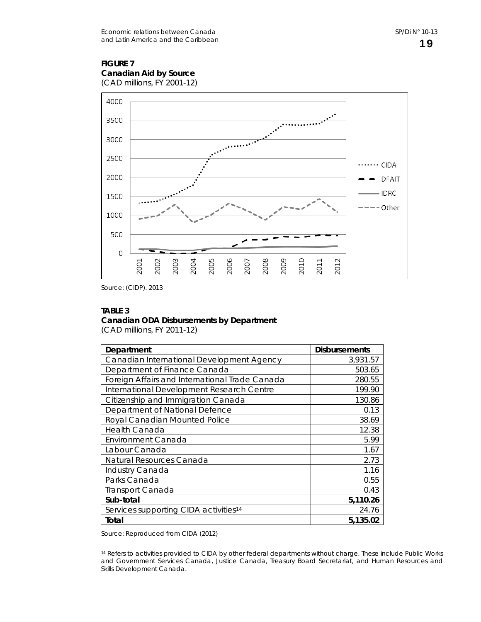#### **FIGURE 7 Canadian Aid by Source**

(CAD millions, FY 2001-12)



Source: (CIDP). 2013

#### **TABLE 3**

 $\overline{a}$ 

#### **Canadian ODA Disbursements by Department**

(CAD millions, FY 2011-12)

| Department                                        | <b>Disbursements</b> |
|---------------------------------------------------|----------------------|
| Canadian International Development Agency         | 3,931.57             |
| Department of Finance Canada                      | 503.65               |
| Foreign Affairs and International Trade Canada    | 280.55               |
| International Development Research Centre         | 199.90               |
| Citizenship and Immigration Canada                | 130.86               |
| Department of National Defence                    | 0.13                 |
| Royal Canadian Mounted Police                     | 38.69                |
| <b>Health Canada</b>                              | 12.38                |
| Environment Canada                                | 5.99                 |
| Labour Canada                                     | 1.67                 |
| Natural Resources Canada                          | 2.73                 |
| Industry Canada                                   | 1.16                 |
| Parks Canada                                      | 0.55                 |
| <b>Transport Canada</b>                           | 0.43                 |
| Sub-total                                         | 5,110.26             |
| Services supporting CIDA activities <sup>14</sup> | 24.76                |
| Total                                             | 5,135.02             |

Source: Reproduced from CIDA (2012)

<span id="page-22-0"></span><sup>14</sup> Refers to activities provided to CIDA by other federal departments without charge. These include Public Works and Government Services Canada, Justice Canada, Treasury Board Secretariat, and Human Resources and Skills Development Canada.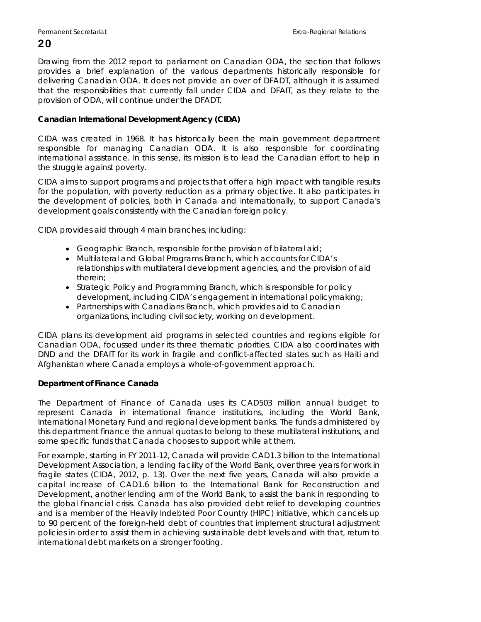Drawing from the 2012 report to parliament on Canadian ODA, the section that follows provides a brief explanation of the various departments historically responsible for delivering Canadian ODA. It does not provide an over of DFADT, although it is assumed that the responsibilities that currently fall under CIDA and DFAIT, as they relate to the provision of ODA, will continue under the DFADT.

#### **Canadian International Development Agency (CIDA)**

CIDA was created in 1968. It has historically been the main government department responsible for managing Canadian ODA. It is also responsible for coordinating international assistance. In this sense, its mission is to lead the Canadian effort to help in the struggle against poverty.

CIDA aims to support programs and projects that offer a high impact with tangible results for the population, with poverty reduction as a primary objective. It also participates in the development of policies, both in Canada and internationally, to support Canada's development goals consistently with the Canadian foreign policy.

CIDA provides aid through 4 main branches, including:

- Geographic Branch, responsible for the provision of bilateral aid;
- Multilateral and Global Programs Branch, which accounts for CIDA's relationships with multilateral development agencies, and the provision of aid therein;
- Strategic Policy and Programming Branch, which is responsible for policy development, including CIDA's engagement in international policymaking;
- Partnerships with Canadians Branch, which provides aid to Canadian organizations, including civil society, working on development.

CIDA plans its development aid programs in selected countries and regions eligible for Canadian ODA, focussed under its three thematic priorities. CIDA also coordinates with DND and the DFAIT for its work in fragile and conflict-affected states such as Haiti and Afghanistan where Canada employs a whole-of-government approach.

#### **Department of Finance Canada**

The Department of Finance of Canada uses its CAD503 million annual budget to represent Canada in international finance institutions, including the World Bank, International Monetary Fund and regional development banks. The funds administered by this department finance the annual quotas to belong to these multilateral institutions, and some specific funds that Canada chooses to support while at them.

For example, starting in FY 2011-12, Canada will provide CAD1.3 billion to the International Development Association, a lending facility of the World Bank, over three years for work in fragile states (CIDA, 2012, p. 13). Over the next five years, Canada will also provide a capital increase of CAD1.6 billion to the International Bank for Reconstruction and Development, another lending arm of the World Bank, to assist the bank in responding to the global financial crisis. Canada has also provided debt relief to developing countries and is a member of the Heavily Indebted Poor Country (HIPC) initiative, which cancels up to 90 percent of the foreign-held debt of countries that implement structural adjustment policies in order to assist them in achieving sustainable debt levels and with that, return to international debt markets on a stronger footing.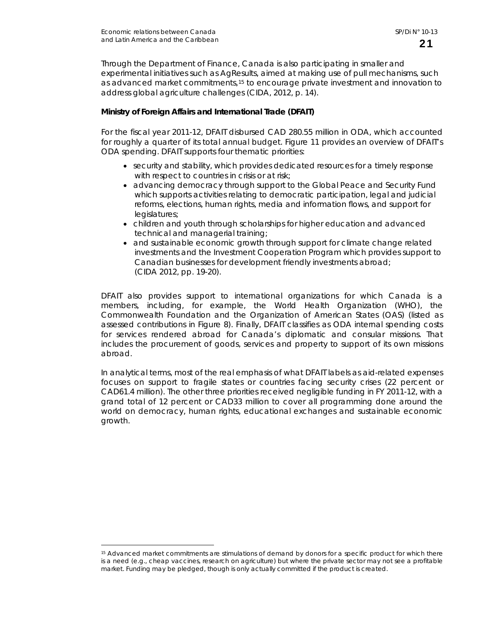$\overline{a}$ 

Through the Department of Finance, Canada is also participating in smaller and experimental initiatives such as AgResults, aimed at making use of pull mechanisms, such as advanced market commitments,[15](#page-24-0) to encourage private investment and innovation to address global agriculture challenges (CIDA, 2012, p. 14).

#### **Ministry of Foreign Affairs and International Trade (DFAIT)**

For the fiscal year 2011-12, DFAIT disbursed CAD 280.55 million in ODA, which accounted for roughly a quarter of its total annual budget. Figure 11 provides an overview of DFAIT's ODA spending. DFAIT supports four thematic priorities:

- security and stability, which provides dedicated resources for a timely response with respect to countries in crisis or at risk;
- advancing democracy through support to the Global Peace and Security Fund which supports activities relating to democratic participation, legal and judicial reforms, elections, human rights, media and information flows, and support for legislatures;
- children and youth through scholarships for higher education and advanced technical and managerial training;
- and sustainable economic growth through support for climate change related investments and the Investment Cooperation Program which provides support to Canadian businesses for development friendly investments abroad; (CIDA 2012, pp. 19-20).

DFAIT also provides support to international organizations for which Canada is a members, including, for example, the World Health Organization (WHO), the Commonwealth Foundation and the Organization of American States (OAS) (listed as assessed contributions in Figure 8). Finally, DFAIT classifies as ODA internal spending costs for services rendered abroad for Canada's diplomatic and consular missions. That includes the procurement of goods, services and property to support of its own missions abroad.

In analytical terms, most of the real emphasis of what DFAIT labels as aid-related expenses focuses on support to fragile states or countries facing security crises (22 percent or CAD61.4 million). The other three priorities received negligible funding in FY 2011-12, with a grand total of 12 percent or CAD33 million to cover all programming done around the world on democracy, human rights, educational exchanges and sustainable economic growth.

<span id="page-24-0"></span><sup>15</sup> Advanced market commitments are stimulations of demand by donors for a specific product for which there is a need (e.g., cheap vaccines, research on agriculture) but where the private sector may not see a profitable market. Funding may be pledged, though is only actually committed if the product is created.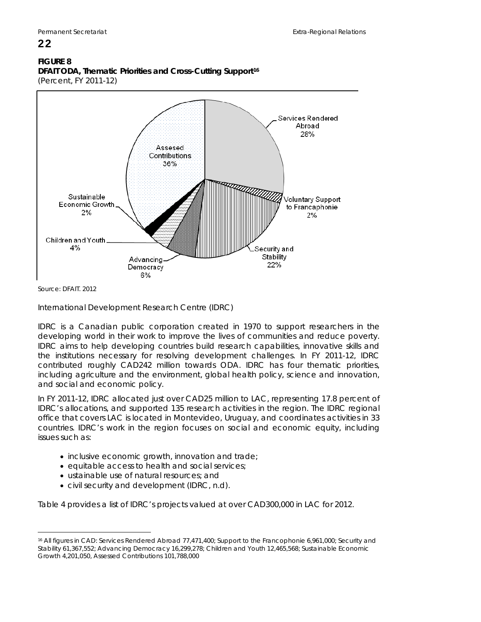### **FIGURE 8**

22

**DFAIT ODA, Thematic Priorities and Cross-Cutting Support[16](#page-25-0)** (Percent, FY 2011-12)



Source: DFAIT. 2012

International Development Research Centre (IDRC)

IDRC is a Canadian public corporation created in 1970 to support researchers in the developing world in their work to improve the lives of communities and reduce poverty. IDRC aims to help developing countries build research capabilities, innovative skills and the institutions necessary for resolving development challenges. In FY 2011-12, IDRC contributed roughly CAD242 million towards ODA. IDRC has four thematic priorities, including agriculture and the environment, global health policy, science and innovation, and social and economic policy.

In FY 2011-12, IDRC allocated just over CAD25 million to LAC, representing 17.8 percent of IDRC's allocations, and supported 135 research activities in the region. The IDRC regional office that covers LAC is located in Montevideo, Uruguay, and coordinates activities in 33 countries. IDRC's work in the region focuses on social and economic equity, including issues such as:

- inclusive economic growth, innovation and trade;
- equitable access to health and social services;
- ustainable use of natural resources; and
- civil security and development (IDRC, n.d).

Table 4 provides a list of IDRC's projects valued at over CAD300,000 in LAC for 2012.

<span id="page-25-0"></span> $\overline{a}$ 16 All figures in CAD: Services Rendered Abroad 77,471,400; Support to the Francophonie 6,961,000; Security and Stability 61,367,552; Advancing Democracy 16,299,278; Children and Youth 12,465,568; Sustainable Economic Growth 4,201,050, Assessed Contributions 101,788,000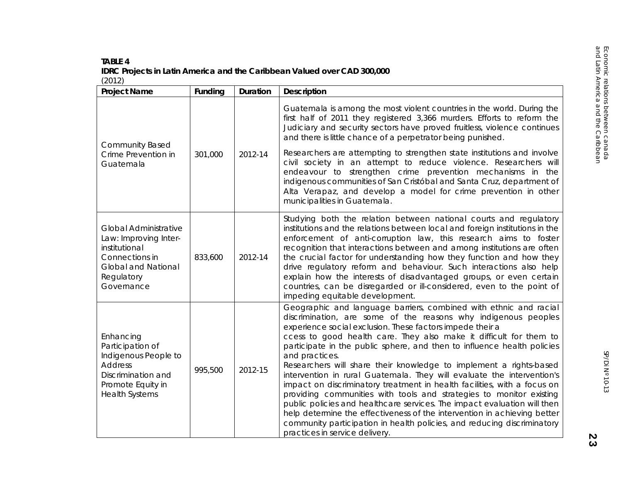#### Econ **TABLE 4** TABLE 4 **IDRC Projects in Latin America and the Caribbean Valued over CAD 300,000**  (2012)

| <b>Project Name</b>                                                                                                                                | Funding | Duration | Description                                                                                                                                                                                                                                                                                                                                                                                                                                                                                                                                                                                                                                                                                                                                                                                                                                                                                                                                 |
|----------------------------------------------------------------------------------------------------------------------------------------------------|---------|----------|---------------------------------------------------------------------------------------------------------------------------------------------------------------------------------------------------------------------------------------------------------------------------------------------------------------------------------------------------------------------------------------------------------------------------------------------------------------------------------------------------------------------------------------------------------------------------------------------------------------------------------------------------------------------------------------------------------------------------------------------------------------------------------------------------------------------------------------------------------------------------------------------------------------------------------------------|
|                                                                                                                                                    |         |          | Guatemala is among the most violent countries in the world. During the<br>first half of 2011 they registered 3,366 murders. Efforts to reform the<br>Judiciary and security sectors have proved fruitless, violence continues<br>and there is little chance of a perpetrator being punished.                                                                                                                                                                                                                                                                                                                                                                                                                                                                                                                                                                                                                                                |
| <b>Community Based</b><br>Crime Prevention in<br>Guatemala                                                                                         | 301,000 | 2012-14  | Researchers are attempting to strengthen state institutions and involve<br>civil society in an attempt to reduce violence. Researchers will<br>endeavour to strengthen crime prevention mechanisms in the<br>indigenous communities of San Cristóbal and Santa Cruz, department of<br>Alta Verapaz, and develop a model for crime prevention in other<br>municipalities in Guatemala.                                                                                                                                                                                                                                                                                                                                                                                                                                                                                                                                                       |
| <b>Global Administrative</b><br>Law: Improving Inter-<br>institutional<br>Connections in<br><b>Global and National</b><br>Regulatory<br>Governance | 833,600 | 2012-14  | Studying both the relation between national courts and regulatory<br>institutions and the relations between local and foreign institutions in the<br>enforcement of anti-corruption law, this research aims to foster<br>recognition that interactions between and among institutions are often<br>the crucial factor for understanding how they function and how they<br>drive regulatory reform and behaviour. Such interactions also help<br>explain how the interests of disadvantaged groups, or even certain<br>countries, can be disregarded or ill-considered, even to the point of<br>impeding equitable development.                                                                                                                                                                                                                                                                                                              |
| Enhancing<br>Participation of<br>Indigenous People to<br><b>Address</b><br>Discrimination and<br>Promote Equity in<br><b>Health Systems</b>        | 995,500 | 2012-15  | Geographic and language barriers, combined with ethnic and racial<br>discrimination, are some of the reasons why indigenous peoples<br>experience social exclusion. These factors impede their a<br>ccess to good health care. They also make it difficult for them to<br>participate in the public sphere, and then to influence health policies<br>and practices.<br>Researchers will share their knowledge to implement a rights-based<br>intervention in rural Guatemala. They will evaluate the intervention's<br>impact on discriminatory treatment in health facilities, with a focus on<br>providing communities with tools and strategies to monitor existing<br>public policies and healthcare services. The impact evaluation will then<br>help determine the effectiveness of the intervention in achieving better<br>community participation in health policies, and reducing discriminatory<br>practices in service delivery. |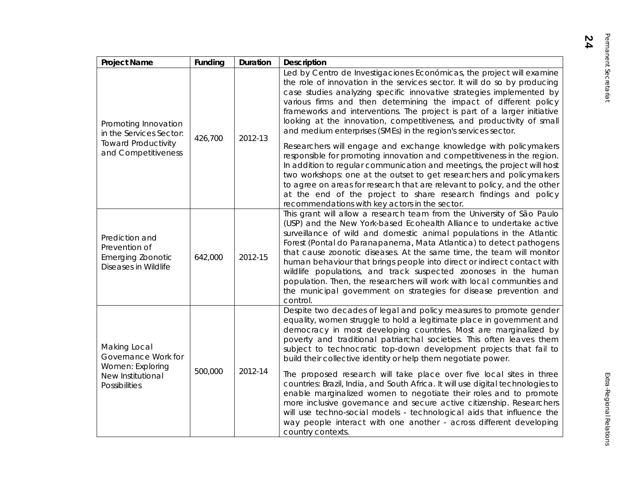| <b>Project Name</b>                                                                                  | Funding | <b>Duration</b> | <b>Description</b>                                                                                                                                                                                                                                                                                                                                                                                                                                                                                                                                                                                                                                                                                                                                                                                                                                                                                                                                                                                                          |
|------------------------------------------------------------------------------------------------------|---------|-----------------|-----------------------------------------------------------------------------------------------------------------------------------------------------------------------------------------------------------------------------------------------------------------------------------------------------------------------------------------------------------------------------------------------------------------------------------------------------------------------------------------------------------------------------------------------------------------------------------------------------------------------------------------------------------------------------------------------------------------------------------------------------------------------------------------------------------------------------------------------------------------------------------------------------------------------------------------------------------------------------------------------------------------------------|
| Promoting Innovation<br>in the Services Sector:<br><b>Toward Productivity</b><br>and Competitiveness | 426,700 | 2012-13         | Led by Centro de Investigaciones Económicas, the project will examine<br>the role of innovation in the services sector. It will do so by producing<br>case studies analyzing specific innovative strategies implemented by<br>various firms and then determining the impact of different policy<br>frameworks and interventions. The project is part of a larger initiative<br>looking at the innovation, competitiveness, and productivity of small<br>and medium enterprises (SMEs) in the region's services sector.<br>Researchers will engage and exchange knowledge with policymakers<br>responsible for promoting innovation and competitiveness in the region.<br>In addition to regular communication and meetings, the project will host<br>two workshops: one at the outset to get researchers and policymakers<br>to agree on areas for research that are relevant to policy, and the other<br>at the end of the project to share research findings and policy<br>recommendations with key actors in the sector. |
| Prediction and<br>Prevention of<br><b>Emerging Zoonotic</b><br>Diseases in Wildlife                  | 642,000 | 2012-15         | This grant will allow a research team from the University of São Paulo<br>(USP) and the New York-based Ecohealth Alliance to undertake active<br>surveillance of wild and domestic animal populations in the Atlantic<br>Forest (Pontal do Paranapanema, Mata Atlantica) to detect pathogens<br>that cause zoonotic diseases. At the same time, the team will monitor<br>human behaviour that brings people into direct or indirect contact with<br>wildlife populations, and track suspected zoonoses in the human<br>population. Then, the researchers will work with local communities and<br>the municipal government on strategies for disease prevention and<br>control.                                                                                                                                                                                                                                                                                                                                              |
| Making Local<br>Governance Work for<br>Women: Exploring<br>New Institutional<br><b>Possibilities</b> | 500,000 | 2012-14         | Despite two decades of legal and policy measures to promote gender<br>equality, women struggle to hold a legitimate place in government and<br>democracy in most developing countries. Most are marginalized by<br>poverty and traditional patriarchal societies. This often leaves them<br>subject to technocratic top-down development projects that fail to<br>build their collective identity or help them negotiate power.<br>The proposed research will take place over five local sites in three<br>countries: Brazil, India, and South Africa. It will use digital technologies to<br>enable marginalized women to negotiate their roles and to promote<br>more inclusive governance and secure active citizenship. Researchers<br>will use techno-social models - technological aids that influence the<br>way people interact with one another - across different developing<br>country contexts.                                                                                                                 |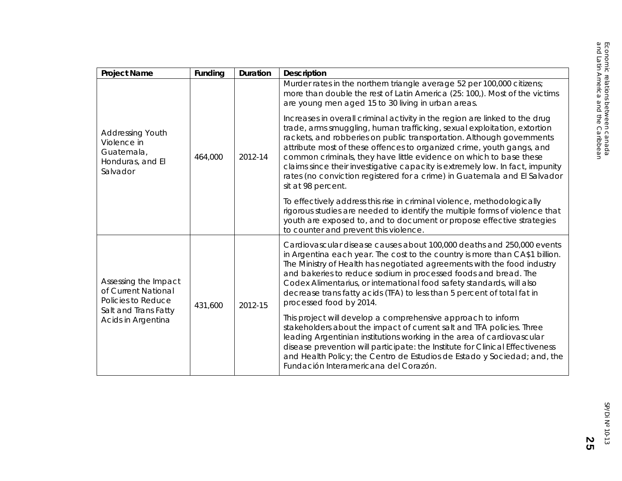| <b>Project Name</b>                                                                  | Funding | Duration | <b>Description</b>                                                                                                                                                                                                                                                                                                                                                                                                                                                                                                                                                                                                                                                                                                                                                                |
|--------------------------------------------------------------------------------------|---------|----------|-----------------------------------------------------------------------------------------------------------------------------------------------------------------------------------------------------------------------------------------------------------------------------------------------------------------------------------------------------------------------------------------------------------------------------------------------------------------------------------------------------------------------------------------------------------------------------------------------------------------------------------------------------------------------------------------------------------------------------------------------------------------------------------|
| <b>Addressing Youth</b><br>Violence in<br>Guatemala,<br>Honduras, and El<br>Salvador | 464,000 | 2012-14  | Murder rates in the northern triangle average 52 per 100,000 citizens;<br>more than double the rest of Latin America (25: 100,). Most of the victims<br>are young men aged 15 to 30 living in urban areas.<br>Increases in overall criminal activity in the region are linked to the drug<br>trade, arms smuggling, human trafficking, sexual exploitation, extortion<br>rackets, and robberies on public transportation. Although governments<br>attribute most of these offences to organized crime, youth gangs, and<br>common criminals, they have little evidence on which to base these<br>claims since their investigative capacity is extremely low. In fact, impunity<br>rates (no conviction registered for a crime) in Guatemala and El Salvador<br>sit at 98 percent. |
|                                                                                      |         |          | To effectively address this rise in criminal violence, methodologically<br>rigorous studies are needed to identify the multiple forms of violence that<br>youth are exposed to, and to document or propose effective strategies<br>to counter and prevent this violence.                                                                                                                                                                                                                                                                                                                                                                                                                                                                                                          |
| Assessing the Impact<br>of Current National<br>Policies to Reduce                    | 431,600 | 2012-15  | Cardiovascular disease causes about 100,000 deaths and 250,000 events<br>in Argentina each year. The cost to the country is more than CA\$1 billion.<br>The Ministry of Health has negotiated agreements with the food industry<br>and bakeries to reduce sodium in processed foods and bread. The<br>Codex Alimentarius, or international food safety standards, will also<br>decrease trans fatty acids (TFA) to less than 5 percent of total fat in<br>processed food by 2014.                                                                                                                                                                                                                                                                                                 |
| Salt and Trans Fatty<br>Acids in Argentina                                           |         |          | This project will develop a comprehensive approach to inform<br>stakeholders about the impact of current salt and TFA policies. Three<br>leading Argentinian institutions working in the area of cardiovascular<br>disease prevention will participate: the Institute for Clinical Effectiveness<br>and Health Policy; the Centro de Estudios de Estado y Sociedad; and, the<br>Fundación Interamericana del Corazón.                                                                                                                                                                                                                                                                                                                                                             |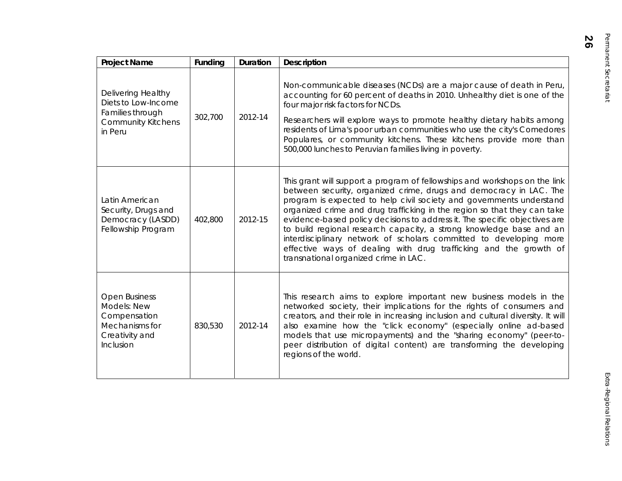| Delivering Healthy<br>Diets to Low-Income                                                            |         |         |                                                                                                                                                                                                                                                                                                                                                                                                                                                                                                                                                                                                                                               |
|------------------------------------------------------------------------------------------------------|---------|---------|-----------------------------------------------------------------------------------------------------------------------------------------------------------------------------------------------------------------------------------------------------------------------------------------------------------------------------------------------------------------------------------------------------------------------------------------------------------------------------------------------------------------------------------------------------------------------------------------------------------------------------------------------|
| Families through<br><b>Community Kitchens</b><br>in Peru                                             | 302,700 | 2012-14 | Non-communicable diseases (NCDs) are a major cause of death in Peru,<br>accounting for 60 percent of deaths in 2010. Unhealthy diet is one of the<br>four major risk factors for NCDs.<br>Researchers will explore ways to promote healthy dietary habits among<br>residents of Lima's poor urban communities who use the city's Comedores<br>Populares, or community kitchens. These kitchens provide more than<br>500,000 lunches to Peruvian families living in poverty.                                                                                                                                                                   |
| Latin American<br>Security, Drugs and<br>Democracy (LASDD)<br>Fellowship Program                     | 402,800 | 2012-15 | This grant will support a program of fellowships and workshops on the link<br>between security, organized crime, drugs and democracy in LAC. The<br>program is expected to help civil society and governments understand<br>organized crime and drug trafficking in the region so that they can take<br>evidence-based policy decisions to address it. The specific objectives are<br>to build regional research capacity, a strong knowledge base and an<br>interdisciplinary network of scholars committed to developing more<br>effective ways of dealing with drug trafficking and the growth of<br>transnational organized crime in LAC. |
| <b>Open Business</b><br>Models: New<br>Compensation<br>Mechanisms for<br>Creativity and<br>Inclusion | 830,530 | 2012-14 | This research aims to explore important new business models in the<br>networked society, their implications for the rights of consumers and<br>creators, and their role in increasing inclusion and cultural diversity. It will<br>also examine how the "click economy" (especially online ad-based<br>models that use micropayments) and the "sharing economy" (peer-to-<br>peer distribution of digital content) are transforming the developing<br>regions of the world.                                                                                                                                                                   |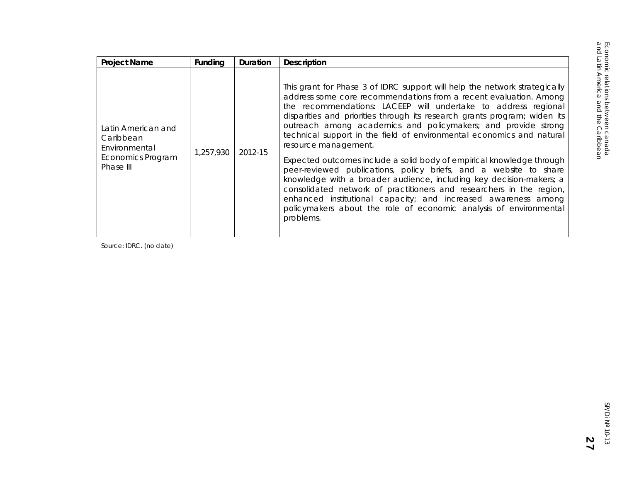| <b>Project Name</b>                                                                | Funding   | <b>Duration</b> | <b>Description</b>                                                                                                                                                                                                                                                                                                                                                                                                                                                                                                                                                                                                                                                                                                                                                                                                              |
|------------------------------------------------------------------------------------|-----------|-----------------|---------------------------------------------------------------------------------------------------------------------------------------------------------------------------------------------------------------------------------------------------------------------------------------------------------------------------------------------------------------------------------------------------------------------------------------------------------------------------------------------------------------------------------------------------------------------------------------------------------------------------------------------------------------------------------------------------------------------------------------------------------------------------------------------------------------------------------|
| Latin American and<br>Caribbean<br>Environmental<br>Economics Program<br>Phase III | 1,257,930 | 2012-15         | This grant for Phase 3 of IDRC support will help the network strategically<br>address some core recommendations from a recent evaluation. Among<br>the recommendations: LACEEP will undertake to address regional<br>disparities and priorities through its research grants program; widen its<br>outreach among academics and policymakers; and provide strong<br>technical support in the field of environmental economics and natural<br>resource management.<br>Expected outcomes include a solid body of empirical knowledge through<br>peer-reviewed publications, policy briefs, and a website to share<br>knowledge with a broader audience, including key decision-makers; a<br>consolidated network of practitioners and researchers in the region,<br>enhanced institutional capacity; and increased awareness among |
|                                                                                    |           |                 | policymakers about the role of economic analysis of environmental<br>problems.                                                                                                                                                                                                                                                                                                                                                                                                                                                                                                                                                                                                                                                                                                                                                  |

Source: IDRC. (no date)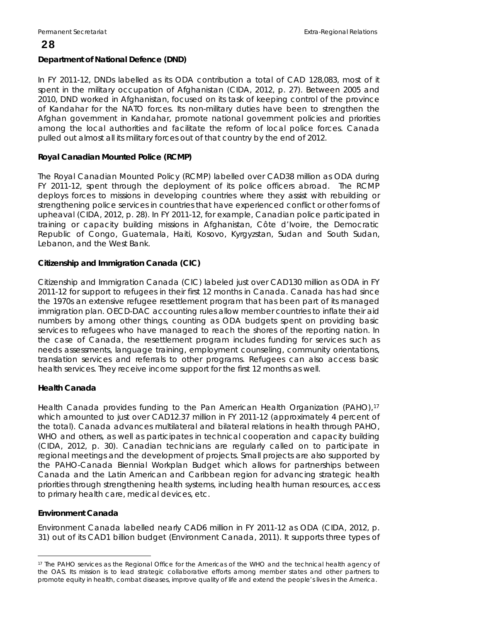#### **Department of National Defence (DND)**

In FY 2011-12, DNDs labelled as its ODA contribution a total of CAD 128,083, most of it spent in the military occupation of Afghanistan (CIDA, 2012, p. 27). Between 2005 and 2010, DND worked in Afghanistan, focused on its task of keeping control of the province of Kandahar for the NATO forces. Its non-military duties have been to strengthen the Afghan government in Kandahar, promote national government policies and priorities among the local authorities and facilitate the reform of local police forces. Canada pulled out almost all its military forces out of that country by the end of 2012.

#### **Royal Canadian Mounted Police (RCMP)**

The Royal Canadian Mounted Policy (RCMP) labelled over CAD38 million as ODA during FY 2011-12, spent through the deployment of its police officers abroad. The RCMP deploys forces to missions in developing countries where they assist with rebuilding or strengthening police services in countries that have experienced conflict or other forms of upheaval (CIDA, 2012, p. 28). In FY 2011-12, for example, Canadian police participated in training or capacity building missions in Afghanistan, Côte d'Ivoire, the Democratic Republic of Congo, Guatemala, Haiti, Kosovo, Kyrgyzstan, Sudan and South Sudan, Lebanon, and the West Bank.

#### **Citizenship and Immigration Canada (CIC)**

Citizenship and Immigration Canada (CIC) labeled just over CAD130 million as ODA in FY 2011-12 for support to refugees in their first 12 months in Canada. Canada has had since the 1970s an extensive refugee resettlement program that has been part of its managed immigration plan. OECD-DAC accounting rules allow member countries to inflate their aid numbers by among other things, counting as ODA budgets spent on providing basic services to refugees who have managed to reach the shores of the reporting nation. In the case of Canada, the resettlement program includes funding for services such as needs assessments, language training, employment counseling, community orientations, translation services and referrals to other programs. Refugees can also access basic health services. They receive income support for the first 12 months as well.

#### **Health Canada**

Health Canada provides funding to the Pan American Health Organization (PAHO),<sup>[17](#page-31-0)</sup> which amounted to just over CAD12.37 million in FY 2011-12 (approximately 4 percent of the total). Canada advances multilateral and bilateral relations in health through PAHO, WHO and others, as well as participates in technical cooperation and capacity building (CIDA, 2012, p. 30). Canadian technicians are regularly called on to participate in regional meetings and the development of projects. Small projects are also supported by the PAHO-Canada Biennial Workplan Budget which allows for partnerships between Canada and the Latin American and Caribbean region for advancing strategic health priorities through strengthening health systems, including health human resources, access to primary health care, medical devices, etc.

#### **Environment Canada**

 $\overline{a}$ 

Environment Canada labelled nearly CAD6 million in FY 2011-12 as ODA (CIDA, 2012, p. 31) out of its CAD1 billion budget (Environment Canada, 2011). It supports three types of

<span id="page-31-0"></span><sup>17</sup> The PAHO services as the Regional Office for the Americas of the WHO and the technical health agency of the OAS. Its mission is to lead strategic collaborative efforts among member states and other partners to promote equity in health, combat diseases, improve quality of life and extend the people's lives in the America.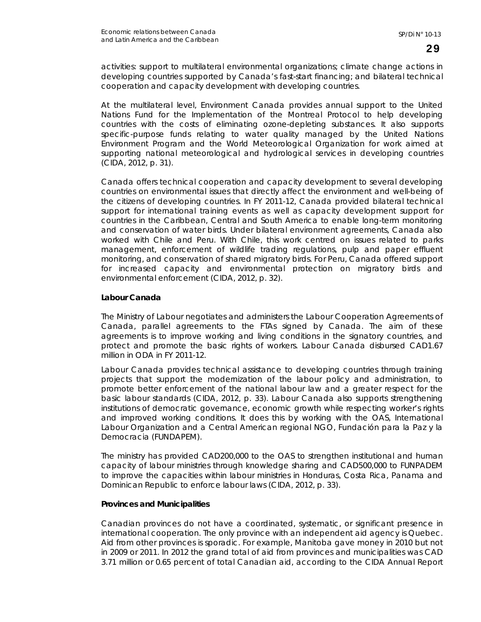activities: support to multilateral environmental organizations; climate change actions in developing countries supported by Canada's fast-start financing; and bilateral technical cooperation and capacity development with developing countries.

At the multilateral level, Environment Canada provides annual support to the United Nations Fund for the Implementation of the Montreal Protocol to help developing countries with the costs of eliminating ozone-depleting substances. It also supports specific-purpose funds relating to water quality managed by the United Nations Environment Program and the World Meteorological Organization for work aimed at supporting national meteorological and hydrological services in developing countries (CIDA, 2012, p. 31).

Canada offers technical cooperation and capacity development to several developing countries on environmental issues that directly affect the environment and well-being of the citizens of developing countries. In FY 2011-12, Canada provided bilateral technical support for international training events as well as capacity development support for countries in the Caribbean, Central and South America to enable long-term monitoring and conservation of water birds. Under bilateral environment agreements, Canada also worked with Chile and Peru. With Chile, this work centred on issues related to parks management, enforcement of wildlife trading regulations, pulp and paper effluent monitoring, and conservation of shared migratory birds. For Peru, Canada offered support for increased capacity and environmental protection on migratory birds and environmental enforcement (CIDA, 2012, p. 32).

#### **Labour Canada**

The Ministry of Labour negotiates and administers the Labour Cooperation Agreements of Canada, parallel agreements to the FTAs signed by Canada. The aim of these agreements is to improve working and living conditions in the signatory countries, and protect and promote the basic rights of workers. Labour Canada disbursed CAD1.67 million in ODA in FY 2011-12.

Labour Canada provides technical assistance to developing countries through training projects that support the modernization of the labour policy and administration, to promote better enforcement of the national labour law and a greater respect for the basic labour standards (CIDA, 2012, p. 33). Labour Canada also supports strengthening institutions of democratic governance, economic growth while respecting worker's rights and improved working conditions. It does this by working with the OAS, International Labour Organization and a Central American regional NGO, Fundación para la Paz y la Democracia (FUNDAPEM).

The ministry has provided CAD200,000 to the OAS to strengthen institutional and human capacity of labour ministries through knowledge sharing and CAD500,000 to FUNPADEM to improve the capacities within labour ministries in Honduras, Costa Rica, Panama and Dominican Republic to enforce labour laws (CIDA, 2012, p. 33).

#### **Provinces and Municipalities**

Canadian provinces do not have a coordinated, systematic, or significant presence in international cooperation. The only province with an independent aid agency is Quebec. Aid from other provinces is sporadic. For example, Manitoba gave money in 2010 but not in 2009 or 2011. In 2012 the grand total of aid from provinces and municipalities was CAD 3.71 million or 0.65 percent of total Canadian aid, according to the CIDA Annual Report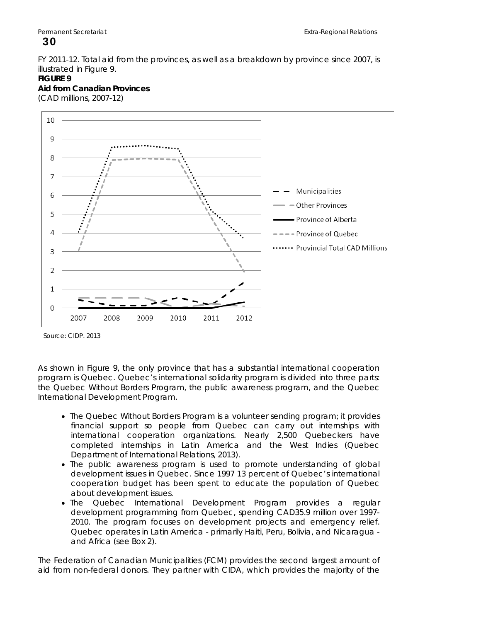#### FY 2011-12. Total aid from the provinces, as well as a breakdown by province since 2007, is illustrated in Figure 9.

#### **FIGURE 9**

**Aid from Canadian Provinces**  (CAD millions, 2007-12)



Source: CIDP. 2013

As shown in Figure 9, the only province that has a substantial international cooperation program is Quebec. Quebec's international solidarity program is divided into three parts: the Quebec Without Borders Program, the public awareness program, and the Quebec International Development Program.

- The Quebec Without Borders Program is a volunteer sending program; it provides financial support so people from Quebec can carry out internships with international cooperation organizations. Nearly 2,500 Quebeckers have completed internships in Latin America and the West Indies (Quebec Department of International Relations, 2013).
- The public awareness program is used to promote understanding of global development issues in Quebec. Since 1997 13 percent of Quebec's international cooperation budget has been spent to educate the population of Quebec about development issues.
- The Quebec International Development Program provides a regular development programming from Quebec, spending CAD35.9 million over 1997- 2010. The program focuses on development projects and emergency relief. Quebec operates in Latin America - primarily Haiti, Peru, Bolivia, and Nicaragua and Africa (see Box 2).

The Federation of Canadian Municipalities (FCM) provides the second largest amount of aid from non-federal donors. They partner with CIDA, which provides the majority of the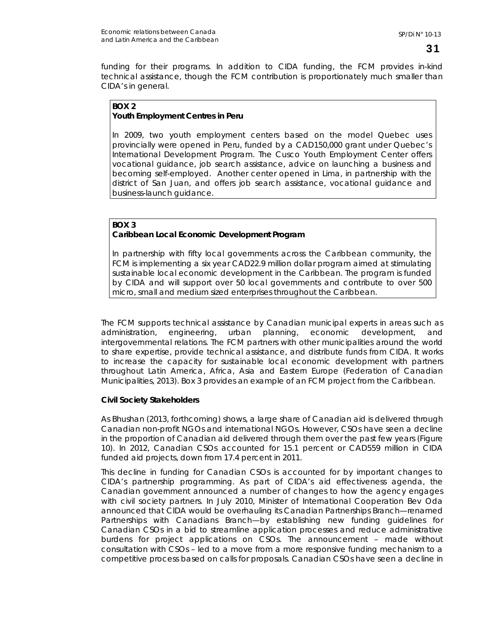funding for their programs. In addition to CIDA funding, the FCM provides in-kind technical assistance, though the FCM contribution is proportionately much smaller than CIDA's in general.

#### **BOX 2 Youth Employment Centres in Peru**

In 2009, two youth employment centers based on the model Quebec uses provincially were opened in Peru, funded by a CAD150,000 grant under Quebec's International Development Program. The Cusco Youth Employment Center offers vocational guidance, job search assistance, advice on launching a business and becoming self-employed. Another center opened in Lima, in partnership with the district of San Juan, and offers job search assistance, vocational guidance and business-launch guidance.

### **BOX 3**

#### **Caribbean Local Economic Development Program**

In partnership with fifty local governments across the Caribbean community, the FCM is implementing a six year CAD22.9 million dollar program aimed at stimulating sustainable local economic development in the Caribbean. The program is funded by CIDA and will support over 50 local governments and contribute to over 500 micro, small and medium sized enterprises throughout the Caribbean.

The FCM supports technical assistance by Canadian municipal experts in areas such as administration, engineering, urban planning, economic development, and intergovernmental relations. The FCM partners with other municipalities around the world to share expertise, provide technical assistance, and distribute funds from CIDA. It works to increase the capacity for sustainable local economic development with partners throughout Latin America, Africa, Asia and Eastern Europe (Federation of Canadian Municipalities, 2013). Box 3 provides an example of an FCM project from the Caribbean.

#### **Civil Society Stakeholders**

As Bhushan (2013, forthcoming) shows, a large share of Canadian aid is delivered through Canadian non-profit NGOs and international NGOs. However, CSOs have seen a decline in the proportion of Canadian aid delivered through them over the past few years (Figure 10). In 2012, Canadian CSOs accounted for 15.1 percent or CAD559 million in CIDA funded aid projects, down from 17.4 percent in 2011.

This decline in funding for Canadian CSOs is accounted for by important changes to CIDA's partnership programming. As part of CIDA's aid effectiveness agenda, the Canadian government announced a number of changes to how the agency engages with civil society partners. In July 2010, Minister of International Cooperation Bev Oda announced that CIDA would be overhauling its Canadian Partnerships Branch—renamed Partnerships with Canadians Branch—by establishing new funding guidelines for Canadian CSOs in a bid to streamline application processes and reduce administrative burdens for project applications on CSOs. The announcement – made without consultation with CSOs – led to a move from a more responsive funding mechanism to a competitive process based on calls for proposals. Canadian CSOs have seen a decline in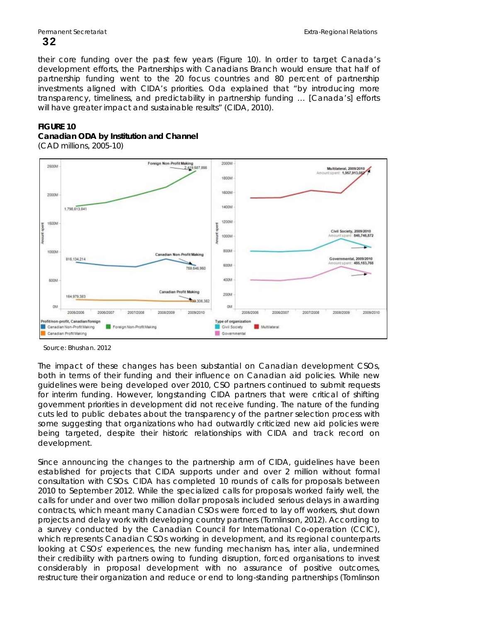their core funding over the past few years (Figure 10). In order to target Canada's development efforts, the Partnerships with Canadians Branch would ensure that half of partnership funding went to the 20 focus countries and 80 percent of partnership investments aligned with CIDA's priorities. Oda explained that "by introducing more transparency, timeliness, and predictability in partnership funding … [Canada's] efforts will have greater impact and sustainable results" (CIDA, 2010).

#### **FIGURE 10**

#### **Canadian ODA by Institution and Channel**

(CAD millions, 2005-10)



Source: Bhushan. 2012

The impact of these changes has been substantial on Canadian development CSOs, both in terms of their funding and their influence on Canadian aid policies. While new guidelines were being developed over 2010, CSO partners continued to submit requests for interim funding. However, longstanding CIDA partners that were critical of shifting government priorities in development did not receive funding. The nature of the funding cuts led to public debates about the transparency of the partner selection process with some suggesting that organizations who had outwardly criticized new aid policies were being targeted, despite their historic relationships with CIDA and track record on development.

Since announcing the changes to the partnership arm of CIDA, guidelines have been established for projects that CIDA supports under and over 2 million without formal consultation with CSOs. CIDA has completed 10 rounds of calls for proposals between 2010 to September 2012. While the specialized calls for proposals worked fairly well, the calls for under and over two million dollar proposals included serious delays in awarding contracts, which meant many Canadian CSOs were forced to lay off workers, shut down projects and delay work with developing country partners (Tomlinson, 2012). According to a survey conducted by the Canadian Council for International Co-operation (CCIC), which represents Canadian CSOs working in development, and its regional counterparts looking at CSOs' experiences, the new funding mechanism has, inter alia, undermined their credibility with partners owing to funding disruption, forced organisations to invest considerably in proposal development with no assurance of positive outcomes, restructure their organization and reduce or end to long-standing partnerships (Tomlinson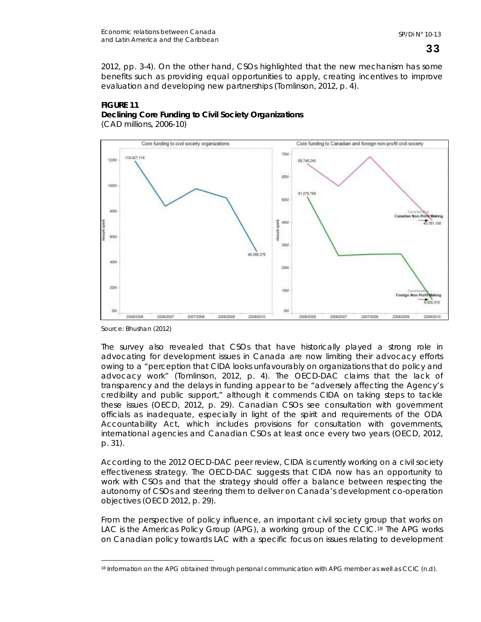2012, pp. 3-4). On the other hand, CSOs highlighted that the new mechanism has some benefits such as providing equal opportunities to apply, creating incentives to improve evaluation and developing new partnerships (Tomlinson, 2012, p. 4).



#### **FIGURE 11 Declining Core Funding to Civil Society Organizations**  (CAD millions, 2006-10)

Source: Bhushan (2012)

 $\overline{a}$ 

The survey also revealed that CSOs that have historically played a strong role in advocating for development issues in Canada are now limiting their advocacy efforts owing to a "perception that CIDA looks unfavourably on organizations that do policy and advocacy work" (Tomlinson, 2012, p. 4). The OECD-DAC claims that the lack of transparency and the delays in funding appear to be "adversely affecting the Agency's credibility and public support," although it commends CIDA on taking steps to tackle these issues (OECD, 2012, p. 29). Canadian CSOs see consultation with government officials as inadequate, especially in light of the spirit and requirements of the ODA Accountability Act, which includes provisions for consultation with governments, international agencies and Canadian CSOs at least once every two years (OECD, 2012, p. 31).

According to the 2012 OECD-DAC peer review, CIDA is currently working on a civil society effectiveness strategy. The OECD-DAC suggests that CIDA now has an opportunity to work with CSOs and that the strategy should offer a balance between respecting the autonomy of CSOs and steering them to deliver on Canada's development co-operation objectives (OECD 2012, p. 29).

From the perspective of policy influence, an important civil society group that works on LAC is the Americas Policy Group (APG), a working group of the CCIC.[18](#page-36-0) The APG works on Canadian policy towards LAC with a specific focus on issues relating to development

<span id="page-36-0"></span><sup>18</sup> Information on the APG obtained through personal communication with APG member as well as CCIC (n.d).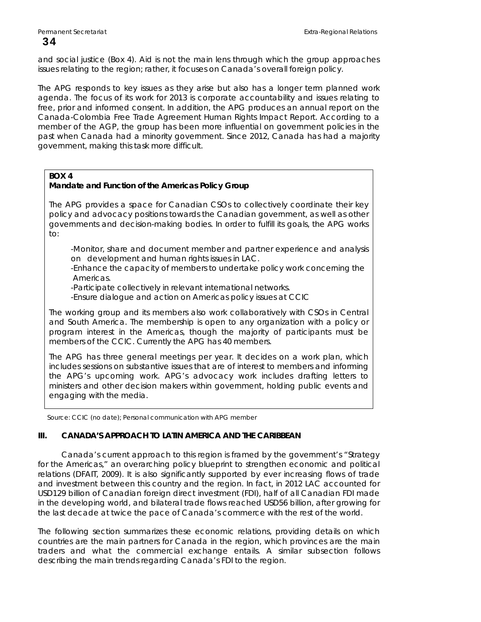and social justice (Box 4). Aid is not the main lens through which the group approaches issues relating to the region; rather, it focuses on Canada's overall foreign policy.

The APG responds to key issues as they arise but also has a longer term planned work agenda. The focus of its work for 2013 is corporate accountability and issues relating to free, prior and informed consent. In addition, the APG produces an annual report on the Canada-Colombia Free Trade Agreement Human Rights Impact Report. According to a member of the AGP, the group has been more influential on government policies in the past when Canada had a minority government. Since 2012, Canada has had a majority government, making this task more difficult.

## **BOX 4**

# **Mandate and Function of the Americas Policy Group**

The APG provides a space for Canadian CSOs to collectively coordinate their key policy and advocacy positions towards the Canadian government, as well as other governments and decision-making bodies. In order to fulfill its goals, the APG works to:

 -Monitor, share and document member and partner experience and analysis on development and human rights issues in LAC.

 -Enhance the capacity of members to undertake policy work concerning the Americas.

-Participate collectively in relevant international networks.

-Ensure dialogue and action on Americas policy issues at CCIC

The working group and its members also work collaboratively with CSOs in Central and South America. The membership is open to any organization with a policy or program interest in the Americas, though the majority of participants must be members of the CCIC. Currently the APG has 40 members.

The APG has three general meetings per year. It decides on a work plan, which includes sessions on substantive issues that are of interest to members and informing the APG's upcoming work. APG's advocacy work includes drafting letters to ministers and other decision makers within government, holding public events and engaging with the media.

Source: CCIC (no date); Personal communication with APG member

# **III. CANADA'S APPROACH TO LATIN AMERICA AND THE CARIBBEAN**

Canada's current approach to this region is framed by the government's "Strategy for the Americas," an overarching policy blueprint to strengthen economic and political relations (DFAIT, 2009). It is also significantly supported by ever increasing flows of trade and investment between this country and the region. In fact, in 2012 LAC accounted for USD129 billion of Canadian foreign direct investment (FDI), half of all Canadian FDI made in the developing world, and bilateral trade flows reached USD56 billion, after growing for the last decade at twice the pace of Canada's commerce with the rest of the world.

The following section summarizes these economic relations, providing details on which countries are the main partners for Canada in the region, which provinces are the main traders and what the commercial exchange entails. A similar subsection follows describing the main trends regarding Canada's FDI to the region.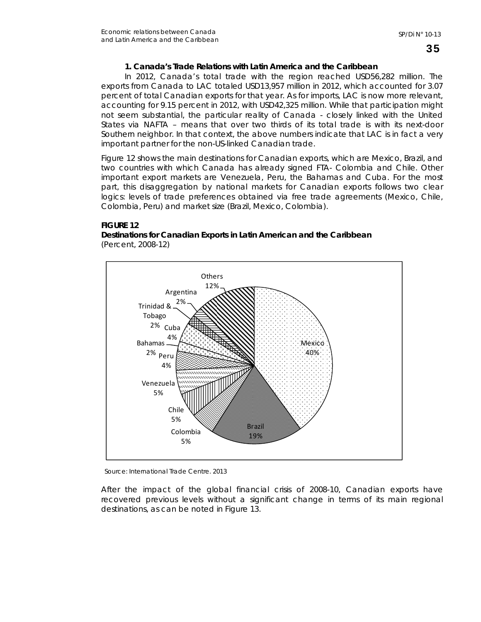# **1. Canada's Trade Relations with Latin America and the Caribbean**

In 2012, Canada's total trade with the region reached USD56,282 million. The exports from Canada to LAC totaled USD13,957 million in 2012, which accounted for 3.07 percent of total Canadian exports for that year. As for imports, LAC is now more relevant, accounting for 9.15 percent in 2012, with USD42,325 million. While that participation might not seem substantial, the particular reality of Canada - closely linked with the United States via NAFTA – means that over two thirds of its total trade is with its next-door Southern neighbor. In that context, the above numbers indicate that LAC is in fact a very important partner for the non-US-linked Canadian trade.

Figure 12 shows the main destinations for Canadian exports, which are Mexico, Brazil, and two countries with which Canada has already signed FTA- Colombia and Chile. Other important export markets are Venezuela, Peru, the Bahamas and Cuba. For the most part, this disaggregation by national markets for Canadian exports follows two clear logics: levels of trade preferences obtained via free trade agreements (Mexico, Chile, Colombia, Peru) and market size (Brazil, Mexico, Colombia).

# **FIGURE 12**

**Destinations for Canadian Exports in Latin American and the Caribbean**  (Percent, 2008-12)





After the impact of the global financial crisis of 2008-10, Canadian exports have recovered previous levels without a significant change in terms of its main regional destinations, as can be noted in Figure 13.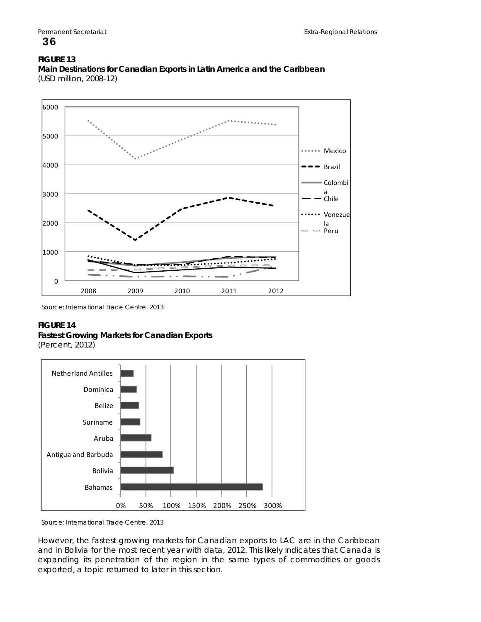# **FIGURE 13**



**Main Destinations for Canadian Exports in Latin America and the Caribbean**  (USD million, 2008-12)

Source: International Trade Centre. 2013

## **FIGURE 14**

**Fastest Growing Markets for Canadian Exports** 

(Percent, 2012)



Source: International Trade Centre. 2013

However, the fastest growing markets for Canadian exports to LAC are in the Caribbean and in Bolivia for the most recent year with data, 2012. This likely indicates that Canada is expanding its penetration of the region in the same types of commodities or goods exported, a topic returned to later in this section.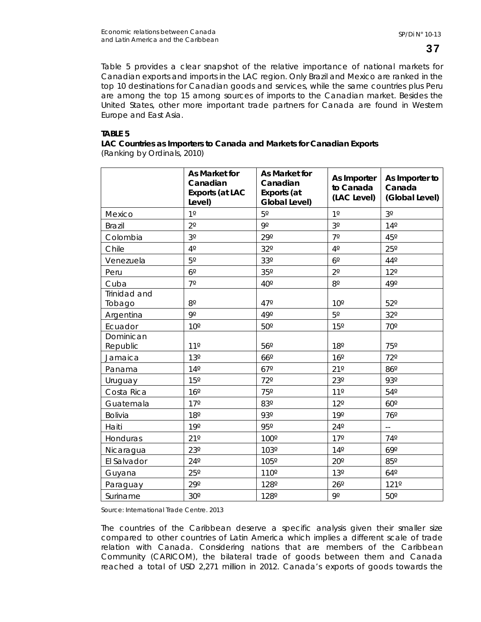Table 5 provides a clear snapshot of the relative importance of national markets for Canadian exports and imports in the LAC region. Only Brazil and Mexico are ranked in the top 10 destinations for Canadian goods and services, while the same countries plus Peru are among the top 15 among sources of imports to the Canadian market. Besides the United States, other more important trade partners for Canada are found in Western Europe and East Asia.

# **TABLE 5**

| LAC Countries as Importers to Canada and Markets for Canadian Exports |  |
|-----------------------------------------------------------------------|--|
| (Ranking by Ordinals, 2010)                                           |  |

|                        | As Market for<br>Canadian<br><b>Exports (at LAC</b><br>Level) | As Market for<br>Canadian<br>Exports (at<br>Global Level) | As Importer<br>to Canada<br>(LAC Level) | As Importer to<br>Canada<br>(Global Level) |
|------------------------|---------------------------------------------------------------|-----------------------------------------------------------|-----------------------------------------|--------------------------------------------|
| Mexico                 | $1^{\circ}$                                                   | $5^{\circ}$                                               | $1^{\circ}$                             | $3^{\rm o}$                                |
| <b>Brazil</b>          | $2^{\circ}$                                                   | 90                                                        | $3^{\rm o}$                             | $14^{\circ}$                               |
| Colombia               | $3^{\rm o}$                                                   | $29^\circ$                                                | $7^\circ$                               | 45°                                        |
| Chile                  | $4^{\rm o}$                                                   | $32^{\circ}$                                              | $4^{\circ}$                             | $25^{\circ}$                               |
| Venezuela              | $5^{\circ}$                                                   | $33^{\circ}$                                              | $6^{\circ}$                             | $44^{\circ}$                               |
| Peru                   | $6^{\circ}$                                                   | 35°                                                       | $2^{\circ}$                             | $12^{\circ}$                               |
| Cuba                   | $7^\circ$                                                     | $40^{\circ}$                                              | $8^{\circ}$                             | $49^\circ$                                 |
| Trinidad and<br>Tobago | $8^{\rm o}$                                                   | $47^\circ$                                                | $10^{\circ}$                            | $52^{\circ}$                               |
| Argentina              | 9º                                                            | 49°                                                       | $5^{\circ}$                             | $32^{\circ}$                               |
| Ecuador                | $10^{\circ}$                                                  | $50^{\circ}$                                              | $15^{\circ}$                            | $70^{\circ}$                               |
| Dominican<br>Republic  | $11^{\circ}$                                                  | $56^{\circ}$                                              | $18^{\circ}$                            | 75°                                        |
| Jamaica                | $13^{\circ}$                                                  | $66^\circ$                                                | $16^{\circ}$                            | $72^{\circ}$                               |
| Panama                 | $14^{\circ}$                                                  | $67^\circ$                                                | $21^{\circ}$                            | 86°                                        |
| Uruguay                | 15°                                                           | $72^{\circ}$                                              | $23^{\circ}$                            | 93°                                        |
| Costa Rica             | $16^{\circ}$                                                  | 75°                                                       | $11^{\circ}$                            | $54^{\circ}$                               |
| Guatemala              | $17^{\circ}$                                                  | 83°                                                       | $12^{\circ}$                            | $60^\circ$                                 |
| Bolivia                | $18^{\circ}$                                                  | 93°                                                       | 19°                                     | $76^\circ$                                 |
| Haiti                  | 19°                                                           | 95°                                                       | $24^{\circ}$                            | $\mathbb{L}^{\perp}$                       |
| Honduras               | $21^{\circ}$                                                  | 100°                                                      | $17^\circ$                              | $74^{\circ}$                               |
| Nicaragua              | $23^{\circ}$                                                  | 103°                                                      | $14^{\circ}$                            | $69^\circ$                                 |
| El Salvador            | $24^{\circ}$                                                  | 105°                                                      | $20^{\circ}$                            | 85°                                        |
| Guyana                 | $25^{\circ}$                                                  | 110°                                                      | 13 <sup>°</sup>                         | $64^\circ$                                 |
| Paraguay               | $29^\circ$                                                    | 128°                                                      | $26^{\circ}$                            | 121°                                       |
| Suriname               | $30^\circ$                                                    | 128°                                                      | 9°                                      | $50^{\circ}$                               |

Source: International Trade Centre. 2013

The countries of the Caribbean deserve a specific analysis given their smaller size compared to other countries of Latin America which implies a different scale of trade relation with Canada. Considering nations that are members of the Caribbean Community (CARICOM), the bilateral trade of goods between them and Canada reached a total of USD 2,271 million in 2012. Canada's exports of goods towards the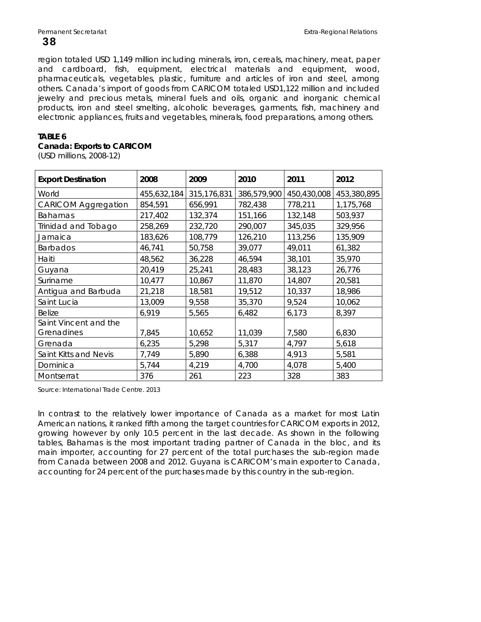region totaled USD 1,149 million including minerals, iron, cereals, machinery, meat, paper and cardboard, fish, equipment, electrical materials and equipment, wood, pharmaceuticals, vegetables, plastic, furniture and articles of iron and steel, among others. Canada's import of goods from CARICOM totaled USD1,122 million and included jewelry and precious metals, mineral fuels and oils, organic and inorganic chemical products, iron and steel smelting, alcoholic beverages, garments, fish, machinery and electronic appliances, fruits and vegetables, minerals, food preparations, among others.

# **TABLE 6**

# **Canada: Exports to CARICOM**

(USD millions, 2008-12)

| <b>Export Destination</b>           | 2008        | 2009        | 2010        | 2011        | 2012        |
|-------------------------------------|-------------|-------------|-------------|-------------|-------------|
| World                               | 455,632,184 | 315,176,831 | 386,579,900 | 450,430,008 | 453,380,895 |
| <b>CARICOM Aggregation</b>          | 854,591     | 656,991     | 782,438     | 778,211     | 1,175,768   |
| <b>Bahamas</b>                      | 217,402     | 132,374     | 151,166     | 132,148     | 503,937     |
| Trinidad and Tobago                 | 258,269     | 232,720     | 290,007     | 345,035     | 329,956     |
| Jamaica                             | 183,626     | 108,779     | 126,210     | 113,256     | 135,909     |
| <b>Barbados</b>                     | 46,741      | 50,758      | 39,077      | 49,011      | 61,382      |
| Haiti                               | 48,562      | 36,228      | 46,594      | 38,101      | 35,970      |
| Guyana                              | 20,419      | 25,241      | 28,483      | 38,123      | 26,776      |
| Suriname                            | 10,477      | 10,867      | 11,870      | 14,807      | 20,581      |
| Antigua and Barbuda                 | 21,218      | 18,581      | 19,512      | 10,337      | 18,986      |
| Saint Lucia                         | 13,009      | 9,558       | 35,370      | 9,524       | 10,062      |
| Belize                              | 6,919       | 5,565       | 6,482       | 6,173       | 8,397       |
| Saint Vincent and the<br>Grenadines | 7,845       | 10,652      | 11,039      | 7,580       | 6,830       |
| Grenada                             | 6,235       | 5,298       | 5,317       | 4,797       | 5,618       |
| Saint Kitts and Nevis               | 7,749       | 5,890       | 6,388       | 4,913       | 5,581       |
| Dominica                            | 5,744       | 4,219       | 4,700       | 4,078       | 5,400       |
| Montserrat                          | 376         | 261         | 223         | 328         | 383         |

Source: International Trade Centre. 2013

In contrast to the relatively lower importance of Canada as a market for most Latin American nations, it ranked fifth among the target countries for CARICOM exports in 2012, growing however by only 10.5 percent in the last decade. As shown in the following tables, Bahamas is the most important trading partner of Canada in the bloc, and its main importer, accounting for 27 percent of the total purchases the sub-region made from Canada between 2008 and 2012. Guyana is CARICOM's main exporter to Canada, accounting for 24 percent of the purchases made by this country in the sub-region.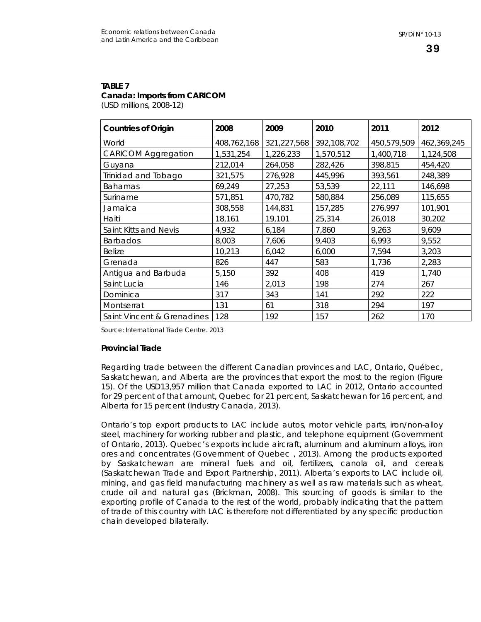#### **TABLE 7 Canada: Imports from CARICOM**  (USD millions, 2008-12)

| <b>Countries of Origin</b> | 2008        | 2009        | 2010        | 2011        | 2012        |
|----------------------------|-------------|-------------|-------------|-------------|-------------|
| World                      | 408,762,168 | 321,227,568 | 392,108,702 | 450,579,509 | 462,369,245 |
| <b>CARICOM Aggregation</b> | 1,531,254   | 1,226,233   | 1,570,512   | 1,400,718   | 1,124,508   |
| Guyana                     | 212,014     | 264,058     | 282,426     | 398,815     | 454,420     |
| Trinidad and Tobago        | 321,575     | 276,928     | 445,996     | 393,561     | 248,389     |
| <b>Bahamas</b>             | 69,249      | 27,253      | 53,539      | 22,111      | 146,698     |
| Suriname                   | 571,851     | 470,782     | 580,884     | 256,089     | 115,655     |
| Jamaica                    | 308,558     | 144,831     | 157,285     | 276,997     | 101,901     |
| Haiti                      | 18,161      | 19,101      | 25,314      | 26,018      | 30,202      |
| Saint Kitts and Nevis      | 4,932       | 6,184       | 7,860       | 9,263       | 9,609       |
| <b>Barbados</b>            | 8,003       | 7,606       | 9,403       | 6,993       | 9,552       |
| <b>Belize</b>              | 10,213      | 6,042       | 6,000       | 7,594       | 3,203       |
| Grenada                    | 826         | 447         | 583         | 1,736       | 2,283       |
| Antigua and Barbuda        | 5,150       | 392         | 408         | 419         | 1,740       |
| Saint Lucia                | 146         | 2,013       | 198         | 274         | 267         |
| Dominica                   | 317         | 343         | 141         | 292         | 222         |
| Montserrat                 | 131         | 61          | 318         | 294         | 197         |
| Saint Vincent & Grenadines | 128         | 192         | 157         | 262         | 170         |

Source: International Trade Centre. 2013

# **Provincial Trade**

Regarding trade between the different Canadian provinces and LAC, Ontario, Québec, Saskatchewan, and Alberta are the provinces that export the most to the region (Figure 15). Of the USD13,957 million that Canada exported to LAC in 2012, Ontario accounted for 29 percent of that amount, Quebec for 21 percent, Saskatchewan for 16 percent, and Alberta for 15 percent (Industry Canada, 2013).

Ontario's top export products to LAC include autos, motor vehicle parts, iron/non-alloy steel, machinery for working rubber and plastic, and telephone equipment (Government of Ontario, 2013). Quebec's exports include aircraft, aluminum and aluminum alloys, iron ores and concentrates (Government of Quebec , 2013). Among the products exported by Saskatchewan are mineral fuels and oil, fertilizers, canola oil, and cereals (Saskatchewan Trade and Export Partnership, 2011). Alberta's exports to LAC include oil, mining, and gas field manufacturing machinery as well as raw materials such as wheat, crude oil and natural gas (Brickman, 2008). This sourcing of goods is similar to the exporting profile of Canada to the rest of the world, probably indicating that the pattern of trade of this country with LAC is therefore not differentiated by any specific production chain developed bilaterally.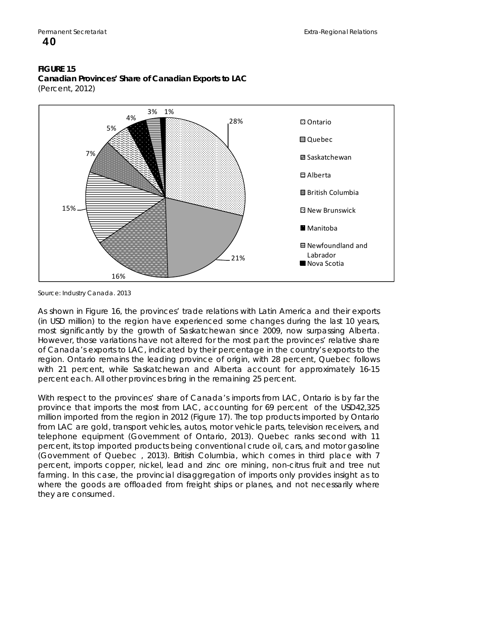#### **FIGURE 15 Canadian Provinces' Share of Canadian Exports to LAC**  (Percent, 2012)



Source: Industry Canada. 2013

As shown in Figure 16, the provinces' trade relations with Latin America and their exports (in USD million) to the region have experienced some changes during the last 10 years, most significantly by the growth of Saskatchewan since 2009, now surpassing Alberta. However, those variations have not altered for the most part the provinces' relative share of Canada's exports to LAC, indicated by their percentage in the country's exports to the region. Ontario remains the leading province of origin, with 28 percent, Quebec follows with 21 percent, while Saskatchewan and Alberta account for approximately 16-15 percent each. All other provinces bring in the remaining 25 percent.

With respect to the provinces' share of Canada's imports from LAC, Ontario is by far the province that imports the most from LAC, accounting for 69 percent of the USD42,325 million imported from the region in 2012 (Figure 17). The top products imported by Ontario from LAC are gold, transport vehicles, autos, motor vehicle parts, television receivers, and telephone equipment (Government of Ontario, 2013). Quebec ranks second with 11 percent, its top imported products being conventional crude oil, cars, and motor gasoline (Government of Quebec , 2013). British Columbia, which comes in third place with 7 percent, imports copper, nickel, lead and zinc ore mining, non-citrus fruit and tree nut farming. In this case, the provincial disaggregation of imports only provides insight as to where the goods are offloaded from freight ships or planes, and not necessarily where they are consumed.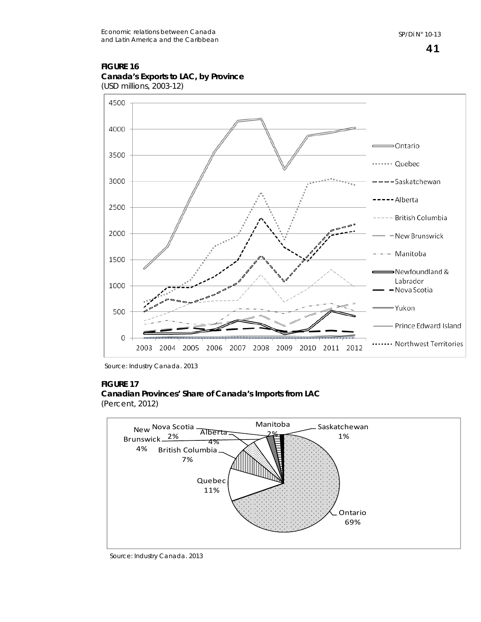#### **FIGURE 16 Canada's Exports to LAC, by Province**  (USD millions, 2003-12)



Source: Industry Canada. 2013

# **FIGURE 17**

#### **Canadian Provinces' Share of Canada's Imports from LAC**  (Percent, 2012)



Source: Industry Canada. 2013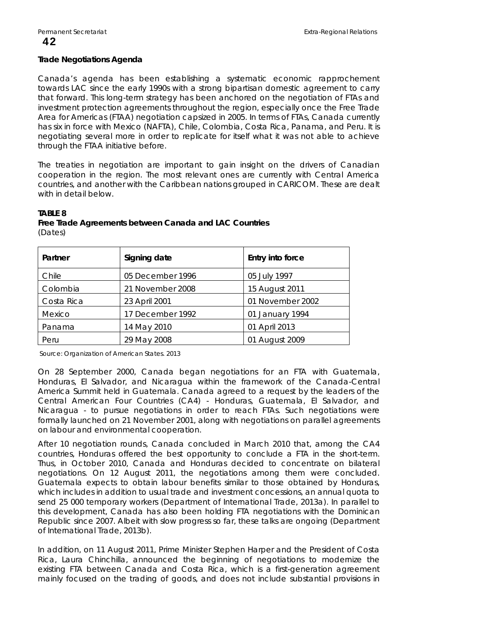#### **Trade Negotiations Agenda**

Canada's agenda has been establishing a systematic economic rapprochement towards LAC since the early 1990s with a strong bipartisan domestic agreement to carry that forward. This long-term strategy has been anchored on the negotiation of FTAs and investment protection agreements throughout the region, especially once the Free Trade Area for Americas (FTAA) negotiation capsized in 2005. In terms of FTAs, Canada currently has six in force with Mexico (NAFTA), Chile, Colombia, Costa Rica, Panama, and Peru. It is negotiating several more in order to replicate for itself what it was not able to achieve through the FTAA initiative before.

The treaties in negotiation are important to gain insight on the drivers of Canadian cooperation in the region. The most relevant ones are currently with Central America countries, and another with the Caribbean nations grouped in CARICOM. These are dealt with in detail below.

#### **TABLE 8**

#### **Free Trade Agreements between Canada and LAC Countries**  (Dates)

| Partner    | Signing date     | Entry into force |
|------------|------------------|------------------|
| Chile      | 05 December 1996 | 05 July 1997     |
| Colombia   | 21 November 2008 | 15 August 2011   |
| Costa Rica | 23 April 2001    | 01 November 2002 |
| Mexico     | 17 December 1992 | 01 January 1994  |
| Panama     | 14 May 2010      | 01 April 2013    |
| Peru       | 29 May 2008      | 01 August 2009   |

Source: Organization of American States. 2013

On 28 September 2000, Canada began negotiations for an FTA with Guatemala, Honduras, El Salvador, and Nicaragua within the framework of the Canada-Central America Summit held in Guatemala. Canada agreed to a request by the leaders of the Central American Four Countries (CA4) - Honduras, Guatemala, El Salvador, and Nicaragua - to pursue negotiations in order to reach FTAs. Such negotiations were formally launched on 21 November 2001, along with negotiations on parallel agreements on labour and environmental cooperation.

After 10 negotiation rounds, Canada concluded in March 2010 that, among the CA4 countries, Honduras offered the best opportunity to conclude a FTA in the short-term. Thus, in October 2010, Canada and Honduras decided to concentrate on bilateral negotiations. On 12 August 2011, the negotiations among them were concluded. Guatemala expects to obtain labour benefits similar to those obtained by Honduras, which includes in addition to usual trade and investment concessions, an annual quota to send 25 000 temporary workers (Department of International Trade, 2013a). In parallel to this development, Canada has also been holding FTA negotiations with the Dominican Republic since 2007. Albeit with slow progress so far, these talks are ongoing (Department of International Trade, 2013b).

In addition, on 11 August 2011, Prime Minister Stephen Harper and the President of Costa Rica, Laura Chinchilla, announced the beginning of negotiations to modernize the existing FTA between Canada and Costa Rica, which is a first-generation agreement mainly focused on the trading of goods, and does not include substantial provisions in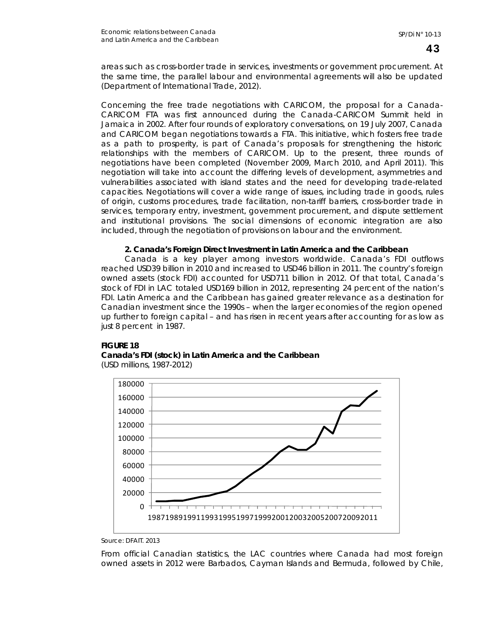areas such as cross-border trade in services, investments or government procurement. At the same time, the parallel labour and environmental agreements will also be updated (Department of International Trade, 2012).

Concerning the free trade negotiations with CARICOM, the proposal for a Canada-CARICOM FTA was first announced during the Canada-CARICOM Summit held in Jamaica in 2002. After four rounds of exploratory conversations, on 19 July 2007, Canada and CARICOM began negotiations towards a FTA. This initiative, which fosters free trade as a path to prosperity, is part of Canada's proposals for strengthening the historic relationships with the members of CARICOM. Up to the present, three rounds of negotiations have been completed (November 2009, March 2010, and April 2011). This negotiation will take into account the differing levels of development, asymmetries and vulnerabilities associated with island states and the need for developing trade-related capacities. Negotiations will cover a wide range of issues, including trade in goods, rules of origin, customs procedures, trade facilitation, non-tariff barriers, cross-border trade in services, temporary entry, investment, government procurement, and dispute settlement and institutional provisions. The social dimensions of economic integration are also included, through the negotiation of provisions on labour and the environment.

#### **2. Canada's Foreign Direct Investment in Latin America and the Caribbean**

Canada is a key player among investors worldwide. Canada's FDI outflows reached USD39 billion in 2010 and increased to USD46 billion in 2011. The country's foreign owned assets (stock FDI) accounted for USD711 billion in 2012. Of that total, Canada's stock of FDI in LAC totaled USD169 billion in 2012, representing 24 percent of the nation's FDI. Latin America and the Caribbean has gained greater relevance as a destination for Canadian investment since the 1990s – when the larger economies of the region opened up further to foreign capital – and has risen in recent years after accounting for as low as just 8 percent in 1987.

# **FIGURE 18 Canada's FDI (stock) in Latin America and the Caribbean**

(USD millions, 1987-2012)



Source: DFAIT. 2013

From official Canadian statistics, the LAC countries where Canada had most foreign owned assets in 2012 were Barbados, Cayman Islands and Bermuda, followed by Chile,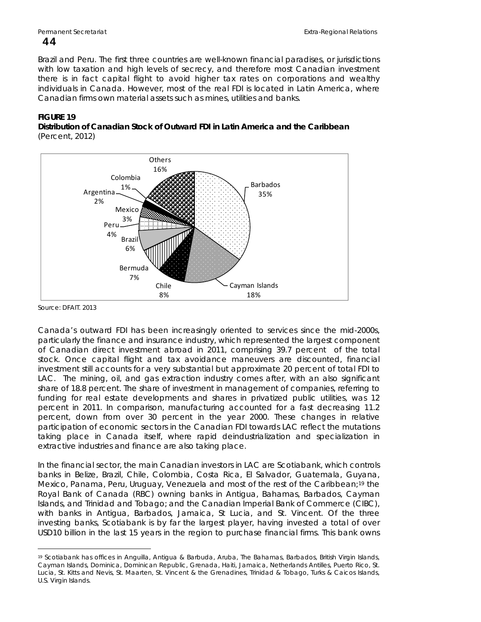#### Brazil and Peru. The first three countries are well-known financial paradises, or jurisdictions with low taxation and high levels of secrecy, and therefore most Canadian investment there is in fact capital flight to avoid higher tax rates on corporations and wealthy individuals in Canada. However, most of the real FDI is located in Latin America, where Canadian firms own material assets such as mines, utilities and banks.

# **FIGURE 19**

**Distribution of Canadian Stock of Outward FDI in Latin America and the Caribbean**  (Percent, 2012)



Source: DFAIT. 2013

Canada's outward FDI has been increasingly oriented to services since the mid-2000s, particularly the finance and insurance industry, which represented the largest component of Canadian direct investment abroad in 2011, comprising 39.7 percent of the total stock. Once capital flight and tax avoidance maneuvers are discounted, financial investment still accounts for a very substantial but approximate 20 percent of total FDI to LAC. The mining, oil, and gas extraction industry comes after, with an also significant share of 18.8 percent. The share of investment in management of companies, referring to funding for real estate developments and shares in privatized public utilities, was 12 percent in 2011. In comparison, manufacturing accounted for a fast decreasing 11.2 percent, down from over 30 percent in the year 2000. These changes in relative participation of economic sectors in the Canadian FDI towards LAC reflect the mutations taking place in Canada itself, where rapid deindustrialization and specialization in extractive industries and finance are also taking place.

In the financial sector, the main Canadian investors in LAC are Scotiabank, which controls banks in [Belize](http://www.scotiabank.com/bz/cda/index/0,,LIDen,00.html), [Brazil,](http://www.scotiabank.com/ca/en/0,,2709,00.html) [Chile](http://www.scotiabank.cl/index.shtml), [Colombia](http://www.scotiabank.com/ca/en/0,,2714,00.html), [Costa Rica,](http://www.scotiabankcr.com/index_ing.shtml) [El Salvador](http://www.scotiabank.com.sv/), [Guatemala,](http://www.scotiabank.com/ca/en/0,,2710,00.html) [Guyana,](http://www.scotiabank.com/gy/cda/index/0,,LIDen,00.html) Mexico, [Panama,](http://www.scotiabank.com/pa/cda/index/0,,LIDes,00.html) [Peru](http://www.scotiabank.com.pe/), [Uruguay,](http://www.scotiabank.com/ca/en/0,,5337,00.html) [Venezuela](http://www.bancaribe.com.ve/) and most of the rest of the Caribbean;[19](#page-47-0) the Royal Bank of Canada (RBC) owning banks in Antigua, Bahamas, Barbados, Cayman Islands, and Trinidad and Tobago; and the Canadian Imperial Bank of Commerce (CIBC), with banks in Antigua, Barbados, Jamaica, St Lucia, and St. Vincent. Of the three investing banks, Scotiabank is by far the largest player, having invested a total of over USD10 billion in the last 15 years in the region to purchase financial firms. This bank owns

<span id="page-47-0"></span> $\overline{a}$ 19 Scotiabank has offices in [Anguilla,](http://www.scotiabank.com/ai/cda/index/0,,LIDen,00.html) [Antigua & Barbuda,](http://www.scotiabank.com/ag/cda/index/0,,LIDen,00.html) [Aruba](http://www.mcb-bank.com/), [The Bahamas](http://www.scotiabank.com/bs/cda/index/0,,LIDen,00.html), [Barbados,](http://www.scotiabank.com/bb/cda/index/0,,LIDen,00.html) [British Virgin Islands](http://www.scotiabank.com/vg/cda/index/0,,LIDen,00.html), [Cayman Islands](http://www.scotiabank.com/ky/cda/index/0,,LIDen,00.html), [Dominica,](http://www.scotiabank.com/dm/cda/index/0,,LIDen,00.html) [Dominican Republic,](http://www.scotiabank.com/do/cda/index/0,,LIDes,00.html) [Grenada,](http://www.scotiabank.com/gd/cda/index/0,,LIDen,00.html) [Haiti](http://www.scotiabank.com/ht/cda/index/0,,LIDfr,00.html), [Jamaica,](http://www.scotiabank.com/jm/cda/index/0,,LIDen,00.html) [Netherlands Antilles,](http://www.mcb-bank.com/) [Puerto Rico](http://www.scotiabankpr.com/), [St.](http://www.scotiabank.com/lc/cda/index/0,,LIDen,00.html)  [Lucia](http://www.scotiabank.com/lc/cda/index/0,,LIDen,00.html), [St. Kitts and Nevis,](http://www.scotiabank.com/kn/cda/index/0,,LIDen,00.html) [St. Maarten](http://www.scotiabank.com/ansma/cda/index/0,,LIDen,00.html), [St. Vincent & the Grenadines](http://www.scotiabank.com/vc/cda/index/0,,LIDen,00.html), [Trinidad & Tobago,](http://www.scotiabank.com/tt/cda/index/0,,LIDen,00.html) [Turks & Caicos Islands](http://www.scotiabank.com/tc/cda/index/0,,LIDen,00.html), [U.S. Virgin Islands](http://www.scotiabank.com/vi/cda/index/0,,LIDen,00.html).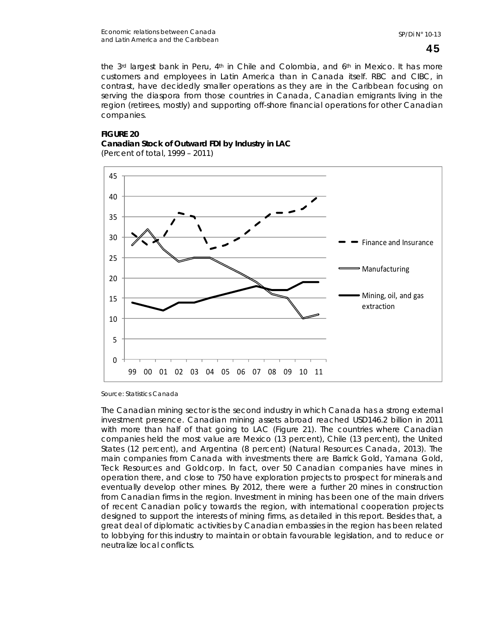the 3<sup>rd</sup> largest bank in Peru, 4<sup>th</sup> in Chile and Colombia, and 6<sup>th</sup> in Mexico. It has more customers and employees in Latin America than in Canada itself. RBC and CIBC, in contrast, have decidedly smaller operations as they are in the Caribbean focusing on serving the diaspora from those countries in Canada, Canadian emigrants living in the region (retirees, mostly) and supporting off-shore financial operations for other Canadian companies.

# **FIGURE 20 Canadian Stock of Outward FDI by Industry in LAC**





Source: Statistics Canada

The Canadian mining sector is the second industry in which Canada has a strong external investment presence. Canadian mining assets abroad reached USD146.2 billion in 2011 with more than half of that going to LAC (Figure 21). The countries where Canadian companies held the most value are Mexico (13 percent), Chile (13 percent), the United States (12 percent), and Argentina (8 percent) (Natural Resources Canada, 2013). The main companies from Canada with investments there are Barrick Gold, Yamana Gold, Teck Resources and Goldcorp. In fact, over 50 Canadian companies have mines in operation there, and close to 750 have exploration projects to prospect for minerals and eventually develop other mines. By 2012, there were a further 20 mines in construction from Canadian firms in the region. Investment in mining has been one of the main drivers of recent Canadian policy towards the region, with international cooperation projects designed to support the interests of mining firms, as detailed in this report. Besides that, a great deal of diplomatic activities by Canadian embassies in the region has been related to lobbying for this industry to maintain or obtain favourable legislation, and to reduce or neutralize local conflicts.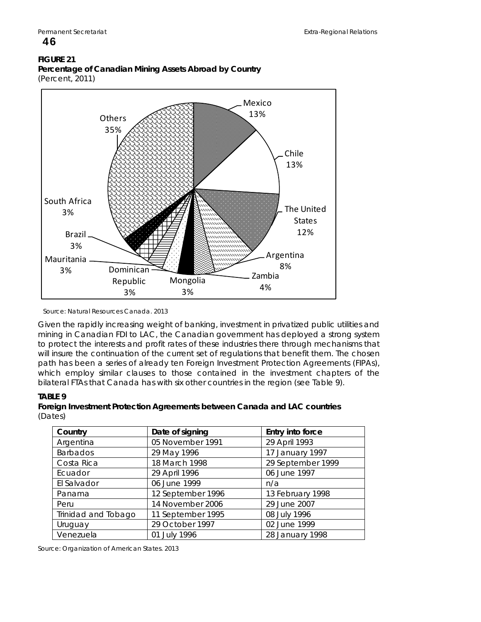#### **FIGURE 21 Percentage of Canadian Mining Assets Abroad by Country**  (Percent, 2011)



Source: Natural Resources Canada. 2013

Given the rapidly increasing weight of banking, investment in privatized public utilities and mining in Canadian FDI to LAC, the Canadian government has deployed a strong system to protect the interests and profit rates of these industries there through mechanisms that will insure the continuation of the current set of regulations that benefit them. The chosen path has been a series of already ten Foreign Investment Protection Agreements (FIPAs), which employ similar clauses to those contained in the investment chapters of the bilateral FTAs that Canada has with six other countries in the region (see Table 9).

# **TABLE 9**

# **Foreign Investment Protection Agreements between Canada and LAC countries**  (Dates)

| Country             | Date of signing   | Entry into force  |
|---------------------|-------------------|-------------------|
| Argentina           | 05 November 1991  | 29 April 1993     |
| Barbados            | 29 May 1996       | 17 January 1997   |
| Costa Rica          | 18 March 1998     | 29 September 1999 |
| Ecuador             | 29 April 1996     | 06 June 1997      |
| El Salvador         | 06 June 1999      | n/a               |
| Panama              | 12 September 1996 | 13 February 1998  |
| Peru                | 14 November 2006  | 29 June 2007      |
| Trinidad and Tobago | 11 September 1995 | 08 July 1996      |
| Uruguay             | 29 October 1997   | 02 June 1999      |
| Venezuela           | 01 July 1996      | 28 January 1998   |

Source: Organization of American States. 2013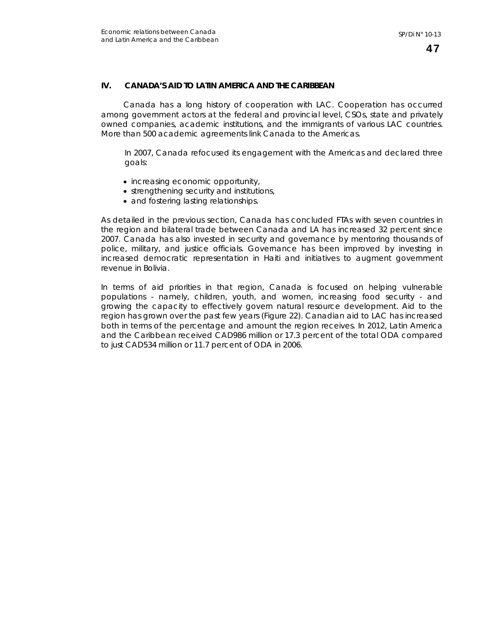# **IV. CANADA'S AID TO LATIN AMERICA AND THE CARIBBEAN**

Canada has a long history of cooperation with LAC. Cooperation has occurred among government actors at the federal and provincial level, CSOs, state and privately owned companies, academic institutions, and the immigrants of various LAC countries. More than 500 academic agreements link Canada to the Americas.

In 2007, Canada refocused its engagement with the Americas and declared three goals:

- increasing economic opportunity,
- strengthening security and institutions,
- and fostering lasting relationships.

As detailed in the previous section, Canada has concluded FTAs with seven countries in the region and bilateral trade between Canada and LA has increased 32 percent since 2007. Canada has also invested in security and governance by mentoring thousands of police, military, and justice officials. Governance has been improved by investing in increased democratic representation in Haiti and initiatives to augment government revenue in Bolivia.

In terms of aid priorities in that region, Canada is focused on helping vulnerable populations - namely, children, youth, and women, increasing food security - and growing the capacity to effectively govern natural resource development. Aid to the region has grown over the past few years (Figure 22). Canadian aid to LAC has increased both in terms of the percentage and amount the region receives. In 2012, Latin America and the Caribbean received CAD986 million or 17.3 percent of the total ODA compared to just CAD534 million or 11.7 percent of ODA in 2006.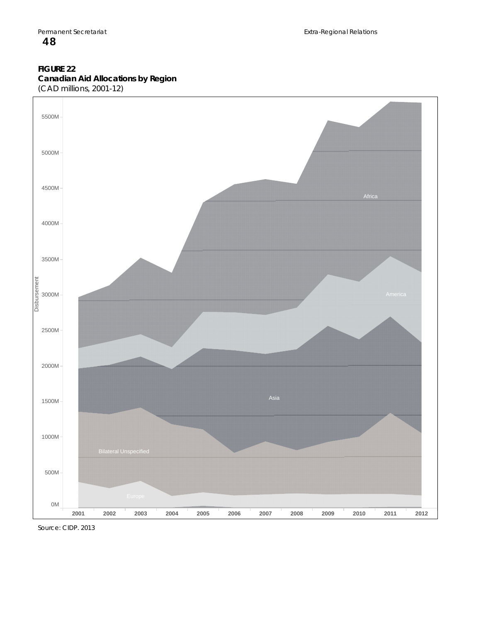# **FIGURE 22 Canadian Aid Allocations by Region**





Source: CIDP. 2013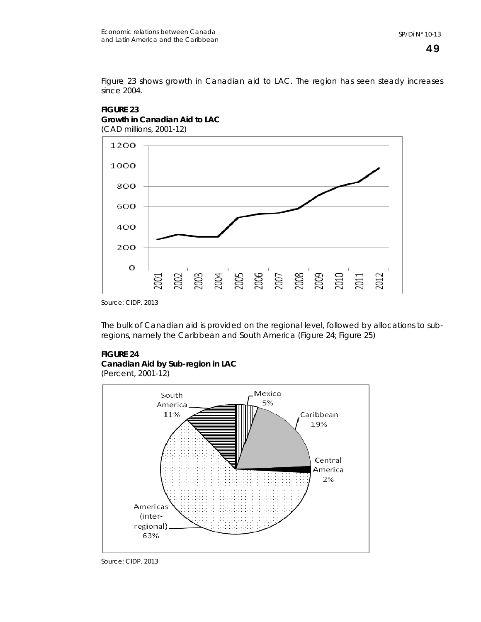Figure 23 shows growth in Canadian aid to LAC. The region has seen steady increases since 2004.



# **FIGURE 23 Growth in Canadian Aid to LAC**

Source: CIDP. 2013

The bulk of Canadian aid is provided on the regional level, followed by allocations to subregions, namely the Caribbean and South America (Figure 24; Figure 25)

# **FIGURE 24**

# **Canadian Aid by Sub-region in LAC**

(Percent, 2001-12)

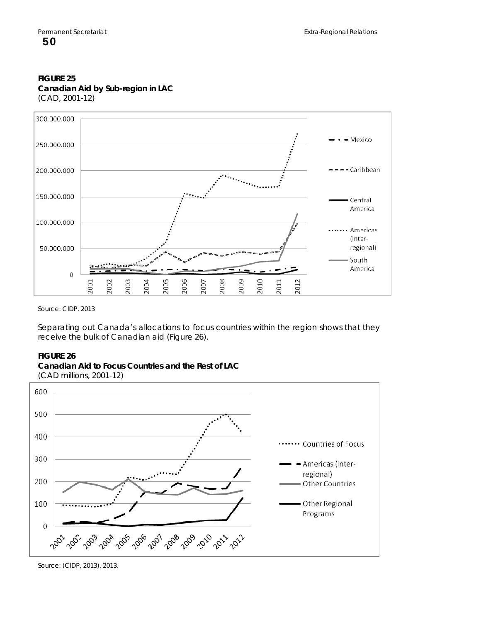#### **FIGURE 25 Canadian Aid by Sub-region in LAC**  (CAD, 2001-12)



Source: CIDP. 2013

Separating out Canada's allocations to focus countries within the region shows that they receive the bulk of Canadian aid (Figure 26).

#### **FIGURE 26**



(CAD millions, 2001-12)



Source: (CIDP, 2013). 2013.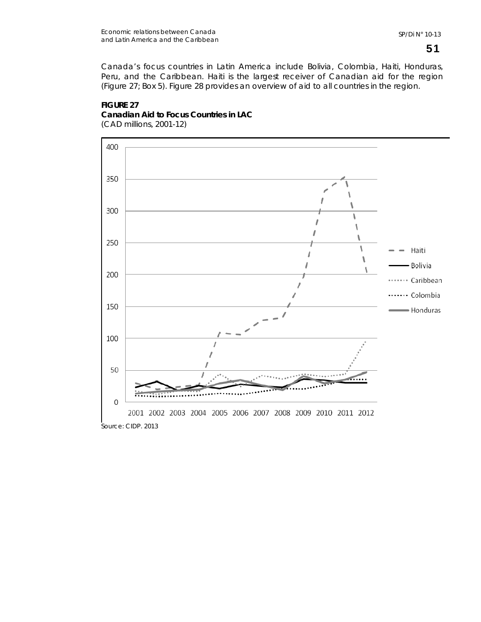Canada's focus countries in Latin America include Bolivia, Colombia, Haiti, Honduras, Peru, and the Caribbean. Haiti is the largest receiver of Canadian aid for the region (Figure 27; Box 5). Figure 28 provides an overview of aid to all countries in the region.

# **FIGURE 27 Canadian Aid to Focus Countries in LAC**  (CAD millions, 2001-12)

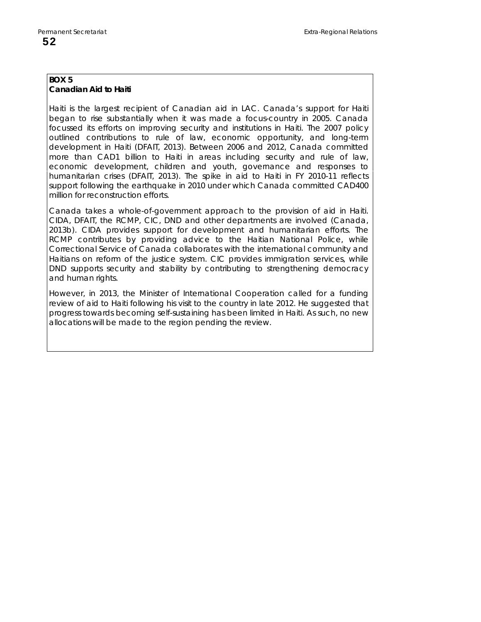## **BOX 5 Canadian Aid to Haiti**

Haiti is the largest recipient of Canadian aid in LAC. Canada's support for Haiti began to rise substantially when it was made a focus-country in 2005. Canada focussed its efforts on improving security and institutions in Haiti. The 2007 policy outlined contributions to rule of law, economic opportunity, and long-term development in Haiti (DFAIT, 2013). Between 2006 and 2012, Canada committed more than CAD1 billion to Haiti in areas including security and rule of law, economic development, children and youth, governance and responses to humanitarian crises (DFAIT, 2013). The spike in aid to Haiti in FY 2010-11 reflects support following the earthquake in 2010 under which Canada committed CAD400 million for reconstruction efforts.

Canada takes a whole-of-government approach to the provision of aid in Haiti. CIDA, DFAIT, the RCMP, CIC, DND and other departments are involved (Canada, 2013b). CIDA provides support for development and humanitarian efforts. The RCMP contributes by providing advice to the Haitian National Police, while Correctional Service of Canada collaborates with the international community and Haitians on reform of the justice system. CIC provides immigration services, while DND supports security and stability by contributing to strengthening democracy and human rights.

However, in 2013, the Minister of International Cooperation called for a funding review of aid to Haiti following his visit to the country in late 2012. He suggested that progress towards becoming self-sustaining has been limited in Haiti. As such, no new allocations will be made to the region pending the review.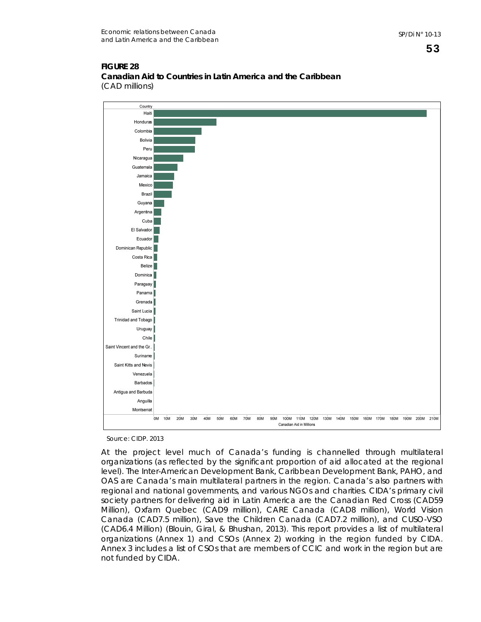#### **FIGURE 28 Canadian Aid to Countries in Latin America and the Caribbean**  (CAD millions)



Source: CIDP. 2013

At the project level much of Canada's funding is channelled through multilateral organizations (as reflected by the significant proportion of aid allocated at the regional level). The Inter-American Development Bank, Caribbean Development Bank, PAHO, and OAS are Canada's main multilateral partners in the region. Canada's also partners with regional and national governments, and various NGOs and charities. CIDA's primary civil society partners for delivering aid in Latin America are the Canadian Red Cross (CAD59 Million), Oxfam Quebec (CAD9 million), CARE Canada (CAD8 million), World Vision Canada (CAD7.5 million), Save the Children Canada (CAD7.2 million), and CUSO-VSO (CAD6.4 Million) (Blouin, Giral, & Bhushan, 2013). This report provides a list of multilateral organizations (Annex 1) and CSOs (Annex 2) working in the region funded by CIDA. Annex 3 includes a list of CSOs that are members of CCIC and work in the region but are not funded by CIDA.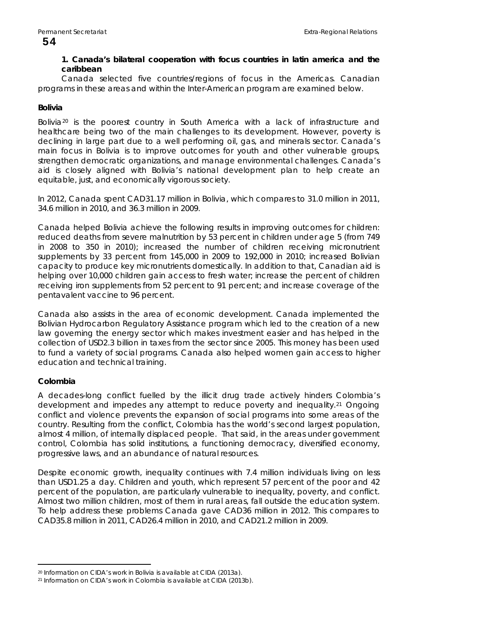# 54

## **1. Canada's bilateral cooperation with focus countries in latin america and the caribbean**

Canada selected five countries/regions of focus in the Americas. Canadian programs in these areas and within the Inter-American program are examined below.

## **Bolivia**

Bolivia<sup>[20](#page-57-0)</sup> is the poorest country in South America with a lack of infrastructure and healthcare being two of the main challenges to its development. However, poverty is declining in large part due to a well performing oil, gas, and minerals sector. Canada's main focus in Bolivia is to improve outcomes for youth and other vulnerable groups, strengthen democratic organizations, and manage environmental challenges. Canada's aid is closely aligned with Bolivia's national development plan to help create an equitable, just, and economically vigorous society.

In 2012, Canada spent CAD31.17 million in Bolivia, which compares to 31.0 million in 2011, 34.6 million in 2010, and 36.3 million in 2009.

Canada helped Bolivia achieve the following results in improving outcomes for children: reduced deaths from severe malnutrition by 53 percent in children under age 5 (from 749 in 2008 to 350 in 2010); increased the number of children receiving micronutrient supplements by 33 percent from 145,000 in 2009 to 192,000 in 2010; increased Bolivian capacity to produce key micronutrients domestically. In addition to that, Canadian aid is helping over 10,000 children gain access to fresh water; increase the percent of children receiving iron supplements from 52 percent to 91 percent; and increase coverage of the pentavalent vaccine to 96 percent.

Canada also assists in the area of economic development. Canada implemented the Bolivian Hydrocarbon Regulatory Assistance program which led to the creation of a new law governing the energy sector which makes investment easier and has helped in the collection of USD2.3 billion in taxes from the sector since 2005. This money has been used to fund a variety of social programs. Canada also helped women gain access to higher education and technical training.

# **Colombia**

 $\overline{a}$ 

A decades-long conflict fuelled by the illicit drug trade actively hinders Colombia's development and impedes any attempt to reduce poverty and inequality.[21](#page-57-1) Ongoing conflict and violence prevents the expansion of social programs into some areas of the country. Resulting from the conflict, Colombia has the world's second largest population, almost 4 million, of internally displaced people. That said, in the areas under government control, Colombia has solid institutions, a functioning democracy, diversified economy, progressive laws, and an abundance of natural resources.

Despite economic growth, inequality continues with 7.4 million individuals living on less than USD1.25 a day. Children and youth, which represent 57 percent of the poor and 42 percent of the population, are particularly vulnerable to inequality, poverty, and conflict. Almost two million children, most of them in rural areas, fall outside the education system. To help address these problems Canada gave CAD36 million in 2012. This compares to CAD35.8 million in 2011, CAD26.4 million in 2010, and CAD21.2 million in 2009.

<span id="page-57-0"></span><sup>20</sup> Information on CIDA's work in Bolivia is available at CIDA (2013a).

<span id="page-57-1"></span><sup>21</sup> Information on CIDA's work in Colombia is available at CIDA (2013b).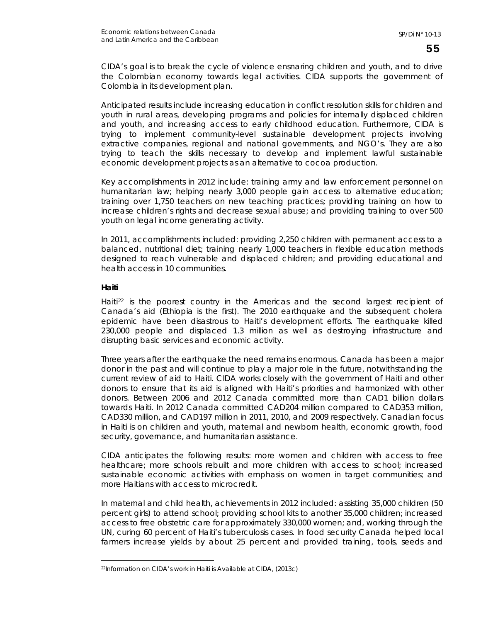CIDA's goal is to break the cycle of violence ensnaring children and youth, and to drive the Colombian economy towards legal activities. CIDA supports the government of Colombia in its development plan.

Anticipated results include increasing education in conflict resolution skills for children and youth in rural areas, developing programs and policies for internally displaced children and youth, and increasing access to early childhood education. Furthermore, CIDA is trying to implement community-level sustainable development projects involving extractive companies, regional and national governments, and NGO's. They are also trying to teach the skills necessary to develop and implement lawful sustainable economic development projects as an alternative to cocoa production.

Key accomplishments in 2012 include: training army and law enforcement personnel on humanitarian law; helping nearly 3,000 people gain access to alternative education; training over 1,750 teachers on new teaching practices; providing training on how to increase children's rights and decrease sexual abuse; and providing training to over 500 youth on legal income generating activity.

In 2011, accomplishments included: providing 2,250 children with permanent access to a balanced, nutritional diet; training nearly 1,000 teachers in flexible education methods designed to reach vulnerable and displaced children; and providing educational and health access in 10 communities.

## **Haiti**

 $\overline{a}$ 

Haiti [22](#page-58-0) is the poorest country in the Americas and the second largest recipient of Canada's aid (Ethiopia is the first). The 2010 earthquake and the subsequent cholera epidemic have been disastrous to Haiti's development efforts. The earthquake killed 230,000 people and displaced 1.3 million as well as destroying infrastructure and disrupting basic services and economic activity.

Three years after the earthquake the need remains enormous. Canada has been a major donor in the past and will continue to play a major role in the future, notwithstanding the current review of aid to Haiti. CIDA works closely with the government of Haiti and other donors to ensure that its aid is aligned with Haiti's priorities and harmonized with other donors. Between 2006 and 2012 Canada committed more than CAD1 billion dollars towards Haiti. In 2012 Canada committed CAD204 million compared to CAD353 million, CAD330 million, and CAD197 million in 2011, 2010, and 2009 respectively. Canadian focus in Haiti is on children and youth, maternal and newborn health, economic growth, food security, governance, and humanitarian assistance.

CIDA anticipates the following results: more women and children with access to free healthcare; more schools rebuilt and more children with access to school; increased sustainable economic activities with emphasis on women in target communities; and more Haitians with access to microcredit.

In maternal and child health, achievements in 2012 included: assisting 35,000 children (50 percent girls) to attend school; providing school kits to another 35,000 children; increased access to free obstetric care for approximately 330,000 women; and, working through the UN, curing 60 percent of Haiti's tuberculosis cases. In food security Canada helped local farmers increase yields by about 25 percent and provided training, tools, seeds and

<span id="page-58-0"></span><sup>22</sup>Information on CIDA's work in Haiti is Available at CIDA, (2013c)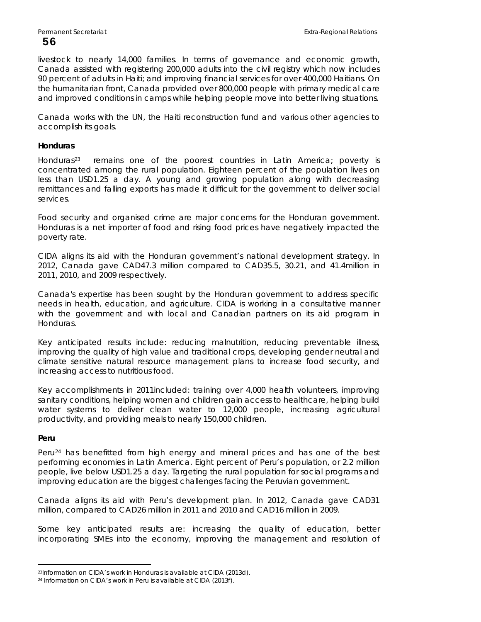livestock to nearly 14,000 families. In terms of governance and economic growth, Canada assisted with registering 200,000 adults into the civil registry which now includes 90 percent of adults in Haiti; and improving financial services for over 400,000 Haitians. On the humanitarian front, Canada provided over 800,000 people with primary medical care and improved conditions in camps while helping people move into better living situations.

Canada works with the UN, the Haiti reconstruction fund and various other agencies to accomplish its goals.

#### **Honduras**

Honduras[23](#page-59-0) remains one of the poorest countries in Latin America; poverty is concentrated among the rural population. Eighteen percent of the population lives on less than USD1.25 a day. A young and growing population along with decreasing remittances and falling exports has made it difficult for the government to deliver social services.

Food security and organised crime are major concerns for the Honduran government. Honduras is a net importer of food and rising food prices have negatively impacted the poverty rate.

CIDA aligns its aid with the Honduran government's national development strategy. In 2012, Canada gave CAD47.3 million compared to CAD35.5, 30.21, and 41.4million in 2011, 2010, and 2009 respectively.

Canada's expertise has been sought by the Honduran government to address specific needs in health, education, and agriculture. CIDA is working in a consultative manner with the government and with local and Canadian partners on its aid program in Honduras.

Key anticipated results include: reducing malnutrition, reducing preventable illness, improving the quality of high value and traditional crops, developing gender neutral and climate sensitive natural resource management plans to increase food security, and increasing access to nutritious food.

Key accomplishments in 2011included: training over 4,000 health volunteers, improving sanitary conditions, helping women and children gain access to healthcare, helping build water systems to deliver clean water to 12,000 people, increasing agricultural productivity, and providing meals to nearly 150,000 children.

#### **Peru**

 $\overline{a}$ 

Peru<sup>[24](#page-59-1)</sup> has benefitted from high energy and mineral prices and has one of the best performing economies in Latin America. Eight percent of Peru's population, or 2.2 million people, live below USD1.25 a day. Targeting the rural population for social programs and improving education are the biggest challenges facing the Peruvian government.

Canada aligns its aid with Peru's development plan. In 2012, Canada gave CAD31 million, compared to CAD26 million in 2011 and 2010 and CAD16 million in 2009.

Some key anticipated results are: increasing the quality of education, better incorporating SMEs into the economy, improving the management and resolution of

<span id="page-59-0"></span><sup>23</sup>Information on CIDA's work in Honduras is available at CIDA (2013d).

<span id="page-59-1"></span><sup>24</sup> Information on CIDA's work in Peru is available at CIDA (2013f).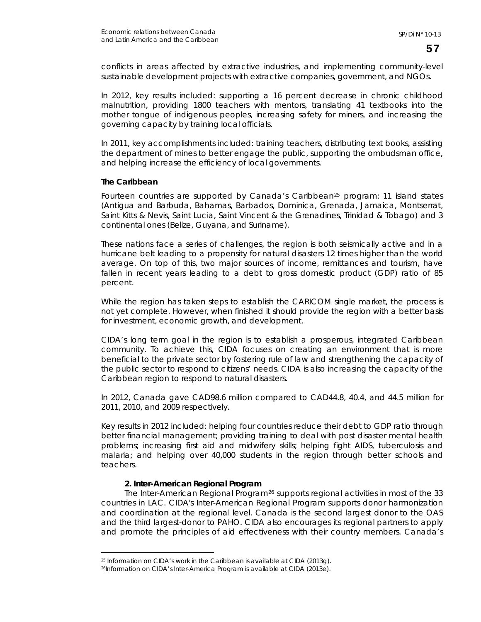conflicts in areas affected by extractive industries, and implementing community-level sustainable development projects with extractive companies, government, and NGOs.

In 2012, key results included: supporting a 16 percent decrease in chronic childhood malnutrition, providing 1800 teachers with mentors, translating 41 textbooks into the mother tongue of indigenous peoples, increasing safety for miners, and increasing the governing capacity by training local officials.

In 2011, key accomplishments included: training teachers, distributing text books, assisting the department of mines to better engage the public, supporting the ombudsman office, and helping increase the efficiency of local governments.

#### **The Caribbean**

 $\overline{a}$ 

Fourteen countries are supported by Canada's Caribbean<sup>[25](#page-60-0)</sup> program: 11 island states (Antigua and Barbuda, Bahamas, Barbados, Dominica, Grenada, Jamaica, Montserrat, Saint Kitts & Nevis, Saint Lucia, Saint Vincent & the Grenadines, Trinidad & Tobago) and 3 continental ones (Belize, Guyana, and Suriname).

These nations face a series of challenges, the region is both seismically active and in a hurricane belt leading to a propensity for natural disasters 12 times higher than the world average. On top of this, two major sources of income, remittances and tourism, have fallen in recent years leading to a debt to gross domestic product (GDP) ratio of 85 percent.

While the region has taken steps to establish the CARICOM single market, the process is not yet complete. However, when finished it should provide the region with a better basis for investment, economic growth, and development.

CIDA's long term goal in the region is to establish a prosperous, integrated Caribbean community. To achieve this, CIDA focuses on creating an environment that is more beneficial to the private sector by fostering rule of law and strengthening the capacity of the public sector to respond to citizens' needs. CIDA is also increasing the capacity of the Caribbean region to respond to natural disasters.

In 2012, Canada gave CAD98.6 million compared to CAD44.8, 40.4, and 44.5 million for 2011, 2010, and 2009 respectively.

Key results in 2012 included: helping four countries reduce their debt to GDP ratio through better financial management; providing training to deal with post disaster mental health problems; increasing first aid and midwifery skills; helping fight AIDS, tuberculosis and malaria; and helping over 40,000 students in the region through better schools and teachers.

## **2. Inter-American Regional Program**

The Inter-American Regional Program<sup>[26](#page-60-1)</sup> supports regional activities in most of the 33 countries in LAC. CIDA's Inter-American Regional Program supports donor harmonization and coordination at the regional level. Canada is the second largest donor to the OAS and the third largest-donor to PAHO. CIDA also encourages its regional partners to apply and promote the principles of aid effectiveness with their country members. Canada's

<span id="page-60-0"></span><sup>25</sup> Information on CIDA's work in the Caribbean is available at CIDA (2013g).

<span id="page-60-1"></span><sup>26</sup>Information on CIDA's Inter-America Program is available at CIDA (2013e).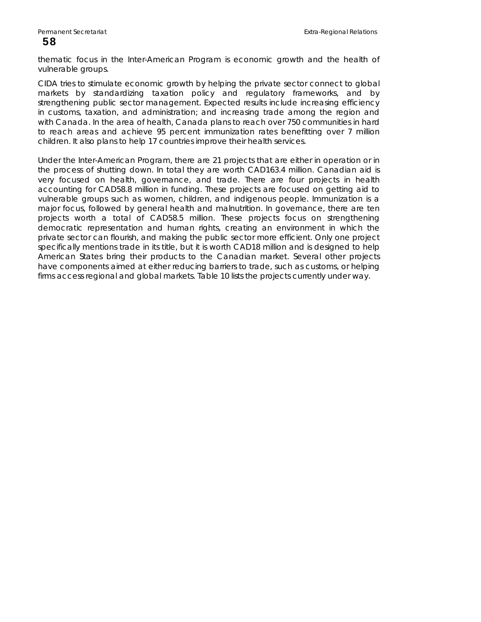thematic focus in the Inter-American Program is economic growth and the health of vulnerable groups.

CIDA tries to stimulate economic growth by helping the private sector connect to global markets by standardizing taxation policy and regulatory frameworks, and by strengthening public sector management. Expected results include increasing efficiency in customs, taxation, and administration; and increasing trade among the region and with Canada. In the area of health, Canada plans to reach over 750 communities in hard to reach areas and achieve 95 percent immunization rates benefitting over 7 million children. It also plans to help 17 countries improve their health services.

Under the Inter-American Program, there are 21 projects that are either in operation or in the process of shutting down. In total they are worth CAD163.4 million. Canadian aid is very focused on health, governance, and trade. There are four projects in health accounting for CAD58.8 million in funding. These projects are focused on getting aid to vulnerable groups such as women, children, and indigenous people. Immunization is a major focus, followed by general health and malnutrition. In governance, there are ten projects worth a total of CAD58.5 million. These projects focus on strengthening democratic representation and human rights, creating an environment in which the private sector can flourish, and making the public sector more efficient. Only one project specifically mentions trade in its title, but it is worth CAD18 million and is designed to help American States bring their products to the Canadian market. Several other projects have components aimed at either reducing barriers to trade, such as customs, or helping firms access regional and global markets. Table 10 lists the projects currently under way.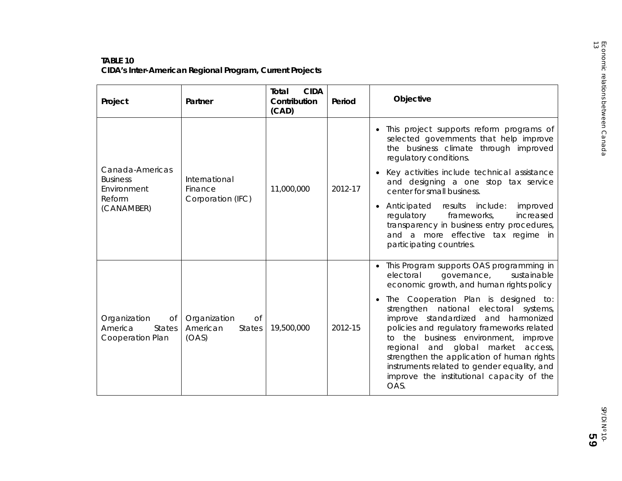# **TABLE 10**

| Project                                                            | Partner                                                         | <b>CIDA</b><br>Total<br>Contribution<br>(CAD) | Period                                                                                                                                                                                                     | Objective                                                                                                                                                                                                                                                                                                                                                                                                                                                                                                                                                |
|--------------------------------------------------------------------|-----------------------------------------------------------------|-----------------------------------------------|------------------------------------------------------------------------------------------------------------------------------------------------------------------------------------------------------------|----------------------------------------------------------------------------------------------------------------------------------------------------------------------------------------------------------------------------------------------------------------------------------------------------------------------------------------------------------------------------------------------------------------------------------------------------------------------------------------------------------------------------------------------------------|
| Canada-Americas<br><b>Business</b><br>Environment                  | International<br>Finance                                        | 11,000,000                                    | 2012-17                                                                                                                                                                                                    | • This project supports reform programs of<br>selected governments that help improve<br>the business climate through improved<br>regulatory conditions.<br>Key activities include technical assistance<br>$\bullet$<br>and designing a one stop tax service<br>center for small business.                                                                                                                                                                                                                                                                |
| Reform<br>Corporation (IFC)<br>(CANAMBER)                          |                                                                 |                                               | • Anticipated<br>results<br>include:<br>improved<br>regulatory<br>frameworks,<br>increased<br>transparency in business entry procedures,<br>and a more effective tax regime in<br>participating countries. |                                                                                                                                                                                                                                                                                                                                                                                                                                                                                                                                                          |
| Organization<br>Of<br>America<br><b>States</b><br>Cooperation Plan | Organization<br><b>of</b><br>American<br><b>States</b><br>(OAS) | 19,500,000                                    | 2012-15                                                                                                                                                                                                    | • This Program supports OAS programming in<br>electoral<br>sustainable<br>governance,<br>economic growth, and human rights policy<br>The Cooperation Plan is designed to:<br>$\bullet$<br>strengthen national electoral systems,<br>improve standardized and harmonized<br>policies and regulatory frameworks related<br>to the business environment, improve<br>regional and global market<br>access,<br>strengthen the application of human rights<br>instruments related to gender equality, and<br>improve the institutional capacity of the<br>OAS. |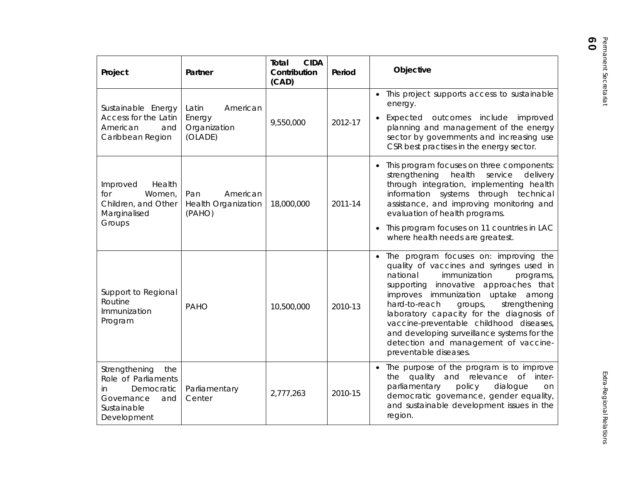| Project                                                                                                             | Partner                                                 | <b>CIDA</b><br>Total<br>Contribution<br>(CAD) | Period  | Objective                                                                                                                                                                                                                                                                                                                                                                                                                                                       |
|---------------------------------------------------------------------------------------------------------------------|---------------------------------------------------------|-----------------------------------------------|---------|-----------------------------------------------------------------------------------------------------------------------------------------------------------------------------------------------------------------------------------------------------------------------------------------------------------------------------------------------------------------------------------------------------------------------------------------------------------------|
| Sustainable Energy<br>Access for the Latin<br>American<br>and<br>Caribbean Region                                   | Latin<br>American<br>Energy<br>Organization<br>(OLADE)  | 9,550,000                                     | 2012-17 | • This project supports access to sustainable<br>energy.<br>• Expected outcomes include improved<br>planning and management of the energy<br>sector by governments and increasing use<br>CSR best practises in the energy sector.                                                                                                                                                                                                                               |
| Improved<br>Health<br>Women,<br>for<br>Children, and Other<br>Marginalised<br>Groups                                | Pan<br>American<br><b>Health Organization</b><br>(PAHO) | 18,000,000                                    | 2011-14 | • This program focuses on three components:<br>strengthening<br>health<br>service<br>delivery<br>through integration, implementing health<br>information systems through technical<br>assistance, and improving monitoring and<br>evaluation of health programs.<br>• This program focuses on 11 countries in LAC<br>where health needs are greatest.                                                                                                           |
| Support to Regional<br>Routine<br>Immunization<br>Program                                                           | PAHO                                                    | 10,500,000                                    | 2010-13 | • The program focuses on: improving the<br>quality of vaccines and syringes used in<br>national<br>immunization<br>programs,<br>supporting innovative approaches that<br>improves immunization uptake among<br>hard-to-reach<br>strengthening<br>groups,<br>laboratory capacity for the diagnosis of<br>vaccine-preventable childhood diseases,<br>and developing surveillance systems for the<br>detection and management of vaccine-<br>preventable diseases. |
| Strengthening<br>the<br>Role of Parliaments<br>Democratic<br>in.<br>Governance<br>and<br>Sustainable<br>Development | Parliamentary<br>Center                                 | 2,777,263                                     | 2010-15 | • The purpose of the program is to improve<br>the quality and relevance of inter-<br>parliamentary<br>policy<br>dialogue<br>on<br>democratic governance, gender equality,<br>and sustainable development issues in the<br>region.                                                                                                                                                                                                                               |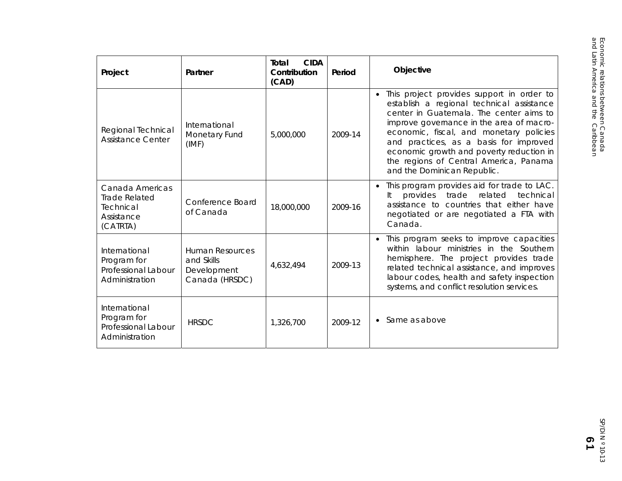| Project                                                                        | Partner                                                               | <b>CIDA</b><br>Total<br>Contribution<br>(CAD) | Period  | Objective                                                                                                                                                                                                                                                                                                                                                                                 |
|--------------------------------------------------------------------------------|-----------------------------------------------------------------------|-----------------------------------------------|---------|-------------------------------------------------------------------------------------------------------------------------------------------------------------------------------------------------------------------------------------------------------------------------------------------------------------------------------------------------------------------------------------------|
| Regional Technical<br><b>Assistance Center</b>                                 | International<br>Monetary Fund<br>(IMF)                               | 5,000,000                                     | 2009-14 | • This project provides support in order to<br>establish a regional technical assistance<br>center in Guatemala. The center aims to<br>improve governance in the area of macro-<br>economic, fiscal, and monetary policies<br>and practices, as a basis for improved<br>economic growth and poverty reduction in<br>the regions of Central America, Panama<br>and the Dominican Republic. |
| Canada Americas<br><b>Trade Related</b><br>Technical<br>Assistance<br>(CATRTA) | Conference Board<br>of Canada                                         | 18,000,000                                    | 2009-16 | • This program provides aid for trade to LAC.<br>provides<br>trade<br>related<br>It<br>technical<br>assistance to countries that either have<br>negotiated or are negotiated a FTA with<br>Canada.                                                                                                                                                                                        |
| International<br>Program for<br>Professional Labour<br>Administration          | <b>Human Resources</b><br>and Skills<br>Development<br>Canada (HRSDC) | 4,632,494                                     | 2009-13 | • This program seeks to improve capacities<br>within labour ministries in the Southern<br>hemisphere. The project provides trade<br>related technical assistance, and improves<br>labour codes, health and safety inspection<br>systems, and conflict resolution services.                                                                                                                |
| International<br>Program for<br>Professional Labour<br>Administration          | <b>HRSDC</b>                                                          | 1,326,700                                     | 2009-12 | $\bullet$ Same as above                                                                                                                                                                                                                                                                                                                                                                   |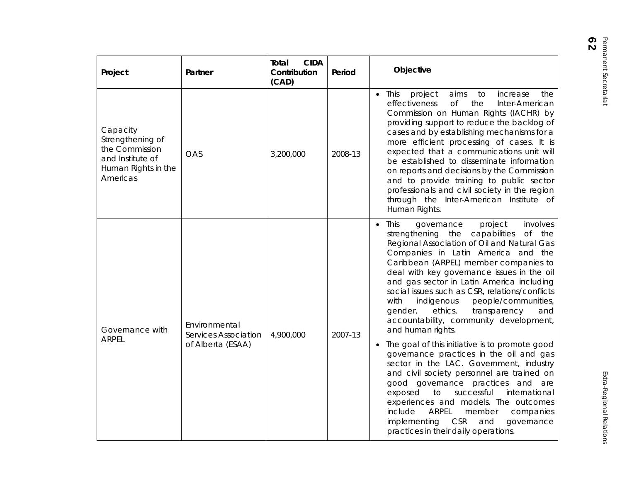| Project                                                                                               | Partner                                                    | <b>CIDA</b><br>Total<br>Contribution<br>(CAD) | Period  | Objective                                                                                                                                                                                                                                                                                                                                                                                                                                                                                                                                                                                                                                                                                                                                                                                                                                                                                           |
|-------------------------------------------------------------------------------------------------------|------------------------------------------------------------|-----------------------------------------------|---------|-----------------------------------------------------------------------------------------------------------------------------------------------------------------------------------------------------------------------------------------------------------------------------------------------------------------------------------------------------------------------------------------------------------------------------------------------------------------------------------------------------------------------------------------------------------------------------------------------------------------------------------------------------------------------------------------------------------------------------------------------------------------------------------------------------------------------------------------------------------------------------------------------------|
| Capacity<br>Strengthening of<br>the Commission<br>and Institute of<br>Human Rights in the<br>Americas | OAS                                                        | 3,200,000                                     | 2008-13 | $\bullet$ This<br>project<br>aims<br>increase<br>the<br>to<br><b>of</b><br>effectiveness<br>the<br>Inter-American<br>Commission on Human Rights (IACHR) by<br>providing support to reduce the backlog of<br>cases and by establishing mechanisms for a<br>more efficient processing of cases. It is<br>expected that a communications unit will<br>be established to disseminate information<br>on reports and decisions by the Commission<br>and to provide training to public sector<br>professionals and civil society in the region<br>through the Inter-American Institute of<br>Human Rights.                                                                                                                                                                                                                                                                                                 |
| Governance with<br><b>ARPEL</b>                                                                       | Environmental<br>Services Association<br>of Alberta (ESAA) | 4,900,000                                     | 2007-13 | $\bullet$ This<br>governance<br>project<br>involves<br>strengthening the capabilities<br>of the<br>Regional Association of Oil and Natural Gas<br>Companies in Latin America and the<br>Caribbean (ARPEL) member companies to<br>deal with key governance issues in the oil<br>and gas sector in Latin America including<br>social issues such as CSR, relations/conflicts<br>with<br>people/communities,<br>indigenous<br>ethics,<br>transparency<br>gender,<br>and<br>accountability, community development,<br>and human rights.<br>• The goal of this initiative is to promote good<br>governance practices in the oil and gas<br>sector in the LAC. Government, industry<br>and civil society personnel are trained on<br>good governance practices and are<br>to<br>successful<br>international<br>exposed<br>experiences and models. The outcomes<br>include<br>ARPEL<br>member<br>companies |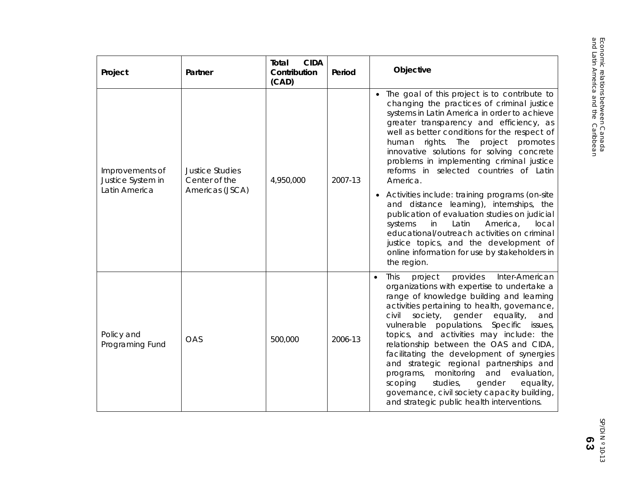| Project                                                                                                                          | Partner | <b>CIDA</b><br>Total<br>Contribution<br>(CAD) | Period                                                                                                                                                                                                                                                                                                                                                                                                                              | Objective                                                                                                                                                                                                                                                                                                                                                                                                                                                                                                                                                                                                                                                                         |
|----------------------------------------------------------------------------------------------------------------------------------|---------|-----------------------------------------------|-------------------------------------------------------------------------------------------------------------------------------------------------------------------------------------------------------------------------------------------------------------------------------------------------------------------------------------------------------------------------------------------------------------------------------------|-----------------------------------------------------------------------------------------------------------------------------------------------------------------------------------------------------------------------------------------------------------------------------------------------------------------------------------------------------------------------------------------------------------------------------------------------------------------------------------------------------------------------------------------------------------------------------------------------------------------------------------------------------------------------------------|
| <b>Justice Studies</b><br>Improvements of<br>Center of the<br>4,950,000<br>Justice System in<br>Latin America<br>Americas (JSCA) |         | 2007-13                                       | • The goal of this project is to contribute to<br>changing the practices of criminal justice<br>systems in Latin America in order to achieve<br>greater transparency and efficiency, as<br>well as better conditions for the respect of<br>human rights. The<br>project<br>promotes<br>innovative solutions for solving concrete<br>problems in implementing criminal justice<br>reforms in selected countries of Latin<br>America. |                                                                                                                                                                                                                                                                                                                                                                                                                                                                                                                                                                                                                                                                                   |
|                                                                                                                                  |         |                                               | • Activities include: training programs (on-site<br>and distance learning), internships, the<br>publication of evaluation studies on judicial<br>in<br>Latin<br>America,<br>systems<br>local<br>educational/outreach activities on criminal<br>justice topics, and the development of<br>online information for use by stakeholders in<br>the region.                                                                               |                                                                                                                                                                                                                                                                                                                                                                                                                                                                                                                                                                                                                                                                                   |
| Policy and<br>Programing Fund                                                                                                    | OAS     | 500,000                                       | 2006-13                                                                                                                                                                                                                                                                                                                                                                                                                             | This<br>provides<br>Inter-American<br>project<br>$\bullet$<br>organizations with expertise to undertake a<br>range of knowledge building and learning<br>activities pertaining to health, governance,<br>civil<br>society,<br>gender<br>equality,<br>and<br>vulnerable populations.<br>Specific<br>issues,<br>topics, and activities may include: the<br>relationship between the OAS and CIDA,<br>facilitating the development of synergies<br>and strategic regional partnerships and<br>and<br>evaluation,<br>programs, monitoring<br>studies,<br>gender<br>scoping<br>equality,<br>governance, civil society capacity building,<br>and strategic public health interventions. |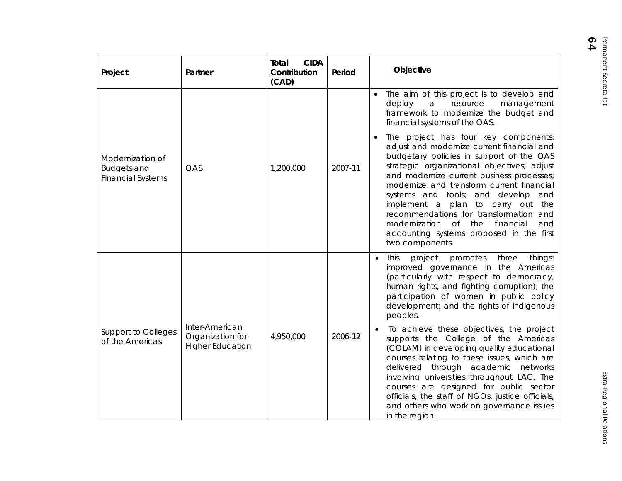| Project                                                            | Partner                                                       | <b>CIDA</b><br>Total<br>Contribution<br>(CAD) | Period  | Objective                                                                                                                                                                                                                                                                                                                                                                                                                     |                                                                                                                                                                                                                                                                                                                                                                                                                                                                                                                      |
|--------------------------------------------------------------------|---------------------------------------------------------------|-----------------------------------------------|---------|-------------------------------------------------------------------------------------------------------------------------------------------------------------------------------------------------------------------------------------------------------------------------------------------------------------------------------------------------------------------------------------------------------------------------------|----------------------------------------------------------------------------------------------------------------------------------------------------------------------------------------------------------------------------------------------------------------------------------------------------------------------------------------------------------------------------------------------------------------------------------------------------------------------------------------------------------------------|
|                                                                    |                                                               |                                               |         | The aim of this project is to develop and<br>$\bullet$<br>deploy<br>resource<br>management<br>a<br>framework to modernize the budget and<br>financial systems of the OAS.                                                                                                                                                                                                                                                     |                                                                                                                                                                                                                                                                                                                                                                                                                                                                                                                      |
| Modernization of<br><b>Budgets and</b><br><b>Financial Systems</b> | <b>OAS</b><br>2007-11<br>1,200,000                            |                                               |         |                                                                                                                                                                                                                                                                                                                                                                                                                               | The project has four key components:<br>adjust and modernize current financial and<br>budgetary policies in support of the OAS<br>strategic organizational objectives; adjust<br>and modernize current business processes;<br>modernize and transform current financial<br>systems and tools; and develop and<br>implement a plan to carry out the<br>recommendations for transformation and<br>$\circ$ f<br>modernization<br>the<br>financial<br>and<br>accounting systems proposed in the first<br>two components. |
|                                                                    |                                                               |                                               |         | This<br>project<br>promotes<br>three<br>things:<br>$\bullet$<br>improved governance in the Americas<br>(particularly with respect to democracy,<br>human rights, and fighting corruption); the<br>participation of women in public policy<br>development; and the rights of indigenous<br>peoples.                                                                                                                            |                                                                                                                                                                                                                                                                                                                                                                                                                                                                                                                      |
| <b>Support to Colleges</b><br>of the Americas                      | Inter-American<br>Organization for<br><b>Higher Education</b> | 4,950,000                                     | 2006-12 | To achieve these objectives, the project<br>supports the College of the Americas<br>(COLAM) in developing quality educational<br>courses relating to these issues, which are<br>delivered through academic networks<br>involving universities throughout LAC. The<br>courses are designed for public sector<br>officials, the staff of NGOs, justice officials,<br>and others who work on governance issues<br>in the region. |                                                                                                                                                                                                                                                                                                                                                                                                                                                                                                                      |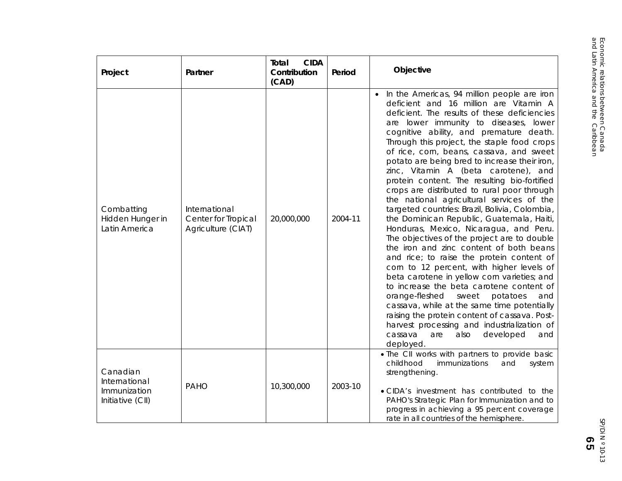| Project                                                       | Partner                                                    | <b>CIDA</b><br>Total<br>Contribution<br>(CAD) | Period  | Objective                                                                                                                                                                                                                                                                                                                                                                                                                                                                                                                                                                                                                                                                                                                                                                                                                                                                                                                                                                                                                                                                                                                                                                                                                                   |
|---------------------------------------------------------------|------------------------------------------------------------|-----------------------------------------------|---------|---------------------------------------------------------------------------------------------------------------------------------------------------------------------------------------------------------------------------------------------------------------------------------------------------------------------------------------------------------------------------------------------------------------------------------------------------------------------------------------------------------------------------------------------------------------------------------------------------------------------------------------------------------------------------------------------------------------------------------------------------------------------------------------------------------------------------------------------------------------------------------------------------------------------------------------------------------------------------------------------------------------------------------------------------------------------------------------------------------------------------------------------------------------------------------------------------------------------------------------------|
| Combatting<br>Hidden Hunger in<br>Latin America               | International<br>Center for Tropical<br>Agriculture (CIAT) | 20,000,000                                    | 2004-11 | • In the Americas, 94 million people are iron<br>deficient and 16 million are Vitamin A<br>deficient. The results of these deficiencies<br>are lower immunity to diseases, lower<br>cognitive ability, and premature death.<br>Through this project, the staple food crops<br>of rice, corn, beans, cassava, and sweet<br>potato are being bred to increase their iron,<br>zinc, Vitamin A (beta carotene), and<br>protein content. The resulting bio-fortified<br>crops are distributed to rural poor through<br>the national agricultural services of the<br>targeted countries: Brazil, Bolivia, Colombia,<br>the Dominican Republic, Guatemala, Haiti,<br>Honduras, Mexico, Nicaragua, and Peru.<br>The objectives of the project are to double<br>the iron and zinc content of both beans<br>and rice; to raise the protein content of<br>corn to 12 percent, with higher levels of<br>beta carotene in yellow corn varieties; and<br>to increase the beta carotene content of<br>orange-fleshed<br>sweet<br>potatoes<br>and<br>cassava, while at the same time potentially<br>raising the protein content of cassava. Post-<br>harvest processing and industrialization of<br>also<br>developed<br>cassava<br>are<br>and<br>deployed. |
| Canadian<br>International<br>Immunization<br>Initiative (CII) | <b>PAHO</b>                                                | 10,300,000                                    | 2003-10 | . The CII works with partners to provide basic<br>childhood<br>immunizations<br>and<br>system<br>strengthening.<br>. CIDA's investment has contributed to the<br>PAHO's Strategic Plan for Immunization and to<br>progress in achieving a 95 percent coverage<br>rate in all countries of the hemisphere.                                                                                                                                                                                                                                                                                                                                                                                                                                                                                                                                                                                                                                                                                                                                                                                                                                                                                                                                   |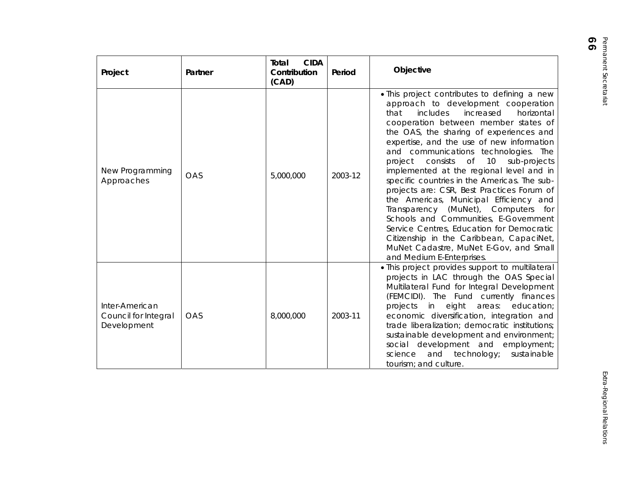|                   | C<br>٢ |
|-------------------|--------|
|                   |        |
|                   |        |
|                   |        |
| lefining a new    |        |
| t cooperation     |        |
| horizontal<br>d l |        |
| nber states of    |        |
| periences and     |        |
| ew information    |        |
| nnologies. The    |        |

| Project                                               | Partner    | <b>CIDA</b><br>Total<br>Contribution<br>(CAD) | Period  | Objective                                                                                                                                                                                                                                                                                                                                                                                                                                                                                                                                                                                                                                                                                                                                                                                                |
|-------------------------------------------------------|------------|-----------------------------------------------|---------|----------------------------------------------------------------------------------------------------------------------------------------------------------------------------------------------------------------------------------------------------------------------------------------------------------------------------------------------------------------------------------------------------------------------------------------------------------------------------------------------------------------------------------------------------------------------------------------------------------------------------------------------------------------------------------------------------------------------------------------------------------------------------------------------------------|
| New Programming<br>Approaches                         | OAS        | 5,000,000                                     | 2003-12 | . This project contributes to defining a new<br>approach to development cooperation<br>includes<br>increased<br>horizontal<br>that<br>cooperation between member states of<br>the OAS, the sharing of experiences and<br>expertise, and the use of new information<br>and communications technologies. The<br><b>of</b><br>project<br>consists<br>10<br>sub-projects<br>implemented at the regional level and in<br>specific countries in the Americas. The sub-<br>projects are: CSR, Best Practices Forum of<br>the Americas, Municipal Efficiency and<br>Transparency (MuNet), Computers for<br>Schools and Communities, E-Government<br>Service Centres, Education for Democratic<br>Citizenship in the Caribbean, CapaciNet,<br>MuNet Cadastre, MuNet E-Gov, and Small<br>and Medium E-Enterprises. |
| Inter-American<br>Council for Integral<br>Development | <b>OAS</b> | 8,000,000                                     | 2003-11 | . This project provides support to multilateral<br>projects in LAC through the OAS Special<br>Multilateral Fund for Integral Development<br>(FEMCIDI). The Fund currently finances<br>projects in<br>eight<br>areas:<br>education;<br>economic diversification, integration and<br>trade liberalization; democratic institutions;<br>sustainable development and environment;<br>social development and employment;<br>science<br>and<br>technology;<br>sustainable<br>tourism; and culture.                                                                                                                                                                                                                                                                                                             |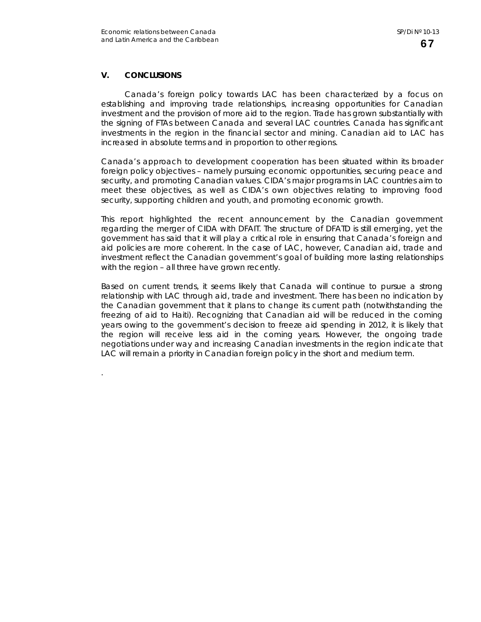# **V. CONCLUSIONS**

.

Canada's foreign policy towards LAC has been characterized by a focus on establishing and improving trade relationships, increasing opportunities for Canadian investment and the provision of more aid to the region. Trade has grown substantially with the signing of FTAs between Canada and several LAC countries. Canada has significant investments in the region in the financial sector and mining. Canadian aid to LAC has increased in absolute terms and in proportion to other regions.

Canada's approach to development cooperation has been situated within its broader foreign policy objectives – namely pursuing economic opportunities, securing peace and security, and promoting Canadian values. CIDA's major programs in LAC countries aim to meet these objectives, as well as CIDA's own objectives relating to improving food security, supporting children and youth, and promoting economic growth.

This report highlighted the recent announcement by the Canadian government regarding the merger of CIDA with DFAIT. The structure of DFATD is still emerging, yet the government has said that it will play a critical role in ensuring that Canada's foreign and aid policies are more coherent. In the case of LAC, however, Canadian aid, trade and investment reflect the Canadian government's goal of building more lasting relationships with the region – all three have grown recently.

Based on current trends, it seems likely that Canada will continue to pursue a strong relationship with LAC through aid, trade and investment. There has been no indication by the Canadian government that it plans to change its current path (notwithstanding the freezing of aid to Haiti). Recognizing that Canadian aid will be reduced in the coming years owing to the government's decision to freeze aid spending in 2012, it is likely that the region will receive less aid in the coming years. However, the ongoing trade negotiations under way and increasing Canadian investments in the region indicate that LAC will remain a priority in Canadian foreign policy in the short and medium term.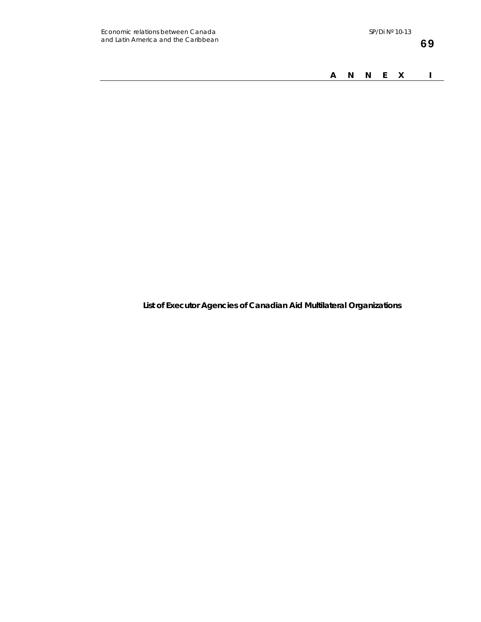*A N N E X I* 

**List of Executor Agencies of Canadian Aid Multilateral Organizations**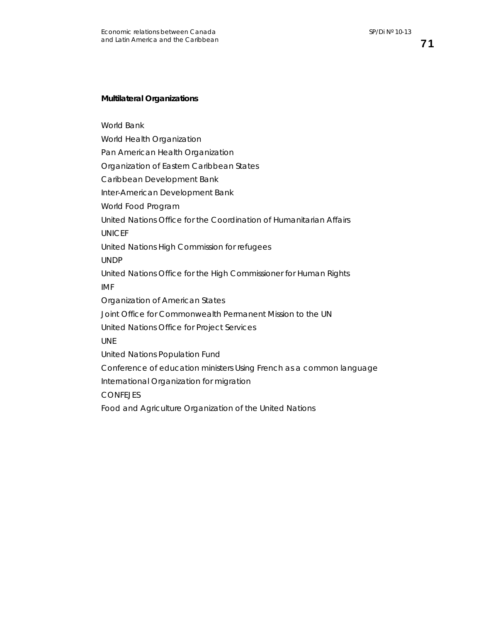71

### **Multilateral Organizations**

World Bank

World Health Organization

Pan American Health Organization

Organization of Eastern Caribbean States

Caribbean Development Bank

Inter-American Development Bank

World Food Program

United Nations Office for the Coordination of Humanitarian Affairs

UNICEF

United Nations High Commission for refugees

UNDP

United Nations Office for the High Commissioner for Human Rights IMF

Organization of American States

Joint Office for Commonwealth Permanent Mission to the UN

United Nations Office for Project Services

UNE

United Nations Population Fund

Conference of education ministers Using French as a common language

International Organization for migration

**CONFEJES** 

Food and Agriculture Organization of the United Nations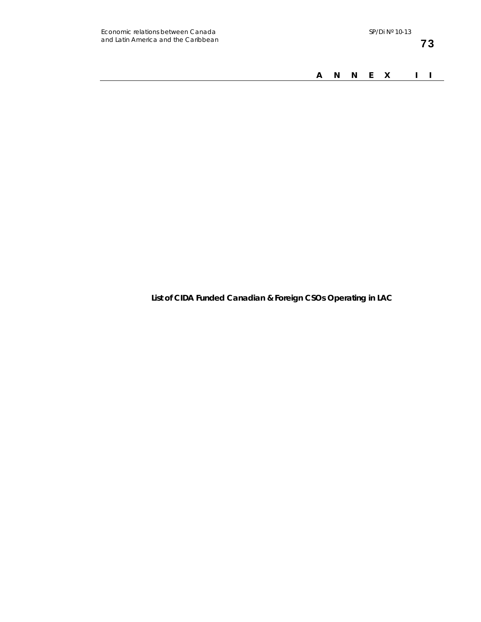*A N N E X I I* 

**List of CIDA Funded Canadian & Foreign CSOs Operating in LAC**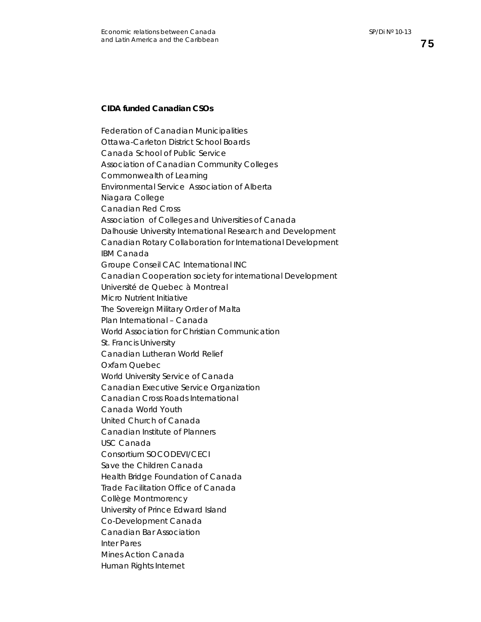## **CIDA funded Canadian CSOs**

Federation of Canadian Municipalities Ottawa-Carleton District School Boards Canada School of Public Service Association of Canadian Community Colleges Commonwealth of Learning Environmental Service Association of Alberta Niagara College Canadian Red Cross Association of Colleges and Universities of Canada Dalhousie University International Research and Development Canadian Rotary Collaboration for International Development IBM Canada Groupe Conseil CAC International INC Canadian Cooperation society for international Development Université de Quebec à Montreal Micro Nutrient Initiative The Sovereign Military Order of Malta Plan International – Canada World Association for Christian Communication St. Francis University Canadian Lutheran World Relief Oxfam Quebec World University Service of Canada Canadian Executive Service Organization Canadian Cross Roads International Canada World Youth United Church of Canada Canadian Institute of Planners USC Canada Consortium SOCODEVI/CECI Save the Children Canada Health Bridge Foundation of Canada Trade Facilitation Office of Canada Collège Montmorency University of Prince Edward Island Co-Development Canada Canadian Bar Association Inter Pares Mines Action Canada Human Rights Internet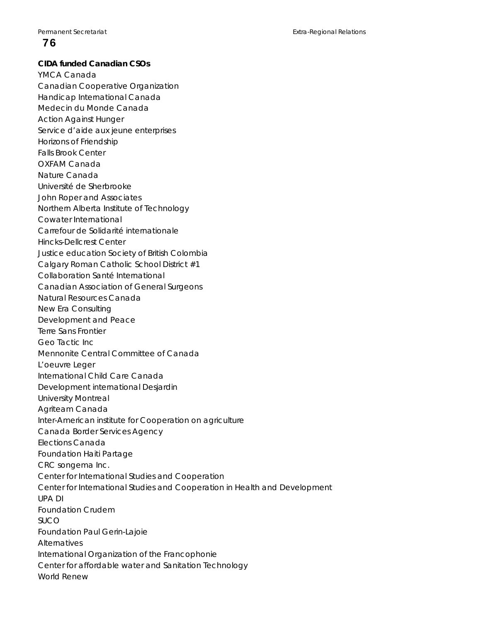# 76

### **CIDA funded Canadian CSOs**

YMCA Canada Canadian Cooperative Organization Handicap International Canada Medecin du Monde Canada Action Against Hunger Service d'aide aux jeune enterprises Horizons of Friendship Falls Brook Center OXFAM Canada Nature Canada Université de Sherbrooke John Roper and Associates Northern Alberta Institute of Technology Cowater International Carrefour de Solidarité internationale Hincks-Dellcrest Center Justice education Society of British Colombia Calgary Roman Catholic School District #1 Collaboration Santé International Canadian Association of General Surgeons Natural Resources Canada New Era Consulting Development and Peace Terre Sans Frontier Geo Tactic Inc Mennonite Central Committee of Canada L'oeuvre Leger International Child Care Canada Development international Desjardin University Montreal Agriteam Canada Inter-American institute for Cooperation on agriculture Canada Border Services Agency Elections Canada Foundation Haiti Partage CRC songema Inc. Center for International Studies and Cooperation Center for International Studies and Cooperation in Health and Development UPA DI Foundation Crudem SUCO Foundation Paul Gerin-Lajoie Alternatives International Organization of the Francophonie Center for affordable water and Sanitation Technology World Renew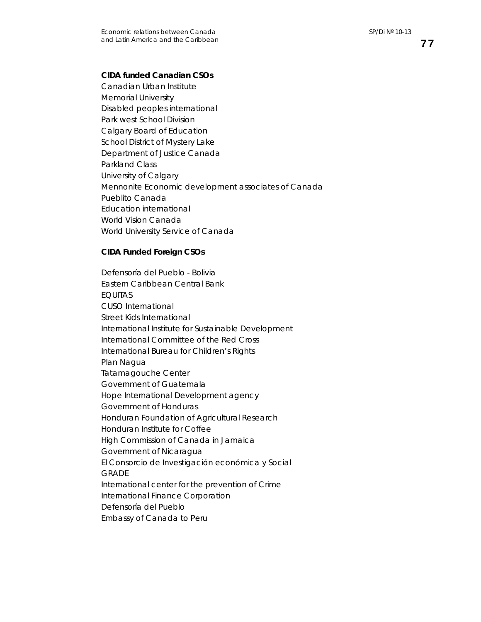# **CIDA funded Canadian CSOs**

Canadian Urban Institute Memorial University Disabled peoples international Park west School Division Calgary Board of Education School District of Mystery Lake Department of Justice Canada Parkland Class University of Calgary Mennonite Economic development associates of Canada Pueblito Canada Education international World Vision Canada World University Service of Canada

### **CIDA Funded Foreign CSOs**

Defensoría del Pueblo - Bolivia Eastern Caribbean Central Bank EQUITAS CUSO International Street Kids International International Institute for Sustainable Development International Committee of the Red Cross International Bureau for Children's Rights Plan Nagua Tatamagouche Center Government of Guatemala Hope International Development agency Government of Honduras Honduran Foundation of Agricultural Research Honduran Institute for Coffee High Commission of Canada in Jamaica Government of Nicaragua El Consorcio de Investigación económica y Social GRADE International center for the prevention of Crime International Finance Corporation Defensoría del Pueblo Embassy of Canada to Peru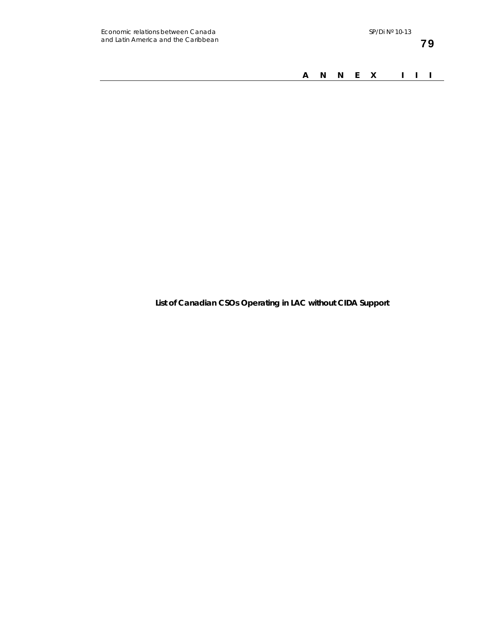*A N N E X I I I* 

**List of Canadian CSOs Operating in LAC without CIDA Support**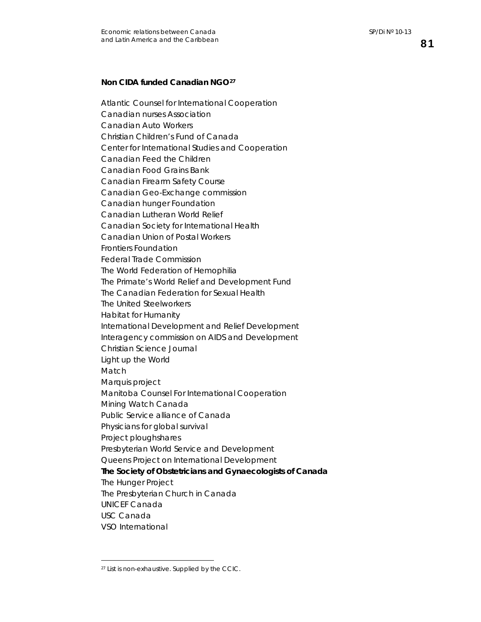# **Non CIDA funded Canadian NGO[27](#page-84-0)**

Atlantic Counsel for International Cooperation Canadian nurses Association Canadian Auto Workers Christian Children's Fund of Canada Center for International Studies and Cooperation Canadian Feed the Children Canadian Food Grains Bank Canadian Firearm Safety Course Canadian Geo-Exchange commission Canadian hunger Foundation Canadian Lutheran World Relief Canadian Society for International Health Canadian Union of Postal Workers Frontiers Foundation Federal Trade Commission The World Federation of Hemophilia The Primate's World Relief and Development Fund The Canadian Federation for Sexual Health The United Steelworkers Habitat for Humanity International Development and Relief Development Interagency commission on AIDS and Development Christian Science Journal Light up the World Match Marquis project Manitoba Counsel For International Cooperation Mining Watch Canada Public Service alliance of Canada Physicians for global survival Project ploughshares Presbyterian World Service and Development Queens Project on International Development *The Society of Obstetricians and Gynaecologists of Canada*  The Hunger Project The Presbyterian Church in Canada UNICEF Canada USC Canada VSO International

 $\overline{a}$ 

<span id="page-84-0"></span><sup>27</sup> List is non-exhaustive. Supplied by the CCIC.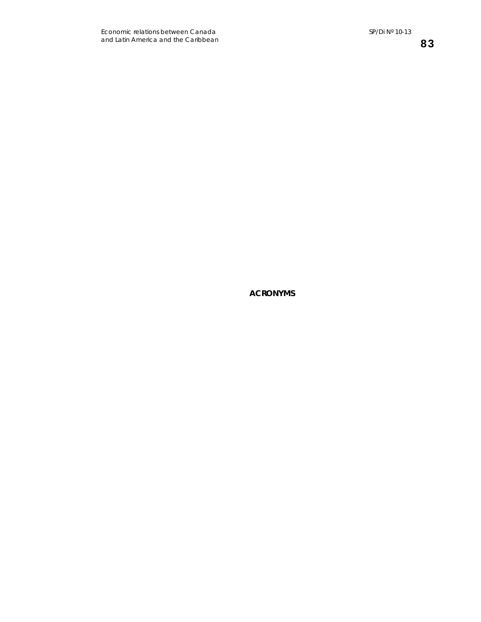**ACRONYMS**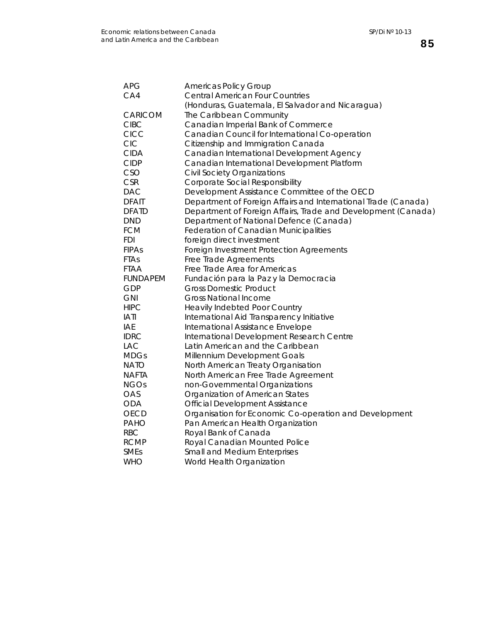85

| <b>APG</b>      | <b>Americas Policy Group</b>                                   |
|-----------------|----------------------------------------------------------------|
| CA4             | <b>Central American Four Countries</b>                         |
|                 | (Honduras, Guatemala, El Salvador and Nicaragua)               |
| CARICOM         | The Caribbean Community                                        |
| CIBC            | Canadian Imperial Bank of Commerce                             |
| <b>CICC</b>     | Canadian Council for International Co-operation                |
| <b>CIC</b>      | Citizenship and Immigration Canada                             |
| <b>CIDA</b>     | Canadian International Development Agency                      |
| <b>CIDP</b>     | Canadian International Development Platform                    |
| CSO             | <b>Civil Society Organizations</b>                             |
| <b>CSR</b>      | Corporate Social Responsibility                                |
| <b>DAC</b>      | Development Assistance Committee of the OECD                   |
| <b>DFAIT</b>    | Department of Foreign Affairs and International Trade (Canada) |
| <b>DFATD</b>    | Department of Foreign Affairs, Trade and Development (Canada)  |
| <b>DND</b>      | Department of National Defence (Canada)                        |
| <b>FCM</b>      | Federation of Canadian Municipalities                          |
| FDI             | foreign direct investment                                      |
| <b>FIPAs</b>    | Foreign Investment Protection Agreements                       |
| <b>FTAs</b>     | Free Trade Agreements                                          |
| <b>FTAA</b>     | Free Trade Area for Americas                                   |
| <b>FUNDAPEM</b> | Fundación para la Paz y la Democracia                          |
| GDP             | <b>Gross Domestic Product</b>                                  |
| <b>GNI</b>      | <b>Gross National Income</b>                                   |
| <b>HIPC</b>     | Heavily Indebted Poor Country                                  |
| <b>IATI</b>     | International Aid Transparency Initiative                      |
| <b>IAE</b>      | International Assistance Envelope                              |
| <b>IDRC</b>     | International Development Research Centre                      |
| <b>LAC</b>      | Latin American and the Caribbean                               |
| <b>MDGs</b>     | Millennium Development Goals                                   |
| NATO            | North American Treaty Organisation                             |
| NAFTA           | North American Free Trade Agreement                            |
| <b>NGOs</b>     | non-Governmental Organizations                                 |
| OAS             | Organization of American States                                |
| <b>ODA</b>      | <b>Official Development Assistance</b>                         |
| OECD            | Organisation for Economic Co-operation and Development         |
| PAHO            | Pan American Health Organization                               |
| <b>RBC</b>      | Royal Bank of Canada                                           |
| <b>RCMP</b>     | Royal Canadian Mounted Police                                  |
| <b>SMEs</b>     | Small and Medium Enterprises                                   |
| <b>WHO</b>      | World Health Organization                                      |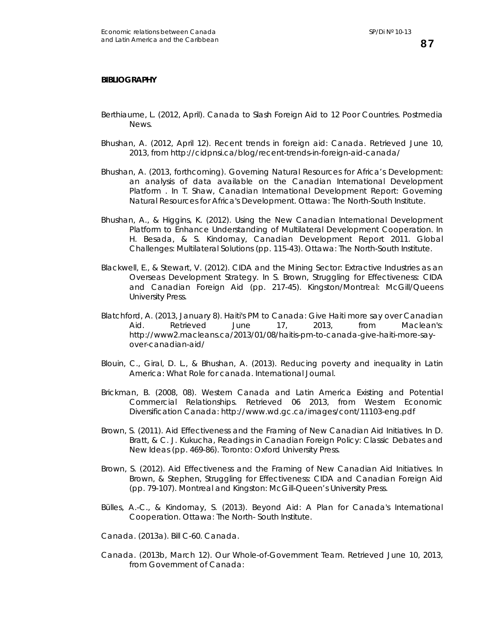#### **BIBLIOGRAPHY**

- Berthiaume, L. (2012, April). Canada to Slash Foreign Aid to 12 Poor Countries. *Postmedia News*.
- Bhushan, A. (2012, April 12). *Recent trends in foreign aid: Canada*. Retrieved June 10, 2013, from http://cidpnsi.ca/blog/recent-trends-in-foreign-aid-canada/
- Bhushan, A. (2013, forthcoming). Governing Natural Resources for Africa's Development: an analysis of data available on the Canadian International Development Platform . In T. Shaw, *Canadian International Development Report: Governing Natural Resources for Africa's Development.* Ottawa: The North-South Institute.
- Bhushan, A., & Higgins, K. (2012). Using the New Canadian International Development Platform to Enhance Understanding of Multilateral Development Cooperation. In H. Besada, & S. Kindornay, *Canadian Development Report 2011. Global Challenges: Multilateral Solutions* (pp. 115-43). Ottawa: The North-South Institute.
- Blackwell, E., & Stewart, V. (2012). CIDA and the Mining Sector: Extractive Industries as an Overseas Development Strategy. In S. Brown, *Struggling for Effectiveness: CIDA and Canadian Foreign Aid* (pp. 217-45). Kingston/Montreal: McGill/Queens University Press.
- Blatchford, A. (2013, January 8). *Haiti's PM to Canada: Give Haiti more say over Canadian Aid*. Retrieved June 17, 2013, from Maclean's: http://www2.macleans.ca/2013/01/08/haitis-pm-to-canada-give-haiti-more-sayover-canadian-aid/
- Blouin, C., Giral, D. L., & Bhushan, A. (2013). Reducing poverty and inequality in Latin America: What Role for canada. *International Journal*.
- Brickman, B. (2008, 08). *Western Canada and Latin America Existing and Potential Commercial Relationships*. Retrieved 06 2013, from Western Economic Diversification Canada: http://www.wd.gc.ca/images/cont/11103-eng.pdf
- Brown, S. (2011). Aid Effectiveness and the Framing of New Canadian Aid Initiatives. In D. Bratt, & C. J. Kukucha, *Readings in Canadian Foreign Policy: Classic Debates and New Ideas* (pp. 469-86). Toronto: Oxford University Press.
- Brown, S. (2012). Aid Effectiveness and the Framing of New Canadian Aid Initiatives. In Brown, & Stephen, *Struggling for Effectiveness: CIDA and Canadian Foreign Aid* (pp. 79-107). Montreal and Kingston: McGill-Queen's University Press.
- Bülles, A.-C., & Kindornay, S. (2013). *Beyond Aid: A Plan for Canada's International Cooperation.* Ottawa: The North- South Institute.

Canada. (2013a). Bill C-60. Canada.

Canada. (2013b, March 12). *Our Whole-of-Government Team*. Retrieved June 10, 2013, from Government of Canada: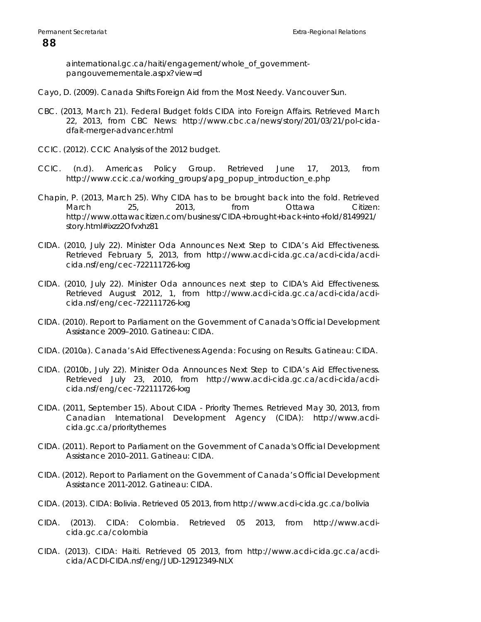ainternational.gc.ca/haiti/engagement/whole\_of\_governmentpangouvernementale.aspx?view=d

- Cayo, D. (2009). Canada Shifts Foreign Aid from the Most Needy. *Vancouver Sun*.
- CBC. (2013, March 21). *Federal Budget folds CIDA into Foreign Affairs*. Retrieved March 22, 2013, from CBC News: http://www.cbc.ca/news/story/201/03/21/pol-cidadfait-merger-advancer.html
- CCIC. (2012). *CCIC Analysis of the 2012 budget*.
- CCIC. (n.d). *Americas Policy Group*. Retrieved June 17, 2013, from http://www.ccic.ca/working\_groups/apg\_popup\_introduction\_e.php
- Chapin, P. (2013, March 25). *Why CIDA has to be brought back into the fold*. Retrieved March 25, 2013, from Ottawa Citizen: http://www.ottawacitizen.com/business/CIDA+brought+back+into+fold/8149921/ story.html#ixzz2Ofvxhz81
- CIDA. (2010, July 22). *Minister Oda Announces Next Step to CIDA's Aid Effectiveness*. Retrieved February 5, 2013, from http://www.acdi-cida.gc.ca/acdi-cida/acdicida.nsf/eng/cec-722111726-kxg
- CIDA. (2010, July 22). *Minister Oda announces next step to CIDA's Aid Effectiveness*. Retrieved August 2012, 1, from http://www.acdi-cida.gc.ca/acdi-cida/acdicida.nsf/eng/cec-722111726-kxg
- CIDA. (2010). *Report to Parliament on the Government of Canada's Official Development Assistance 2009–2010.* Gatineau: CIDA.
- CIDA. (2010a). *Canada's Aid Effectiveness Agenda: Focusing on Results.* Gatineau: CIDA.
- CIDA. (2010b, July 22). *Minister Oda Announces Next Step to CIDA's Aid Effectiveness*. Retrieved July 23, 2010, from http://www.acdi-cida.gc.ca/acdi-cida/acdicida.nsf/eng/cec-722111726-kxg
- CIDA. (2011, September 15). *About CIDA Priority Themes*. Retrieved May 30, 2013, from Canadian International Development Agency (CIDA): http://www.acdicida.gc.ca/prioritythemes
- CIDA. (2011). *Report to Parliament on the Government of Canada's Official Development Assistance 2010–2011.* Gatineau: CIDA.
- CIDA. (2012). *Report to Parliament on the Government of Canada's Official Development Assistance 2011-2012.* Gatineau: CIDA.
- CIDA. (2013). *CIDA: Bolivia*. Retrieved 05 2013, from http://www.acdi-cida.gc.ca/bolivia
- CIDA. (2013). *CIDA: Colombia*. Retrieved 05 2013, from http://www.acdicida.gc.ca/colombia
- CIDA. (2013). *CIDA: Haiti*. Retrieved 05 2013, from http://www.acdi-cida.gc.ca/acdicida/ACDI-CIDA.nsf/eng/JUD-12912349-NLX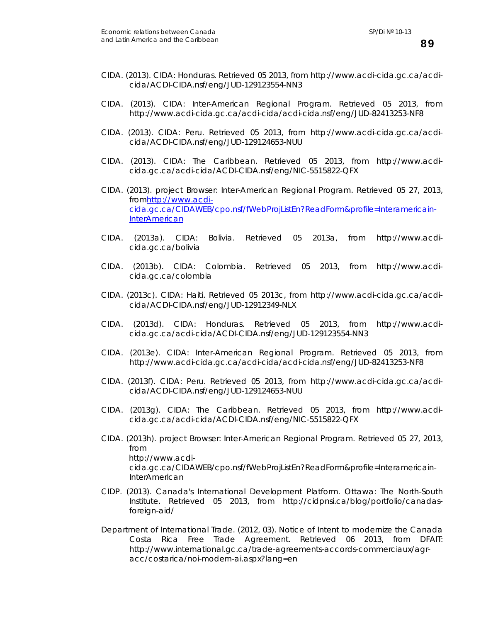- CIDA. (2013). *CIDA: Honduras*. Retrieved 05 2013, from http://www.acdi-cida.gc.ca/acdicida/ACDI-CIDA.nsf/eng/JUD-129123554-NN3
- CIDA. (2013). *CIDA: Inter-American Regional Program*. Retrieved 05 2013, from http://www.acdi-cida.gc.ca/acdi-cida/acdi-cida.nsf/eng/JUD-82413253-NF8
- CIDA. (2013). *CIDA: Peru*. Retrieved 05 2013, from http://www.acdi-cida.gc.ca/acdicida/ACDI-CIDA.nsf/eng/JUD-129124653-NUU
- CIDA. (2013). *CIDA: The Caribbean*. Retrieved 05 2013, from http://www.acdicida.gc.ca/acdi-cida/ACDI-CIDA.nsf/eng/NIC-5515822-QFX
- CIDA. (2013). *project Browser: Inter-American Regional Program*. Retrieved 05 27, 2013, from[http://www.acdi](http://www.acdi-cida.gc.ca/CIDAWEB/cpo.nsf/fWebProjListEn?ReadForm&profile=Interamericain-InterAmerican)[cida.gc.ca/CIDAWEB/cpo.nsf/fWebProjListEn?ReadForm&profile=Interamericain-](http://www.acdi-cida.gc.ca/CIDAWEB/cpo.nsf/fWebProjListEn?ReadForm&profile=Interamericain-InterAmerican)**[InterAmerican](http://www.acdi-cida.gc.ca/CIDAWEB/cpo.nsf/fWebProjListEn?ReadForm&profile=Interamericain-InterAmerican)**
- CIDA. (2013a). *CIDA: Bolivia*. Retrieved 05 2013a, from http://www.acdicida.gc.ca/bolivia
- CIDA. (2013b). *CIDA: Colombia*. Retrieved 05 2013, from http://www.acdicida.gc.ca/colombia
- CIDA. (2013c). *CIDA: Haiti*. Retrieved 05 2013c, from http://www.acdi-cida.gc.ca/acdicida/ACDI-CIDA.nsf/eng/JUD-12912349-NLX
- CIDA. (2013d). *CIDA: Honduras*. Retrieved 05 2013, from http://www.acdicida.gc.ca/acdi-cida/ACDI-CIDA.nsf/eng/JUD-129123554-NN3
- CIDA. (2013e). *CIDA: Inter-American Regional Program*. Retrieved 05 2013, from http://www.acdi-cida.gc.ca/acdi-cida/acdi-cida.nsf/eng/JUD-82413253-NF8
- CIDA. (2013f). *CIDA: Peru*. Retrieved 05 2013, from http://www.acdi-cida.gc.ca/acdicida/ACDI-CIDA.nsf/eng/JUD-129124653-NUU
- CIDA. (2013g). *CIDA: The Caribbean*. Retrieved 05 2013, from http://www.acdicida.gc.ca/acdi-cida/ACDI-CIDA.nsf/eng/NIC-5515822-QFX
- CIDA. (2013h). *project Browser: Inter-American Regional Program*. Retrieved 05 27, 2013, from http://www.acdicida.gc.ca/CIDAWEB/cpo.nsf/fWebProjListEn?ReadForm&profile=Interamericain-**InterAmerican**
- CIDP. (2013). Canada's International Development Platform. Ottawa: The North-South Institute. Retrieved 05 2013, from http://cidpnsi.ca/blog/portfolio/canadasforeign-aid/
- Department of International Trade. (2012, 03). *Notice of Intent to modernize the Canada Costa Rica Free Trade Agreement*. Retrieved 06 2013, from DFAIT: http://www.international.gc.ca/trade-agreements-accords-commerciaux/agracc/costarica/noi-modern-ai.aspx?lang=en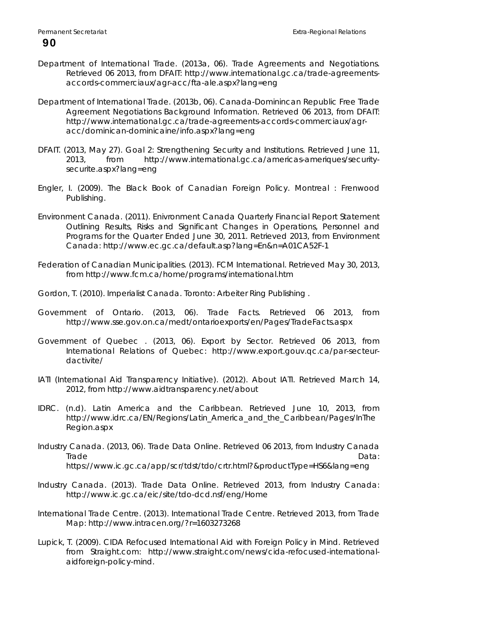- Department of International Trade. (2013a, 06). *Trade Agreements and Negotiations*. Retrieved 06 2013, from DFAIT: http://www.international.gc.ca/trade-agreementsaccords-commerciaux/agr-acc/fta-ale.aspx?lang=eng
- Department of International Trade. (2013b, 06). *Canada-Dominincan Republic Free Trade Agreement Negotiations Background Information*. Retrieved 06 2013, from DFAIT: http://www.international.gc.ca/trade-agreements-accords-commerciaux/agracc/dominican-dominicaine/info.aspx?lang=eng
- DFAIT. (2013, May 27). *Goal 2: Strengthening Security and Institutions*. Retrieved June 11, 2013, from http://www.international.gc.ca/americas-ameriques/securitysecurite.aspx?lang=eng
- Engler, I. (2009). *The Black Book of Canadian Foreign Policy.* Montreal : Frenwood Publishing.
- Environment Canada. (2011). *Enivronment Canada Quarterly Financial Report Statement Outlining Results, Risks and Significant Changes in Operations, Personnel and Programs for the Quarter Ended June 30, 2011*. Retrieved 2013, from Environment Canada: http://www.ec.gc.ca/default.asp?lang=En&n=A01CA52F-1
- Federation of Canadian Municipalities. (2013). *FCM International*. Retrieved May 30, 2013, from http://www.fcm.ca/home/programs/international.htm
- Gordon, T. (2010). *Imperialist Canada.* Toronto: Arbeiter Ring Publishing .
- Government of Ontario. (2013, 06). *Trade Facts*. Retrieved 06 2013, from http://www.sse.gov.on.ca/medt/ontarioexports/en/Pages/TradeFacts.aspx
- Government of Quebec . (2013, 06). *Export by Sector*. Retrieved 06 2013, from International Relations of Quebec: http://www.export.gouv.qc.ca/par-secteurdactivite/
- IATI (International Aid Transparency Initiative). (2012). *About IATI*. Retrieved March 14, 2012, from http://www.aidtransparency.net/about
- IDRC. (n.d). *Latin America and the Caribbean*. Retrieved June 10, 2013, from http://www.idrc.ca/EN/Regions/Latin\_America\_and\_the\_Caribbean/Pages/InThe Region.aspx
- Industry Canada. (2013, 06). *Trade Data Online*. Retrieved 06 2013, from Industry Canada Trade **Data: Experimental Data:** Proposition of the Contract of the Data: Data: Data: Data: Data: Data: Data: Data: Data: Data: Data: Data: Data: Data: Data: Data: Data: Data: Data: Data: Data: Data: Data: Data: Data: Data https://www.ic.gc.ca/app/scr/tdst/tdo/crtr.html?&productType=HS6&lang=eng
- Industry Canada. (2013). *Trade Data Online*. Retrieved 2013, from Industry Canada: http://www.ic.gc.ca/eic/site/tdo-dcd.nsf/eng/Home
- International Trade Centre. (2013). *International Trade Centre*. Retrieved 2013, from Trade Map: http://www.intracen.org/?r=1603273268
- Lupick, T. (2009). *CIDA Refocused International Aid with Foreign Policy in Mind.* Retrieved from Straight.com: http://www.straight.com/news/cida-refocused-internationalaidforeign-policy-mind.